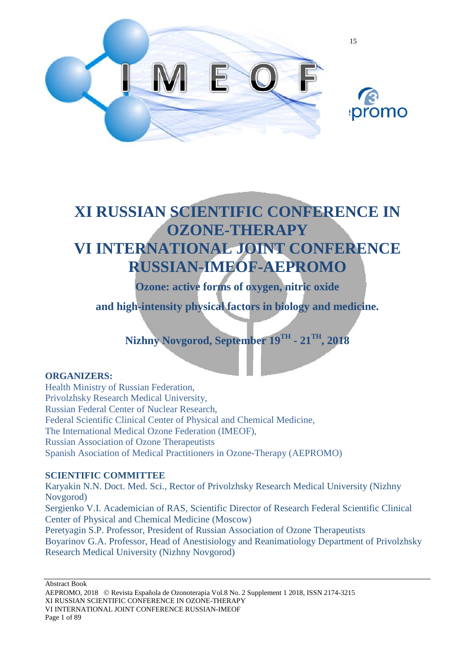



## **XI RUSSIAN SCIENTIFIC CONFERENCE IN OZONE-THERAPY VI INTERNATIONAL JOINT CONFERENCE RUSSIAN-IMEOF-AEPROMO**

**Ozone: active forms of oxygen, nitric oxide**

**and high-intensity physical factors in biology and medicine.** 

**Nizhny Novgorod, September 19TH - 21TH, 2018**

#### **ORGANIZERS:**

Health Ministry of Russian Federation, Privolzhsky Research Medical University, Russian Federal Center of Nuclear Research, Federal Scientific Clinical Center of Physical and Chemical Medicine, The International Medical Ozone Federation (IMEOF), Russian Association of Ozone Therapeutists Spanish Asociation of Medical Practitioners in Ozone-Therapy (AEPROMO)

#### **SCIENTIFIC COMMITTEE**

Karyakin N.N. Doct. Med. Sci., Rector of Privolzhsky Research Medical University (Nizhny Novgorod) Sergienko V.I. Academician of RAS, Scientific Director of Research Federal Scientific Clinical Center of Physical and Chemical Medicine (Moscow) Peretyagin S.P. Professor, President of Russian Association of Ozone Therapeutists Boyarinov G.A. Professor, Head of Anestisiology and Reanimatiology Department of Privolzhsky Research Medical University (Nizhny Novgorod)

Abstract Book

AEPROMO, 2018 Revista Española de Ozonoterapia Vol.8 No. 2 Supplement 1 2018, ISSN 2174-3215 XI RUSSIAN SCIENTIFIC CONFERENCE IN OZONE-THERAPY VI INTERNATIONAL JOINT CONFERENCE RUSSIAN-IMEOF Page 1 of 89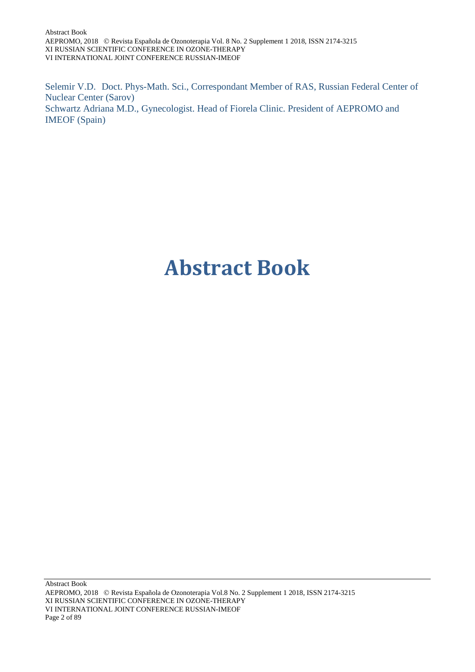Abstract Book AEPROMO, 2018 Revista Española de Ozonoterapia Vol. 8 No. 2 Supplement 1 2018, ISSN 2174-3215 XI RUSSIAN SCIENTIFIC CONFERENCE IN OZONE-THERAPY VI INTERNATIONAL JOINT CONFERENCE RUSSIAN-IMEOF

Selemir V.D. Doct. Phys-Math. Sci., Correspondant Member of RAS, Russian Federal Center of Nuclear Center (Sarov) Schwartz Adriana M.D., Gynecologist. Head of Fiorela Clinic. President of AEPROMO and IMEOF (Spain)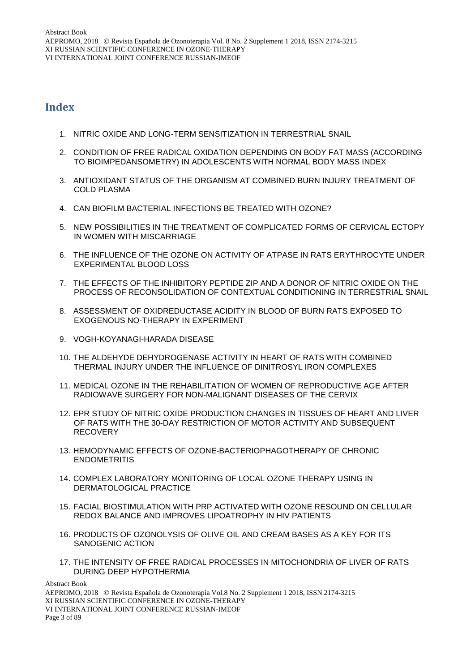#### **Index**

- 1. NITRIC OXIDE AND LONG-TERM SENSITIZATION IN TERRESTRIAL SNAIL
- 2. CONDITION OF FREE RADICAL OXIDATION DEPENDING ON BODY FAT MASS (ACCORDING TO BIOIMPEDANSOMETRY) IN ADOLESCENTS WITH NORMAL BODY MASS INDEX
- 3. ANTIOXIDANT STATUS OF THE ORGANISM AT COMBINED BURN INJURY TREATMENT OF COLD PLASMA
- 4. CAN BIOFILM BACTERIAL INFECTIONS BE TREATED WITH OZONE?
- 5. NEW POSSIBILITIES IN THE TREATMENT OF COMPLICATED FORMS OF CERVICAL ECTOPY IN WOMEN WITH MISCARRIAGE
- 6. THE INFLUENCE OF THE OZONE ON ACTIVITY OF ATPASE IN RATS ERYTHROCYTE UNDER EXPERIMENTAL BLOOD LOSS
- 7. THE EFFECTS OF THE INHIBITORY PEPTIDE ZIP AND A DONOR OF NITRIC OXIDE ON THE PROCESS OF RECONSOLIDATION OF CONTEXTUAL CONDITIONING IN TERRESTRIAL SNAIL
- 8. ASSESSMENT OF OXIDREDUCTASE ACIDITY IN BLOOD OF BURN RATS EXPOSED TO EXOGENOUS NO-THERAPY IN EXPERIMENT
- 9. VOGH-KOYANAGI-HARADA DISEASE
- 10. THE ALDEHYDE DEHYDROGENASE ACTIVITY IN HEART OF RATS WITH COMBINED THERMAL INJURY UNDER THE INFLUENCE OF DINITROSYL IRON COMPLEXES
- 11. MEDICAL OZONE IN THE REHABILITATION OF WOMEN OF REPRODUCTIVE AGE AFTER RADIOWAVE SURGERY FOR NON-MALIGNANT DISEASES OF THE CERVIX
- 12. EPR STUDY OF NITRIC OXIDE PRODUCTION CHANGES IN TISSUES OF HEART AND LIVER OF RATS WITH THE 30-DAY RESTRICTION OF MOTOR ACTIVITY AND SUBSEQUENT RECOVERY
- 13. HEMODYNAMIC EFFECTS OF OZONE-BACTERIOPHAGOTHERAPY OF CHRONIC ENDOMETRITIS
- 14. COMPLEX LABORATORY MONITORING OF LOCAL OZONE THERAPY USING IN DERMATOLOGICAL PRACTICE
- 15. FACIAL BIOSTIMULATION WITH PRP ACTIVATED WITH OZONE RESOUND ON CELLULAR REDOX BALANCE AND IMPROVES LIPOATROPHY IN HIV PATIENTS
- 16. PRODUCTS OF OZONOLYSIS OF OLIVE OIL AND CREAM BASES AS A KEY FOR ITS SANOGENIC ACTION
- 17. THE INTENSITY OF FREE RADICAL PROCESSES IN MITOCHONDRIA OF LIVER OF RATS DURING DEEP HYPOTHERMIA

AEPROMO, 2018 Revista Española de Ozonoterapia Vol.8 No. 2 Supplement 1 2018, ISSN 2174-3215 XI RUSSIAN SCIENTIFIC CONFERENCE IN OZONE-THERAPY VI INTERNATIONAL JOINT CONFERENCE RUSSIAN-IMEOF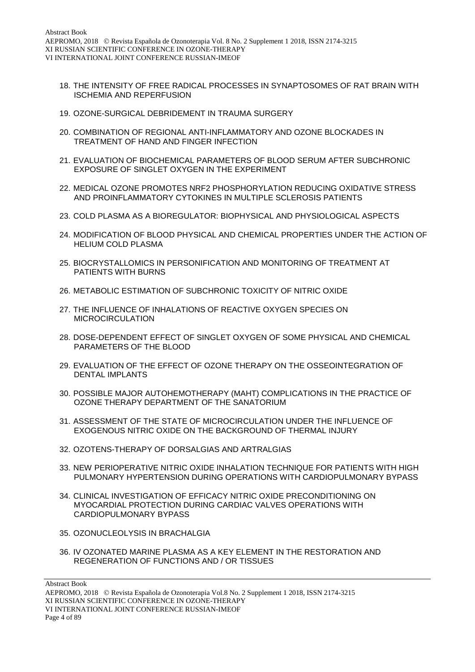- 18. THE INTENSITY OF FREE RADICAL PROCESSES IN SYNAPTOSOMES OF RAT BRAIN WITH ISCHEMIA AND REPERFUSION
- 19. OZONE-SURGICAL DEBRIDEMENT IN TRAUMA SURGERY
- 20. COMBINATION OF REGIONAL ANTI-INFLAMMATORY AND OZONE BLOCKADES IN TREATMENT OF HAND AND FINGER INFECTION
- 21. EVALUATION OF BIOCHEMICAL PARAMETERS OF BLOOD SERUM AFTER SUBCHRONIC EXPOSURE OF SINGLET OXYGEN IN THE EXPERIMENT
- 22. MEDICAL OZONE PROMOTES NRF2 PHOSPHORYLATION REDUCING OXIDATIVE STRESS AND PROINFLAMMATORY CYTOKINES IN MULTIPLE SCLEROSIS PATIENTS
- 23. COLD PLASMA AS A BIOREGULATOR: BIOPHYSICAL AND PHYSIOLOGICAL ASPECTS
- 24. MODIFICATION OF BLOOD PHYSICAL AND CHEMICAL PROPERTIES UNDER THE ACTION OF HELIUM COLD PLASMA
- 25. BIOCRYSTALLOMICS IN PERSONIFICATION AND MONITORING OF TREATMENT AT PATIENTS WITH BURNS
- 26. METABOLIC ESTIMATION OF SUBCHRONIC TOXICITY OF NITRIC OXIDE
- 27. THE INFLUENCE OF INHALATIONS OF REACTIVE OXYGEN SPECIES ON MICROCIRCULATION
- 28. DOSE-DEPENDENT EFFECT OF SINGLET OXYGEN OF SOME PHYSICAL AND CHEMICAL PARAMETERS OF THE BLOOD
- 29. EVALUATION OF THE EFFECT OF OZONE THERAPY ON THE OSSEOINTEGRATION OF DENTAL IMPLANTS
- 30. POSSIBLE MAJOR AUTOHEMOTHERAPY (MAHT) COMPLICATIONS IN THE PRACTICE OF OZONE THERAPY DEPARTMENT OF THE SANATORIUM
- 31. ASSESSMENT OF THE STATE OF MICROCIRCULATION UNDER THE INFLUENCE OF EXOGENOUS NITRIC OXIDE ON THE BACKGROUND OF THERMAL INJURY
- 32. OZOTENS-THERAPY OF DORSALGIAS AND ARTRALGIAS
- 33. NEW PERIOPERATIVE NITRIC OXIDE INHALATION TECHNIQUE FOR PATIENTS WITH HIGH PULMONARY HYPERTENSION DURING OPERATIONS WITH CARDIOPULMONARY BYPASS
- 34. CLINICAL INVESTIGATION OF EFFICACY NITRIC OXIDE PRECONDITIONING ON MYOCARDIAL PROTECTION DURING CARDIAC VALVES OPERATIONS WITH CARDIOPULMONARY BYPASS
- 35. OZONUCLEOLYSIS IN BRACHALGIA
- 36. IV OZONATED MARINE PLASMA AS A KEY ELEMENT IN THE RESTORATION AND REGENERATION OF FUNCTIONS AND / OR TISSUES

Abstract Book

AEPROMO, 2018 Revista Española de Ozonoterapia Vol.8 No. 2 Supplement 1 2018, ISSN 2174-3215 XI RUSSIAN SCIENTIFIC CONFERENCE IN OZONE-THERAPY VI INTERNATIONAL JOINT CONFERENCE RUSSIAN-IMEOF Page 4 of 89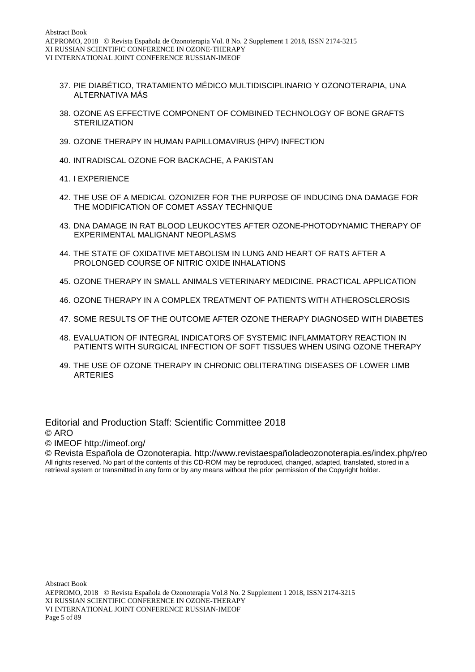- 37. PIE DIABÉTICO, TRATAMIENTO MÉDICO MULTIDISCIPLINARIO Y OZONOTERAPIA, UNA ALTERNATIVA MÁS
- 38. OZONE AS EFFECTIVE COMPONENT OF COMBINED TECHNOLOGY OF BONE GRAFTS **STERILIZATION**
- 39. OZONE THERAPY IN HUMAN PAPILLOMAVIRUS (HPV) INFECTION
- 40. INTRADISCAL OZONE FOR BACKACHE, A PAKISTAN
- 41. I EXPERIENCE
- 42. THE USE OF A MEDICAL OZONIZER FOR THE PURPOSE OF INDUCING DNA DAMAGE FOR THE MODIFICATION OF COMET ASSAY TECHNIQUE
- 43. DNA DAMAGE IN RAT BLOOD LEUKOCYTES AFTER OZONE-PHOTODYNAMIC THERAPY OF EXPERIMENTAL MALIGNANT NEOPLASMS
- 44. THE STATE OF OXIDATIVE METABOLISM IN LUNG AND HEART OF RATS AFTER A PROLONGED COURSE OF NITRIC OXIDE INHALATIONS
- 45. OZONE THERAPY IN SMALL ANIMALS VETERINARY MEDICINE. PRACTICAL APPLICATION
- 46. OZONE THERAPY IN A COMPLEX TREATMENT OF PATIENTS WITH ATHEROSCLEROSIS
- 47. SOME RESULTS OF THE OUTCOME AFTER OZONE THERAPY DIAGNOSED WITH DIABETES
- 48. EVALUATION OF INTEGRAL INDICATORS OF SYSTEMIC INFLAMMATORY REACTION IN PATIENTS WITH SURGICAL INFECTION OF SOFT TISSUES WHEN USING OZONE THERAPY
- 49. THE USE OF OZONE THERAPY IN CHRONIC OBLITERATING DISEASES OF LOWER LIMB **ARTERIES**

Editorial and Production Staff: Scientific Committee 2018 © ARO

© IMEOF http://imeof.org/

© Revista Española de Ozonoterapia. http://www.revistaespañoladeozonoterapia.es/index.php/reo All rights reserved. No part of the contents of this CD-ROM may be reproduced, changed, adapted, translated, stored in a retrieval system or transmitted in any form or by any means without the prior permission of the Copyright holder.

Abstract Book

AEPROMO, 2018 Revista Española de Ozonoterapia Vol.8 No. 2 Supplement 1 2018, ISSN 2174-3215 XI RUSSIAN SCIENTIFIC CONFERENCE IN OZONE-THERAPY VI INTERNATIONAL JOINT CONFERENCE RUSSIAN-IMEOF Page 5 of 89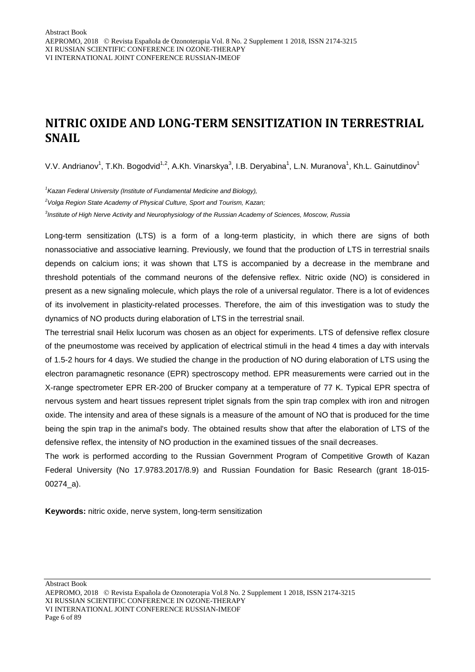### **NITRIC OXIDE AND LONG-TERM SENSITIZATION IN TERRESTRIAL SNAIL**

V.V. Andrianov<sup>1</sup>, T.Kh. Bogodvid<sup>1,2</sup>, A.Kh. Vinarskya<sup>3</sup>, I.B. Deryabina<sup>1</sup>, L.N. Muranova<sup>1</sup>, Kh.L. Gainutdinov<sup>1</sup>

*1 Kazan Federal University (Institute of Fundamental Medicine and Biology),*

*2 Volga Region State Academy of Physical Culture, Sport and Tourism, Kazan;*

*3 Institute of High Nerve Activity and Neurophysiology of the Russian Academy of Sciences, Moscow, Russia* 

Long-term sensitization (LTS) is a form of a long-term plasticity, in which there are signs of both nonassociative and associative learning. Previously, we found that the production of LTS in terrestrial snails depends on calcium ions; it was shown that LTS is accompanied by a decrease in the membrane and threshold potentials of the command neurons of the defensive reflex. Nitric oxide (NO) is considered in present as a new signaling molecule, which plays the role of a universal regulator. There is a lot of evidences of its involvement in plasticity-related processes. Therefore, the aim of this investigation was to study the dynamics of NO products during elaboration of LTS in the terrestrial snail.

The terrestrial snail Helix lucorum was chosen as an object for experiments. LTS of defensive reflex closure of the pneumostome was received by application of electrical stimuli in the head 4 times a day with intervals of 1.5-2 hours for 4 days. We studied the change in the production of NO during elaboration of LTS using the electron paramagnetic resonance (EPR) spectroscopy method. EPR measurements were carried out in the X-range spectrometer EPR ER-200 of Brucker company at a temperature of 77 K. Typical EPR spectra of nervous system and heart tissues represent triplet signals from the spin trap complex with iron and nitrogen oxide. The intensity and area of these signals is a measure of the amount of NO that is produced for the time being the spin trap in the animal's body. The obtained results show that after the elaboration of LTS of the defensive reflex, the intensity of NO production in the examined tissues of the snail decreases.

The work is performed according to the Russian Government Program of Competitive Growth of Kazan Federal University (No 17.9783.2017/8.9) and Russian Foundation for Basic Research (grant 18-015- 00274\_a).

**Keywords:** nitric oxide, nerve system, long-term sensitization

Abstract Book

AEPROMO, 2018 Revista Española de Ozonoterapia Vol.8 No. 2 Supplement 1 2018, ISSN 2174-3215 XI RUSSIAN SCIENTIFIC CONFERENCE IN OZONE-THERAPY VI INTERNATIONAL JOINT CONFERENCE RUSSIAN-IMEOF Page 6 of 89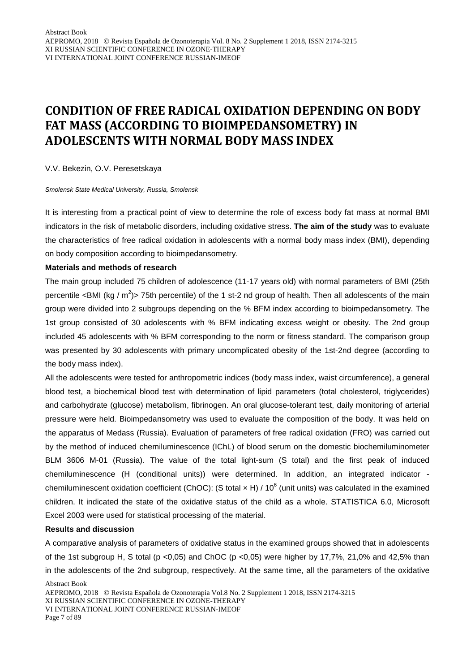### **CONDITION OF FREE RADICAL OXIDATION DEPENDING ON BODY FAT MASS (ACCORDING TO BIOIMPEDANSOMETRY) IN ADOLESCENTS WITH NORMAL BODY MASS INDEX**

V.V. Bekezin, O.V. Peresetskaya

*Smolensk State Medical University, Russia, Smolensk*

It is interesting from a practical point of view to determine the role of excess body fat mass at normal BMI indicators in the risk of metabolic disorders, including oxidative stress. **The aim of the study** was to evaluate the characteristics of free radical oxidation in adolescents with a normal body mass index (BMI), depending on body composition according to bioimpedansometry.

#### **Materials and methods of research**

The main group included 75 children of adolescence (11-17 years old) with normal parameters of BMI (25th percentile <BMI (kg /  $m^2$ )> 75th percentile) of the 1 st-2 nd group of health. Then all adolescents of the main group were divided into 2 subgroups depending on the % BFM index according to bioimpedansometry. The 1st group consisted of 30 adolescents with % BFM indicating excess weight or obesity. The 2nd group included 45 adolescents with % BFM corresponding to the norm or fitness standard. The comparison group was presented by 30 adolescents with primary uncomplicated obesity of the 1st-2nd degree (according to the body mass index).

All the adolescents were tested for anthropometric indices (body mass index, waist circumference), a general blood test, a biochemical blood test with determination of lipid parameters (total cholesterol, triglycerides) and carbohydrate (glucose) metabolism, fibrinogen. An oral glucose-tolerant test, daily monitoring of arterial pressure were held. Bioimpedansometry was used to evaluate the composition of the body. It was held on the apparatus of Medass (Russia). Evaluation of parameters of free radical oxidation (FRO) was carried out by the method of induced chemiluminescence (IChL) of blood serum on the domestic biochemiluminometer BLM 3606 M-01 (Russia). The value of the total light-sum (S total) and the first peak of induced chemiluminescence (H (conditional units)) were determined. In addition, an integrated indicator chemiluminescent oxidation coefficient (ChOC): (S total  $\times$  H) / 10<sup>6</sup> (unit units) was calculated in the examined children. It indicated the state of the oxidative status of the child as a whole. STATISTICA 6.0, Microsoft Excel 2003 were used for statistical processing of the material.

#### **Results and discussion**

A comparative analysis of parameters of oxidative status in the examined groups showed that in adolescents of the 1st subgroup H, S total (p <0,05) and ChOC (p <0,05) were higher by 17,7%, 21,0% and 42,5% than in the adolescents of the 2nd subgroup, respectively. At the same time, all the parameters of the oxidative

AEPROMO, 2018 Revista Española de Ozonoterapia Vol.8 No. 2 Supplement 1 2018, ISSN 2174-3215 XI RUSSIAN SCIENTIFIC CONFERENCE IN OZONE-THERAPY VI INTERNATIONAL JOINT CONFERENCE RUSSIAN-IMEOF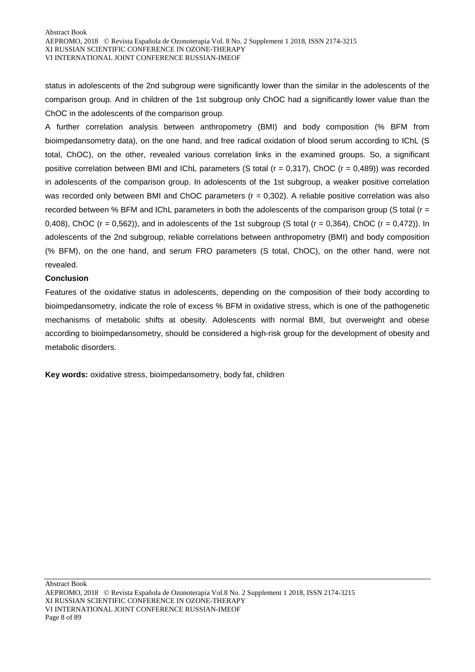status in adolescents of the 2nd subgroup were significantly lower than the similar in the adolescents of the comparison group. And in children of the 1st subgroup only ChOC had a significantly lower value than the ChOC in the adolescents of the comparison group.

A further correlation analysis between anthropometry (BMI) and body composition (% BFM from bioimpedansometry data), on the one hand, and free radical oxidation of blood serum according to IChL (S total, ChOC), on the other, revealed various correlation links in the examined groups. So, a significant positive correlation between BMI and IChL parameters (S total ( $r = 0,317$ ), ChOC ( $r = 0,489$ )) was recorded in adolescents of the comparison group. In adolescents of the 1st subgroup, a weaker positive correlation was recorded only between BMI and ChOC parameters (r = 0,302). A reliable positive correlation was also recorded between % BFM and IChL parameters in both the adolescents of the comparison group (S total ( $r =$ 0,408), ChOC ( $r = 0.562$ )), and in adolescents of the 1st subgroup (S total ( $r = 0.364$ ), ChOC ( $r = 0.472$ )). In adolescents of the 2nd subgroup, reliable correlations between anthropometry (BMI) and body composition (% BFM), on the one hand, and serum FRO parameters (S total, ChOC), on the other hand, were not revealed.

#### **Conclusion**

Features of the oxidative status in adolescents, depending on the composition of their body according to bioimpedansometry, indicate the role of excess % BFM in oxidative stress, which is one of the pathogenetic mechanisms of metabolic shifts at obesity. Adolescents with normal BMI, but overweight and obese according to bioimpedansometry, should be considered a high-risk group for the development of obesity and metabolic disorders.

**Key words:** oxidative stress, bioimpedansometry, body fat, children

Abstract Book

AEPROMO, 2018 Revista Española de Ozonoterapia Vol.8 No. 2 Supplement 1 2018, ISSN 2174-3215 XI RUSSIAN SCIENTIFIC CONFERENCE IN OZONE-THERAPY VI INTERNATIONAL JOINT CONFERENCE RUSSIAN-IMEOF Page 8 of 89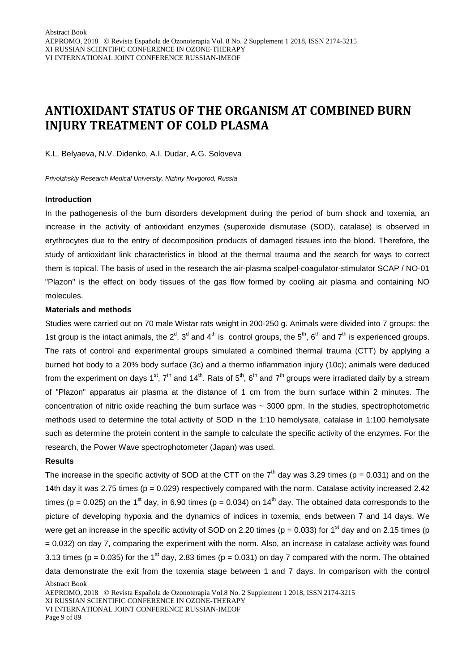### **ANTIOXIDANT STATUS OF THE ORGANISM AT COMBINED BURN INJURY TREATMENT OF COLD PLASMA**

K.L. Belyaeva, N.V. Didenko, A.I. Dudar, A.G. Soloveva

*Privolzhskiy Research Medical University, Nizhny Novgorod, Russia*

#### **Introduction**

In the pathogenesis of the burn disorders development during the period of burn shock and toxemia, an increase in the activity of antioxidant enzymes (superoxide dismutase (SOD), catalase) is observed in erythrocytes due to the entry of decomposition products of damaged tissues into the blood. Therefore, the study of antioxidant link characteristics in blood at the thermal trauma and the search for ways to correct them is topical. The basis of used in the research the air-plasma scalpel-coagulator-stimulator SCAP / NO-01 "Plazon" is the effect on body tissues of the gas flow formed by cooling air plasma and containing NO molecules.

#### **Materials and methods**

Studies were carried out on 70 male Wistar rats weight in 200-250 g. Animals were divided into 7 groups: the 1st group is the intact animals, the  $2^d$ ,  $3^d$  and  $4^{\text{th}}$  is control groups, the  $5^{\text{th}}$ ,  $6^{\text{th}}$  and  $7^{\text{th}}$  is experienced groups. The rats of control and experimental groups simulated a combined thermal trauma (CTT) by applying a burned hot body to a 20% body surface (3c) and a thermo inflammation injury (10c); animals were deduced from the experiment on days 1<sup>st</sup>, 7<sup>th</sup> and 14<sup>th</sup>. Rats of 5<sup>th</sup>, 6<sup>th</sup> and 7<sup>th</sup> groups were irradiated daily by a stream of "Plazon" apparatus air plasma at the distance of 1 cm from the burn surface within 2 minutes. The concentration of nitric oxide reaching the burn surface was ~ 3000 ppm. In the studies, spectrophotometric methods used to determine the total activity of SOD in the 1:10 hemolysate, catalase in 1:100 hemolysate such as determine the protein content in the sample to calculate the specific activity of the enzymes. For the research, the Power Wave spectrophotometer (Japan) was used.

#### **Results**

The increase in the specific activity of SOD at the CTT on the  $7<sup>th</sup>$  day was 3.29 times (p = 0.031) and on the 14th day it was 2.75 times ( $p = 0.029$ ) respectively compared with the norm. Catalase activity increased 2.42 times (p = 0.025) on the 1<sup>st</sup> day, in 6.90 times (p = 0.034) on 14<sup>th</sup> day. The obtained data corresponds to the picture of developing hypoxia and the dynamics of indices in toxemia, ends between 7 and 14 days. We were get an increase in the specific activity of SOD on 2.20 times (p = 0.033) for 1<sup>st</sup> day and on 2.15 times (p = 0.032) on day 7, comparing the experiment with the norm. Also, an increase in catalase activity was found 3.13 times (p = 0.035) for the 1<sup>st</sup> day, 2.83 times (p = 0.031) on day 7 compared with the norm. The obtained data demonstrate the exit from the toxemia stage between 1 and 7 days. In comparison with the control

Abstract Book

XI RUSSIAN SCIENTIFIC CONFERENCE IN OZONE-THERAPY

VI INTERNATIONAL JOINT CONFERENCE RUSSIAN-IMEOF

Page 9 of 89

AEPROMO, 2018 Revista Española de Ozonoterapia Vol.8 No. 2 Supplement 1 2018, ISSN 2174-3215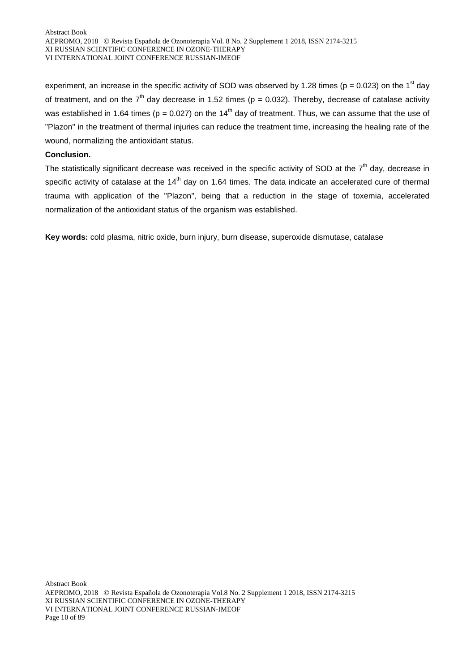experiment, an increase in the specific activity of SOD was observed by 1.28 times ( $p = 0.023$ ) on the 1<sup>st</sup> day of treatment, and on the  $7<sup>th</sup>$  day decrease in 1.52 times (p = 0.032). Thereby, decrease of catalase activity was established in 1.64 times ( $p = 0.027$ ) on the 14<sup>th</sup> day of treatment. Thus, we can assume that the use of "Plazon" in the treatment of thermal injuries can reduce the treatment time, increasing the healing rate of the wound, normalizing the antioxidant status.

#### **Conclusion.**

The statistically significant decrease was received in the specific activity of SOD at the  $7<sup>th</sup>$  day, decrease in specific activity of catalase at the  $14<sup>th</sup>$  day on 1.64 times. The data indicate an accelerated cure of thermal trauma with application of the "Plazon", being that a reduction in the stage of toxemia, accelerated normalization of the antioxidant status of the organism was established.

**Key words:** cold plasma, nitric oxide, burn injury, burn disease, superoxide dismutase, catalase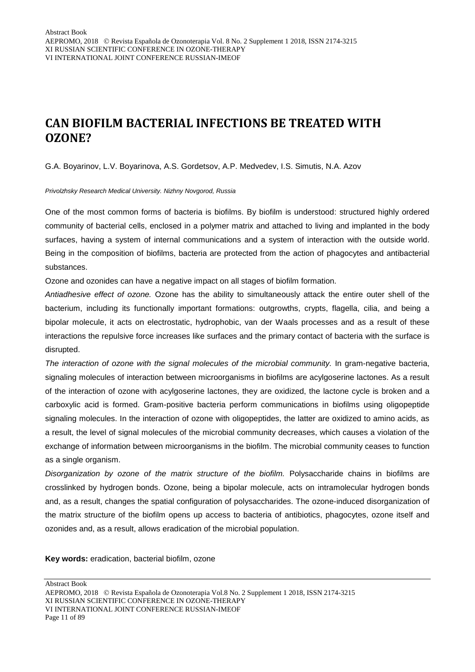### **CAN BIOFILM BACTERIAL INFECTIONS BE TREATED WITH OZONE?**

G.A. Boyarinov, L.V. Boyarinova, A.S. Gordetsov, A.P. Medvedev, I.S. Simutis, N.A. Azov

*Privolzhsky Research Medical University. Nizhny Novgorod, Russia*

One of the most common forms of bacteria is biofilms. By biofilm is understood: structured highly ordered community of bacterial cells, enclosed in a polymer matrix and attached to living and implanted in the body surfaces, having a system of internal communications and a system of interaction with the outside world. Being in the composition of biofilms, bacteria are protected from the action of phagocytes and antibacterial substances.

Ozone and ozonides can have a negative impact on all stages of biofilm formation.

*Antiadhesive effect of ozone.* Ozone has the ability to simultaneously attack the entire outer shell of the bacterium, including its functionally important formations: outgrowths, crypts, flagella, cilia, and being a bipolar molecule, it acts on electrostatic, hydrophobic, van der Waals processes and as a result of these interactions the repulsive force increases like surfaces and the primary contact of bacteria with the surface is disrupted.

*The interaction of ozone with the signal molecules of the microbial community.* In gram-negative bacteria, signaling molecules of interaction between microorganisms in biofilms are acylgoserine lactones. As a result of the interaction of ozone with acylgoserine lactones, they are oxidized, the lactone cycle is broken and a carboxylic acid is formed. Gram-positive bacteria perform communications in biofilms using oligopeptide signaling molecules. In the interaction of ozone with oligopeptides, the latter are oxidized to amino acids, as a result, the level of signal molecules of the microbial community decreases, which causes a violation of the exchange of information between microorganisms in the biofilm. The microbial community ceases to function as a single organism.

*Disorganization by ozone of the matrix structure of the biofilm.* Polysaccharide chains in biofilms are crosslinked by hydrogen bonds. Ozone, being a bipolar molecule, acts on intramolecular hydrogen bonds and, as a result, changes the spatial configuration of polysaccharides. The ozone-induced disorganization of the matrix structure of the biofilm opens up access to bacteria of antibiotics, phagocytes, ozone itself and ozonides and, as a result, allows eradication of the microbial population.

**Key words:** eradication, bacterial biofilm, ozone

Abstract Book AEPROMO, 2018 Revista Española de Ozonoterapia Vol.8 No. 2 Supplement 1 2018, ISSN 2174-3215 XI RUSSIAN SCIENTIFIC CONFERENCE IN OZONE-THERAPY VI INTERNATIONAL JOINT CONFERENCE RUSSIAN-IMEOF Page 11 of 89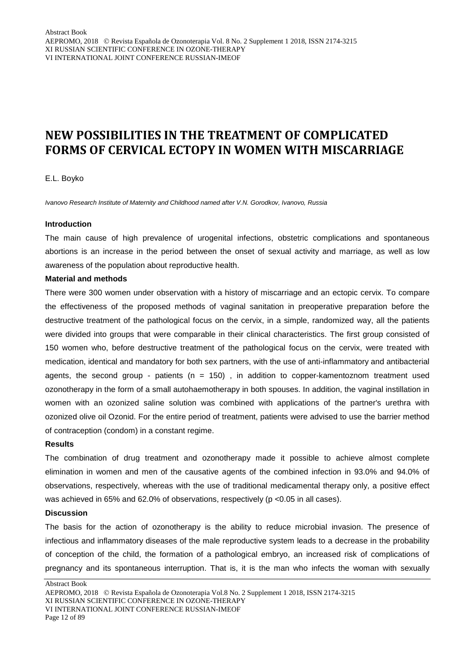### **NEW POSSIBILITIES IN THE TREATMENT OF COMPLICATED FORMS OF CERVICAL ECTOPY IN WOMEN WITH MISCARRIAGE**

E.L. Boyko

*Ivanovo Research Institute of Maternity and Childhood named after V.N. Gorodkov, Ivanovo, Russia*

#### **Introduction**

The main cause of high prevalence of urogenital infections, obstetric complications and spontaneous abortions is an increase in the period between the onset of sexual activity and marriage, as well as low awareness of the population about reproductive health.

#### **Material and methods**

There were 300 women under observation with a history of miscarriage and an ectopic cervix. To compare the effectiveness of the proposed methods of vaginal sanitation in preoperative preparation before the destructive treatment of the pathological focus on the cervix, in a simple, randomized way, all the patients were divided into groups that were comparable in their clinical characteristics. The first group consisted of 150 women who, before destructive treatment of the pathological focus on the cervix, were treated with medication, identical and mandatory for both sex partners, with the use of anti-inflammatory and antibacterial agents, the second group - patients ( $n = 150$ ), in addition to copper-kamentoznom treatment used ozonotherapy in the form of a small autohaemotherapy in both spouses. In addition, the vaginal instillation in women with an ozonized saline solution was combined with applications of the partner's urethra with ozonized olive oil Ozonid. For the entire period of treatment, patients were advised to use the barrier method of contraception (condom) in a constant regime.

#### **Results**

The combination of drug treatment and ozonotherapy made it possible to achieve almost complete elimination in women and men of the causative agents of the combined infection in 93.0% and 94.0% of observations, respectively, whereas with the use of traditional medicamental therapy only, a positive effect was achieved in 65% and 62.0% of observations, respectively (p <0.05 in all cases).

#### **Discussion**

The basis for the action of ozonotherapy is the ability to reduce microbial invasion. The presence of infectious and inflammatory diseases of the male reproductive system leads to a decrease in the probability of conception of the child, the formation of a pathological embryo, an increased risk of complications of pregnancy and its spontaneous interruption. That is, it is the man who infects the woman with sexually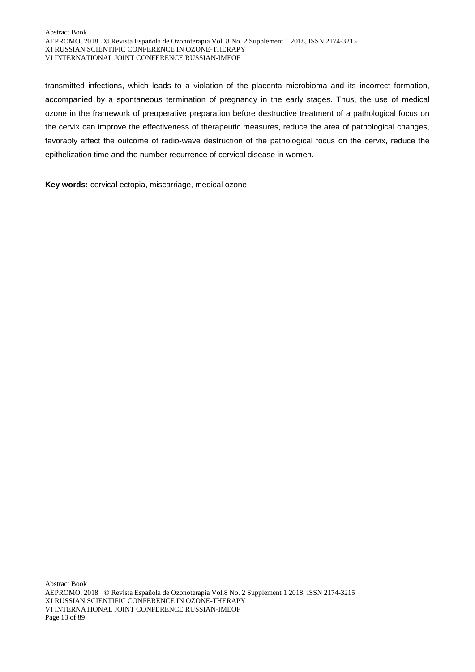transmitted infections, which leads to a violation of the placenta microbioma and its incorrect formation, accompanied by a spontaneous termination of pregnancy in the early stages. Thus, the use of medical ozone in the framework of preoperative preparation before destructive treatment of a pathological focus on the cervix can improve the effectiveness of therapeutic measures, reduce the area of pathological changes, favorably affect the outcome of radio-wave destruction of the pathological focus on the cervix, reduce the epithelization time and the number recurrence of cervical disease in women.

**Key words:** cervical ectopia, miscarriage, medical ozone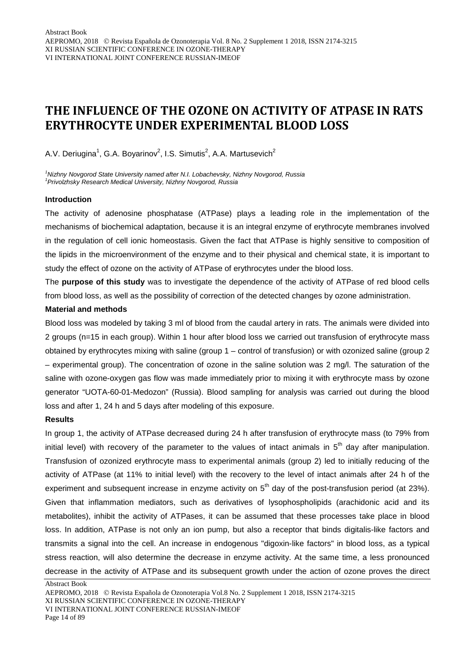### **THE INFLUENCE OF THE OZONE ON ACTIVITY OF ATPASE IN RATS ERYTHROCYTE UNDER EXPERIMENTAL BLOOD LOSS**

A.V. Deriugina<sup>1</sup>, G.A. Boyarinov<sup>2</sup>, I.S. Simutis<sup>2</sup>, A.A. Martusevich<sup>2</sup>

*1 Nizhny Novgorod State University named after N.I. Lobachevsky, Nizhny Novgorod, Russia 1 Privolzhsky Research Medical University, Nizhny Novgorod, Russia*

#### **Introduction**

The activity of adenosine phosphatase (ATPase) plays a leading role in the implementation of the mechanisms of biochemical adaptation, because it is an integral enzyme of erythrocyte membranes involved in the regulation of cell ionic homeostasis. Given the fact that ATPase is highly sensitive to composition of the lipids in the microenvironment of the enzyme and to their physical and chemical state, it is important to study the effect of ozone on the activity of ATPase of erythrocytes under the blood loss.

The **purpose of this study** was to investigate the dependence of the activity of ATPase of red blood cells from blood loss, as well as the possibility of correction of the detected changes by ozone administration.

#### **Material and methods**

Blood loss was modeled by taking 3 ml of blood from the caudal artery in rats. The animals were divided into 2 groups (n=15 in each group). Within 1 hour after blood loss we carried out transfusion of erythrocyte mass obtained by erythrocytes mixing with saline (group 1 – control of transfusion) or with ozonized saline (group 2 – experimental group). The concentration of ozone in the saline solution was 2 mg/l. The saturation of the saline with ozone-oxygen gas flow was made immediately prior to mixing it with erythrocyte mass by ozone generator "UOTA-60-01-Medozon" (Russia). Blood sampling for analysis was carried out during the blood loss and after 1, 24 h and 5 days after modeling of this exposure.

#### **Results**

In group 1, the activity of ATPase decreased during 24 h after transfusion of erythrocyte mass (to 79% from initial level) with recovery of the parameter to the values of intact animals in  $5<sup>th</sup>$  day after manipulation. Transfusion of ozonized erythrocyte mass to experimental animals (group 2) led to initially reducing of the activity of ATPase (at 11% to initial level) with the recovery to the level of intact animals after 24 h of the experiment and subsequent increase in enzyme activity on  $5<sup>th</sup>$  day of the post-transfusion period (at 23%). Given that inflammation mediators, such as derivatives of lysophospholipids (arachidonic acid and its metabolites), inhibit the activity of ATPases, it can be assumed that these processes take place in blood loss. In addition, ATPase is not only an ion pump, but also a receptor that binds digitalis-like factors and transmits a signal into the cell. An increase in endogenous "digoxin-like factors" in blood loss, as a typical stress reaction, will also determine the decrease in enzyme activity. At the same time, a less pronounced decrease in the activity of ATPase and its subsequent growth under the action of ozone proves the direct

AEPROMO, 2018 Revista Española de Ozonoterapia Vol.8 No. 2 Supplement 1 2018, ISSN 2174-3215 XI RUSSIAN SCIENTIFIC CONFERENCE IN OZONE-THERAPY VI INTERNATIONAL JOINT CONFERENCE RUSSIAN-IMEOF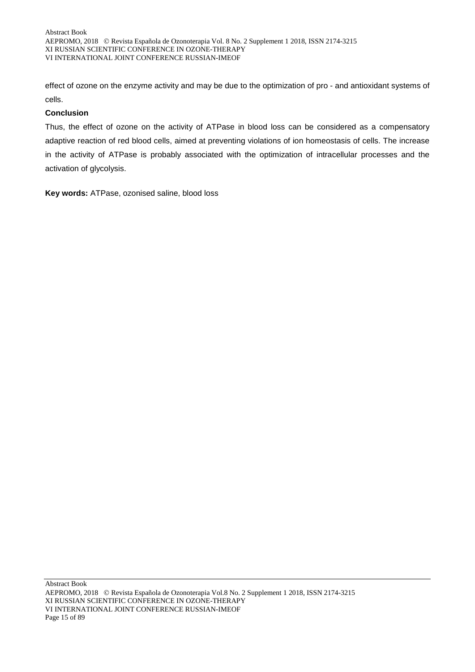effect of ozone on the enzyme activity and may be due to the optimization of pro - and antioxidant systems of cells.

#### **Conclusion**

Thus, the effect of ozone on the activity of ATPase in blood loss can be considered as a compensatory adaptive reaction of red blood cells, aimed at preventing violations of ion homeostasis of cells. The increase in the activity of ATPase is probably associated with the optimization of intracellular processes and the activation of glycolysis.

**Key words:** ATPase, ozonised saline, blood loss

Abstract Book AEPROMO, 2018 Revista Española de Ozonoterapia Vol.8 No. 2 Supplement 1 2018, ISSN 2174-3215 XI RUSSIAN SCIENTIFIC CONFERENCE IN OZONE-THERAPY VI INTERNATIONAL JOINT CONFERENCE RUSSIAN-IMEOF Page 15 of 89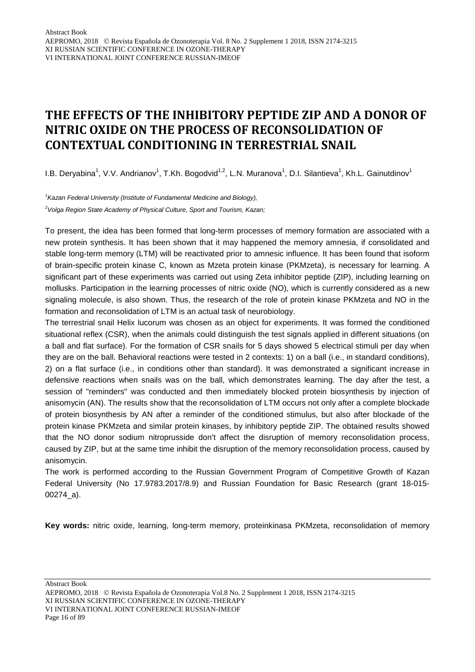### **THE EFFECTS OF THE INHIBITORY PEPTIDE ZIP AND A DONOR OF NITRIC OXIDE ON THE PROCESS OF RECONSOLIDATION OF CONTEXTUAL CONDITIONING IN TERRESTRIAL SNAIL**

I.B. Deryabina<sup>1</sup>, V.V. Andrianov<sup>1</sup>, T.Kh. Bogodvid<sup>1,2</sup>, L.N. Muranova<sup>1</sup>, D.I. Silantieva<sup>1</sup>, Kh.L. Gainutdinov<sup>1</sup>

*1 Kazan Federal University (Institute of Fundamental Medicine and Biology), 2 Volga Region State Academy of Physical Culture, Sport and Tourism, Kazan;*

To present, the idea has been formed that long-term processes of memory formation are associated with a new protein synthesis. It has been shown that it may happened the memory amnesia, if consolidated and stable long-term memory (LTM) will be reactivated prior to amnesic influence. It has been found that isoform of brain-specific protein kinase C, known as Mzeta protein kinase (PKMzeta), is necessary for learning. A significant part of these experiments was carried out using Zeta inhibitor peptide (ZIP), including learning on mollusks. Participation in the learning processes of nitric oxide (NO), which is currently considered as a new signaling molecule, is also shown. Thus, the research of the role of protein kinase PKMzeta and NO in the formation and reconsolidation of LTM is an actual task of neurobiology.

The terrestrial snail Helix lucorum was chosen as an object for experiments. It was formed the conditioned situational reflex (CSR), when the animals could distinguish the test signals applied in different situations (on a ball and flat surface). For the formation of CSR snails for 5 days showed 5 electrical stimuli per day when they are on the ball. Behavioral reactions were tested in 2 contexts: 1) on a ball (i.e., in standard conditions), 2) on a flat surface (i.e., in conditions other than standard). It was demonstrated a significant increase in defensive reactions when snails was on the ball, which demonstrates learning. The day after the test, a session of "reminders" was conducted and then immediately blocked protein biosynthesis by injection of anisomycin (AN). The results show that the reconsolidation of LTM occurs not only after a complete blockade of protein biosynthesis by AN after a reminder of the conditioned stimulus, but also after blockade of the protein kinase PKMzeta and similar protein kinases, by inhibitory peptide ZIP. The obtained results showed that the NO donor sodium nitroprusside don't affect the disruption of memory reconsolidation process, caused by ZIP, but at the same time inhibit the disruption of the memory reconsolidation process, caused by anisomycin.

The work is performed according to the Russian Government Program of Competitive Growth of Kazan Federal University (No 17.9783.2017/8.9) and Russian Foundation for Basic Research (grant 18-015- 00274\_a).

**Key words:** nitric oxide, learning, long-term memory, proteinkinasa PKMzeta, reconsolidation of memory

Abstract Book

AEPROMO, 2018 Revista Española de Ozonoterapia Vol.8 No. 2 Supplement 1 2018, ISSN 2174-3215 XI RUSSIAN SCIENTIFIC CONFERENCE IN OZONE-THERAPY VI INTERNATIONAL JOINT CONFERENCE RUSSIAN-IMEOF Page 16 of 89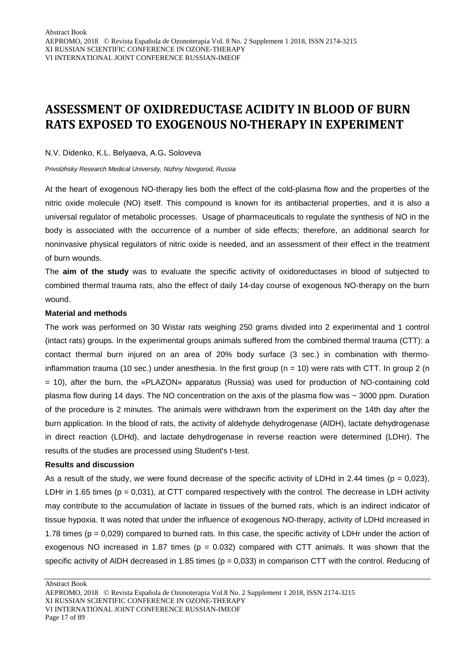### **ASSESSMENT OF OXIDREDUCTASE ACIDITY IN BLOOD OF BURN RATS EXPOSED TO EXOGENOUS NO-THERAPY IN EXPERIMENT**

#### N.V. Didenko, K.L. Belyaeva, A.G**.** Soloveva

*Privolzhsky Research Medical University, Nizhny Novgorod, Russia*

At the heart of exogenous NO-therapy lies both the effect of the cold-plasma flow and the properties of the nitric oxide molecule (NO) itself. This compound is known for its antibacterial properties, and it is also a universal regulator of metabolic processes. Usage of pharmaceuticals to regulate the synthesis of NO in the body is associated with the occurrence of a number of side effects; therefore, an additional search for noninvasive physical regulators of nitric oxide is needed, and an assessment of their effect in the treatment of burn wounds.

The **aim of the study** was to evaluate the specific activity of oxidoreductases in blood of subjected to combined thermal trauma rats, also the effect of daily 14-day course of exogenous NO-therapy on the burn wound.

#### **Material and methods**

The work was performed on 30 Wistar rats weighing 250 grams divided into 2 experimental and 1 control (intact rats) groups. In the experimental groups animals suffered from the combined thermal trauma (CTT): a contact thermal burn injured on an area of 20% body surface (3 sec.) in combination with thermoinflammation trauma (10 sec.) under anesthesia. In the first group (n = 10) were rats with CTT. In group 2 (n = 10), after the burn, the «PLAZON» apparatus (Russia) was used for production of NO-containing cold plasma flow during 14 days. The NO concentration on the axis of the plasma flow was ~ 3000 ppm. Duration of the procedure is 2 minutes. The animals were withdrawn from the experiment on the 14th day after the burn application. In the blood of rats, the activity of aldehyde dehydrogenase (AlDH), lactate dehydrogenase in direct reaction (LDHd), and lactate dehydrogenase in reverse reaction were determined (LDHr). The results of the studies are processed using Student's t-test.

#### **Results and discussion**

As a result of the study, we were found decrease of the specific activity of LDHd in 2.44 times ( $p = 0.023$ ), LDHr in 1.65 times ( $p = 0.031$ ), at CTT compared respectively with the control. The decrease in LDH activity may contribute to the accumulation of lactate in tissues of the burned rats, which is an indirect indicator of tissue hypoxia. It was noted that under the influence of exogenous NO-therapy, activity of LDHd increased in 1.78 times ( $p = 0.029$ ) compared to burned rats. In this case, the specific activity of LDHr under the action of exogenous NO increased in 1.87 times ( $p = 0.032$ ) compared with CTT animals. It was shown that the specific activity of AIDH decreased in 1.85 times ( $p = 0.033$ ) in comparison CTT with the control. Reducing of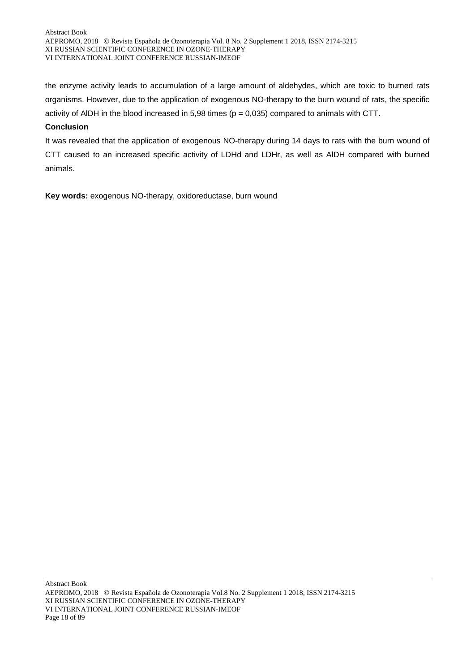the enzyme activity leads to accumulation of a large amount of aldehydes, which are toxic to burned rats organisms. However, due to the application of exogenous NO-therapy to the burn wound of rats, the specific activity of AlDH in the blood increased in 5,98 times (p = 0,035) compared to animals with CTT.

#### **Conclusion**

It was revealed that the application of exogenous NO-therapy during 14 days to rats with the burn wound of CTT caused to an increased specific activity of LDHd and LDHr, as well as AlDH compared with burned animals.

**Key words:** exogenous NO-therapy, oxidoreductase, burn wound

AEPROMO, 2018 Revista Española de Ozonoterapia Vol.8 No. 2 Supplement 1 2018, ISSN 2174-3215 XI RUSSIAN SCIENTIFIC CONFERENCE IN OZONE-THERAPY VI INTERNATIONAL JOINT CONFERENCE RUSSIAN-IMEOF Page 18 of 89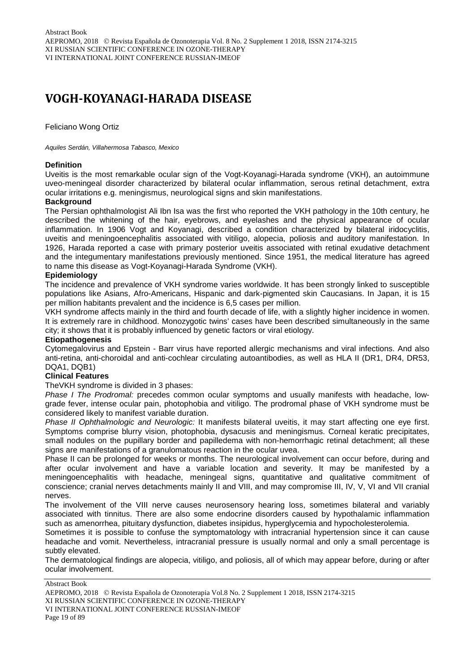### **VOGH-KOYANAGI-HARADA DISEASE**

Feliciano Wong Ortiz

#### *Aquiles Serdán, Villahermosa Tabasco, Mexico*

#### **Definition**

Uveitis is the most remarkable ocular sign of the Vogt-Koyanagi-Harada syndrome (VKH), an autoimmune uveo-meningeal disorder characterized by bilateral ocular inflammation, serous retinal detachment, extra ocular irritations e.g. meningismus, neurological signs and skin manifestations.

#### **Background**

The Persian ophthalmologist Ali Ibn Isa was the first who reported the VKH pathology in the 10th century, he described the whitening of the hair, eyebrows, and eyelashes and the physical appearance of ocular inflammation. In 1906 Vogt and Koyanagi, described a condition characterized by bilateral iridocyclitis, uveitis and meningoencephalitis associated with vitiligo, alopecia, poliosis and auditory manifestation. In 1926, Harada reported a case with primary posterior uveitis associated with retinal exudative detachment and the integumentary manifestations previously mentioned. Since 1951, the medical literature has agreed to name this disease as Vogt-Koyanagi-Harada Syndrome (VKH).

#### **Epidemiology**

The incidence and prevalence of VKH syndrome varies worldwide. It has been strongly linked to susceptible populations like Asians, Afro-Americans, Hispanic and dark-pigmented skin Caucasians. In Japan, it is 15 per million habitants prevalent and the incidence is 6,5 cases per million.

VKH syndrome affects mainly in the third and fourth decade of life, with a slightly higher incidence in women. It is extremely rare in childhood. Monozygotic twins' cases have been described simultaneously in the same city; it shows that it is probably influenced by genetic factors or viral etiology.

#### **Etiopathogenesis**

Cytomegalovirus and Epstein - Barr virus have reported allergic mechanisms and viral infections. And also anti-retina, anti-choroidal and anti-cochlear circulating autoantibodies, as well as HLA II (DR1, DR4, DR53, DQA1, DQB1)

#### **Clinical Features**

TheVKH syndrome is divided in 3 phases:

*Phase I The Prodromal:* precedes common ocular symptoms and usually manifests with headache, lowgrade fever, intense ocular pain, photophobia and vitiligo. The prodromal phase of VKH syndrome must be considered likely to manifest variable duration.

*Phase II Ophthalmologic and Neurologic:* It manifests bilateral uveitis, it may start affecting one eye first. Symptoms comprise blurry vision, photophobia, dysacusis and meningismus. Corneal keratic precipitates, small nodules on the pupillary border and papilledema with non-hemorrhagic retinal detachment; all these signs are manifestations of a granulomatous reaction in the ocular uvea.

Phase II can be prolonged for weeks or months. The neurological involvement can occur before, during and after ocular involvement and have a variable location and severity. It may be manifested by a meningoencephalitis with headache, meningeal signs, quantitative and qualitative commitment of conscience; cranial nerves detachments mainly II and VIII, and may compromise III, IV, V, VI and VII cranial nerves.

The involvement of the VIII nerve causes neurosensory hearing loss, sometimes bilateral and variably associated with tinnitus. There are also some endocrine disorders caused by hypothalamic inflammation such as amenorrhea, pituitary dysfunction, diabetes insipidus, hyperglycemia and hypocholesterolemia.

Sometimes it is possible to confuse the symptomatology with intracranial hypertension since it can cause headache and vomit. Nevertheless, intracranial pressure is usually normal and only a small percentage is subtly elevated.

The dermatological findings are alopecia, vitiligo, and poliosis, all of which may appear before, during or after ocular involvement.

Abstract Book

VI INTERNATIONAL JOINT CONFERENCE RUSSIAN-IMEOF

Page 19 of 89

AEPROMO, 2018 Revista Española de Ozonoterapia Vol.8 No. 2 Supplement 1 2018, ISSN 2174-3215 XI RUSSIAN SCIENTIFIC CONFERENCE IN OZONE-THERAPY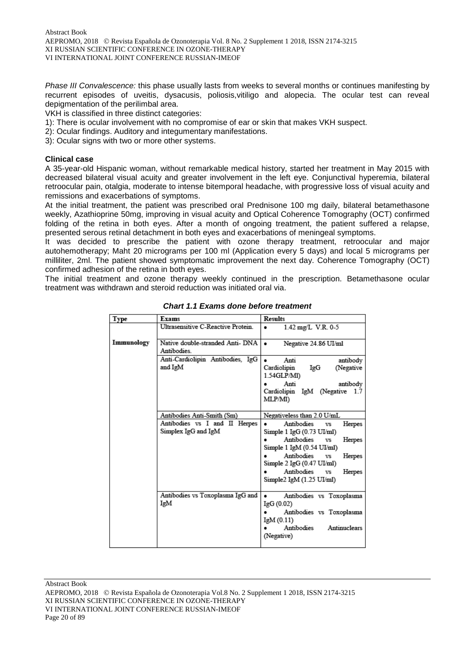*Phase III Convalescence:* this phase usually lasts from weeks to several months or continues manifesting by recurrent episodes of uveitis, dysacusis, poliosis,vitiligo and alopecia. The ocular test can reveal depigmentation of the perilimbal area.

VKH is classified in three distinct categories:

- 1): There is ocular involvement with no compromise of ear or skin that makes VKH suspect.
- 2): Ocular findings. Auditory and integumentary manifestations.
- 3): Ocular signs with two or more other systems.

#### **Clinical case**

A 35-year-old Hispanic woman, without remarkable medical history, started her treatment in May 2015 with decreased bilateral visual acuity and greater involvement in the left eye. Conjunctival hyperemia, bilateral retroocular pain, otalgia, moderate to intense bitemporal headache, with progressive loss of visual acuity and remissions and exacerbations of symptoms.

At the initial treatment, the patient was prescribed oral Prednisone 100 mg daily, bilateral betamethasone weekly, Azathioprine 50mg, improving in visual acuity and Optical Coherence Tomography (OCT) confirmed folding of the retina in both eyes. After a month of ongoing treatment, the patient suffered a relapse, presented serous retinal detachment in both eyes and exacerbations of meningeal symptoms.

It was decided to prescribe the patient with ozone therapy treatment, retroocular and major autohemotherapy; Maht 20 micrograms per 100 ml (Application every 5 days) and local 5 micrograms per milliliter, 2ml. The patient showed symptomatic improvement the next day. Coherence Tomography (OCT) confirmed adhesion of the retina in both eyes.

The initial treatment and ozone therapy weekly continued in the prescription. Betamethasone ocular treatment was withdrawn and steroid reduction was initiated oral via.

| <b>Type</b> | Exams                                                | <b>Results</b>                                                                   |
|-------------|------------------------------------------------------|----------------------------------------------------------------------------------|
|             | Ultrasensitive C-Reactive Protein.                   | 1.42 mg/L V.R. 0-5<br>٠                                                          |
| Immunology  | Native double-stranded Anti- DNA<br>Antibodies.      | Negative 24.86 UI/ml                                                             |
|             | Anti-Cardiolipin Antibodies, IgG<br>and IgM          | antibody<br>Anti<br>IgG<br>Cardiolipin<br>(Negative<br>1.54GLP/MI)               |
|             |                                                      | Anti<br>antibody<br>Cardiolipin IgM (Negative 1.7<br>MLP/M1)                     |
|             | Antibodies Anti-Smith (Sm)                           | Negativeless than 2.0 U/mL                                                       |
|             | Antibodies vs I and II Herpes<br>Simplex IgG and IgM | Antibodies<br>Herpes<br><b>VS</b><br>Simple $1 \text{ IgG}(0.73 \text{ UI/ml})$  |
|             |                                                      | Antibodies vs<br>Herpes<br>Simple 1 IgM (0.54 UI/ml)                             |
|             |                                                      | Antibodies<br><b>VS</b><br>Herpes<br>Simple $2 \text{ IgG} (0.47 \text{ UJ/ml})$ |
|             |                                                      | Antibodies<br>Herpes<br>vs<br>Simple2 IgM (1.25 UI/ml)                           |
|             | Antibodies vs Toxoplasma IgG and<br>IgM              | Antibodies vs Toxoplasma<br>٠<br>IgG(0.02)                                       |
|             |                                                      | Antibodies vs Toxoplasma<br>IgM(0.11)                                            |
|             |                                                      | Antibodies<br>Antinuclears<br>(Negative)                                         |

*Chart 1.1 Exams done before treatment*

AEPROMO, 2018 Revista Española de Ozonoterapia Vol.8 No. 2 Supplement 1 2018, ISSN 2174-3215 XI RUSSIAN SCIENTIFIC CONFERENCE IN OZONE-THERAPY VI INTERNATIONAL JOINT CONFERENCE RUSSIAN-IMEOF Page 20 of 89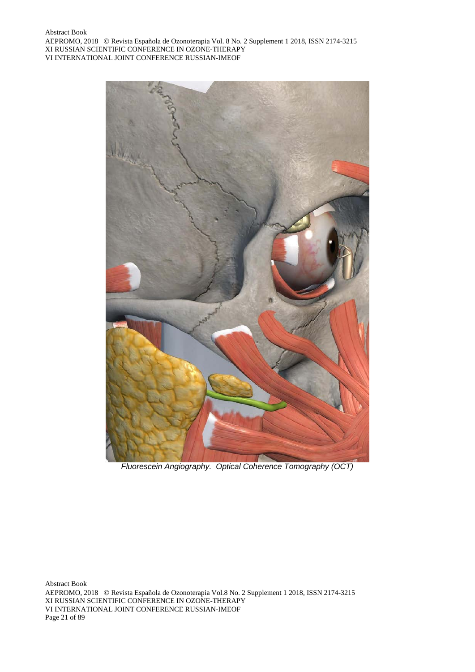

*Fluorescein Angiography. Optical Coherence Tomography (OCT)*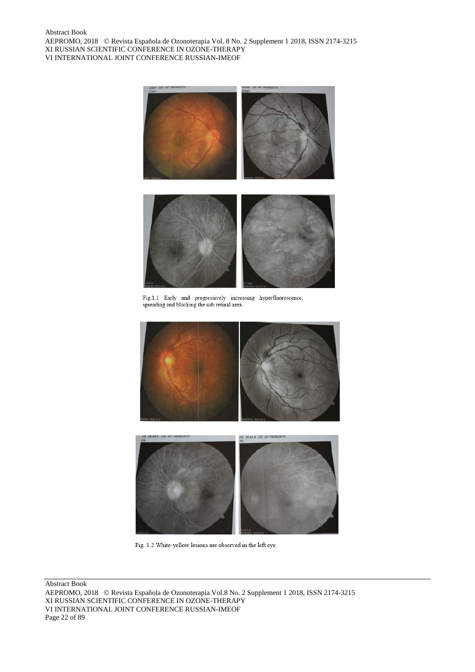

Fig.1.1 Early and progressively increasing hyperfluorescence, spreading and blocking the sub retinal area.





Fig. 1.2 White-yellow lesions are observed in the left eye.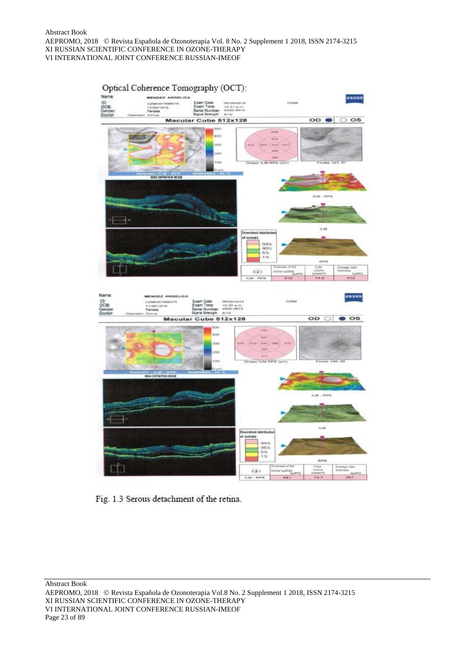

Fig. 1.3 Serous detachment of the retina.

Abstract Book

AEPROMO, 2018 Revista Española de Ozonoterapia Vol.8 No. 2 Supplement 1 2018, ISSN 2174-3215 XI RUSSIAN SCIENTIFIC CONFERENCE IN OZONE-THERAPY VI INTERNATIONAL JOINT CONFERENCE RUSSIAN-IMEOF Page 23 of 89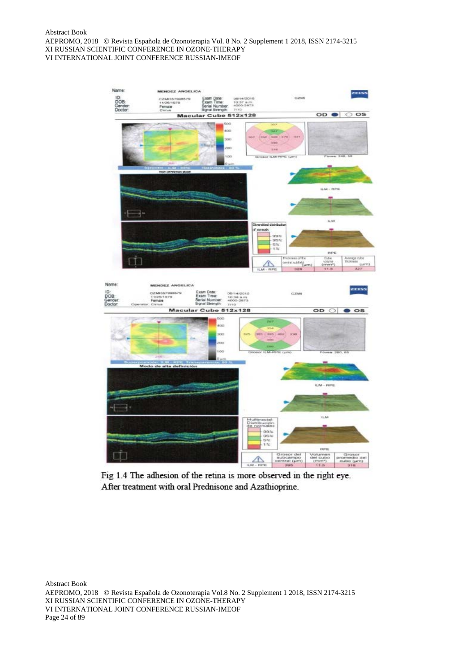

Fig 1.4 The adhesion of the retina is more observed in the right eye. After treatment with oral Prednisone and Azathioprine.

Abstract Book

AEPROMO, 2018 Revista Española de Ozonoterapia Vol.8 No. 2 Supplement 1 2018, ISSN 2174-3215 XI RUSSIAN SCIENTIFIC CONFERENCE IN OZONE-THERAPY VI INTERNATIONAL JOINT CONFERENCE RUSSIAN-IMEOF Page 24 of 89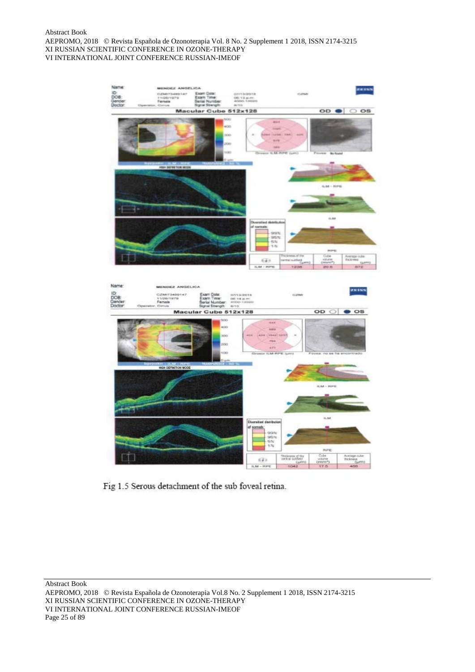

Fig 1.5 Serous detachment of the sub foveal retina.

Abstract Book

AEPROMO, 2018 Revista Española de Ozonoterapia Vol.8 No. 2 Supplement 1 2018, ISSN 2174-3215 XI RUSSIAN SCIENTIFIC CONFERENCE IN OZONE-THERAPY VI INTERNATIONAL JOINT CONFERENCE RUSSIAN-IMEOF Page 25 of 89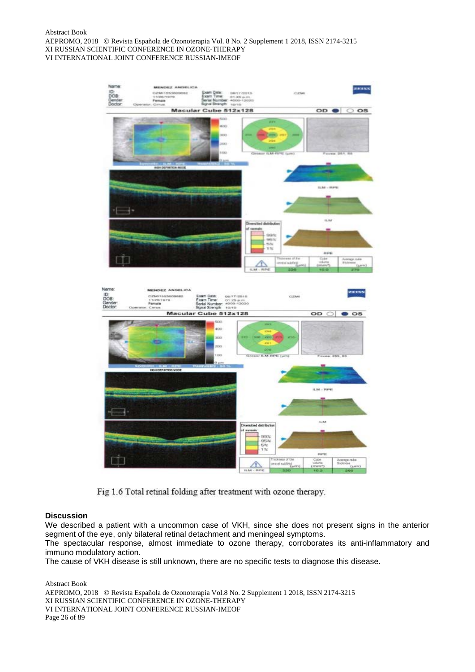

Fig 1.6 Total retinal folding after treatment with ozone therapy.

#### **Discussion**

We described a patient with a uncommon case of VKH, since she does not present signs in the anterior segment of the eye, only bilateral retinal detachment and meningeal symptoms.

The spectacular response, almost immediate to ozone therapy, corroborates its anti-inflammatory and immuno modulatory action.

The cause of VKH disease is still unknown, there are no specific tests to diagnose this disease.

AEPROMO, 2018 Revista Española de Ozonoterapia Vol.8 No. 2 Supplement 1 2018, ISSN 2174-3215 XI RUSSIAN SCIENTIFIC CONFERENCE IN OZONE-THERAPY VI INTERNATIONAL JOINT CONFERENCE RUSSIAN-IMEOF Page 26 of 89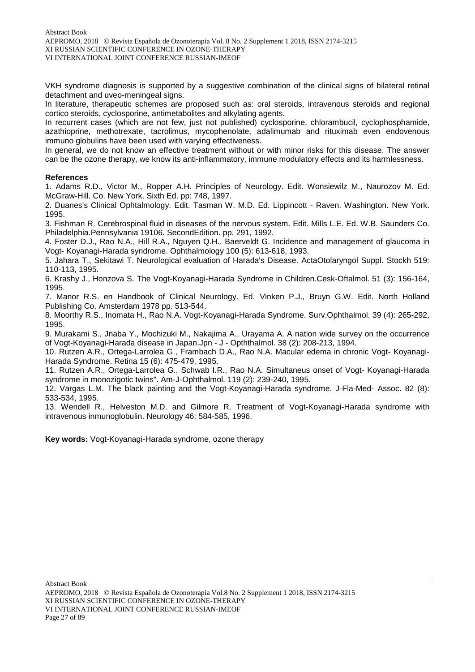VKH syndrome diagnosis is supported by a suggestive combination of the clinical signs of bilateral retinal detachment and uveo-meningeal signs.

In literature, therapeutic schemes are proposed such as: oral steroids, intravenous steroids and regional cortico steroids, cyclosporine, antimetabolites and alkylating agents.

In recurrent cases (which are not few, just not published) cyclosporine, chlorambucil, cyclophosphamide, azathioprine, methotrexate, tacrolimus, mycophenolate, adalimumab and rituximab even endovenous immuno globulins have been used with varying effectiveness.

In general, we do not know an effective treatment without or with minor risks for this disease. The answer can be the ozone therapy, we know its anti-inflammatory, immune modulatory effects and its harmlessness.

#### **References**

1. Adams R.D., Victor M., Ropper A.H. Principles of Neurology. Edit. Wonsiewilz M., Naurozov M. Ed. McGraw-Hill. Co. New York. Sixth Ed. pp: 748, 1997.

2. Duanes's Clinical Ophtalmology. Edit. Tasman W. M.D. Ed. Lippincott - Raven. Washington. New York. 1995.

3. Fishman R. Cerebrospinal fluid in diseases of the nervous system. Edit. Mills L.E. Ed. W.B. Saunders Co. Philadelphia.Pennsylvania 19106. SecondEdition. pp. 291, 1992.

4. Foster D.J., Rao N.A., Hill R.A., Nguyen Q.H., Baerveldt G. Incidence and management of glaucoma in Vogt- Koyanagi-Harada syndrome. Ophthalmology 100 (5): 613-618, 1993.

5. Jahara T., Sekitawi T. Neurological evaluation of Harada's Disease. ActaOtolaryngol Suppl. Stockh 519: 110-113, 1995.

6. Krashy J., Honzova S. The Vogt-Koyanagi-Harada Syndrome in Children.Cesk-Oftalmol. 51 (3): 156-164, 1995.

7. Manor R.S. en Handbook of Clinical Neurology. Ed. Vinken P.J., Bruyn G.W. Edit. North Holland Publishing Co. Amsterdam 1978 pp. 513-544.

8. Moorthy R.S., Inomata H., Rao N.A. Vogt-Koyanagi-Harada Syndrome. Surv.Ophthalmol. 39 (4): 265-292, 1995.

9. Murakami S., Jnaba Y., Mochizuki M., Nakajima A., Urayama A. A nation wide survey on the occurrence of Vogt-Koyanagi-Harada disease in Japan.Jpn - J - Opththalmol. 38 (2): 208-213, 1994.

10. Rutzen A.R., Ortega-Larrolea G., Frambach D.A., Rao N.A. Macular edema in chronic Vogt- Koyanagi-Harada Syndrome. Retina 15 (6): 475-479, 1995.

11. Rutzen A.R., Ortega-Larrolea G., Schwab I.R., Rao N.A. Simultaneus onset of Vogt- Koyanagi-Harada syndrome in monozigotic twins". Am-J-Ophthalmol. 119 (2): 239-240, 1995.

12. Vargas L.M. The black painting and the Vogt-Koyanagi-Harada syndrome. J-Fla-Med- Assoc. 82 (8): 533-534, 1995.

13. Wendell R., Helveston M.D. and Gilmore R. Treatment of Vogt-Koyanagi-Harada syndrome with intravenous inmunoglobulin. Neurology 46: 584-585, 1996.

**Key words:** Vogt-Koyanagi-Harada syndrome, ozone therapy

AEPROMO, 2018 Revista Española de Ozonoterapia Vol.8 No. 2 Supplement 1 2018, ISSN 2174-3215 XI RUSSIAN SCIENTIFIC CONFERENCE IN OZONE-THERAPY VI INTERNATIONAL JOINT CONFERENCE RUSSIAN-IMEOF Page 27 of 89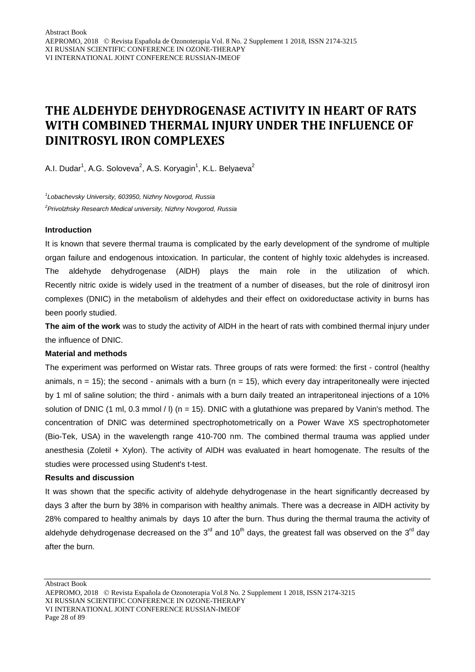### **THE ALDEHYDE DEHYDROGENASE ACTIVITY IN HEART OF RATS WITH COMBINED THERMAL INJURY UNDER THE INFLUENCE OF DINITROSYL IRON COMPLEXES**

A.I. Dudar<sup>1</sup>, A.G. Soloveva<sup>2</sup>, A.S. Koryagin<sup>1</sup>, K.L. Belyaeva<sup>2</sup>

*1 Lobachevsky University, 603950, Nizhny Novgorod, Russia 2 Privolzhsky Research Medical university, Nizhny Novgorod, Russia*

#### **Introduction**

It is known that severe thermal trauma is complicated by the early development of the syndrome of multiple organ failure and endogenous intoxication. In particular, the content of highly toxic aldehydes is increased. The aldehyde dehydrogenase (AlDH) plays the main role in the utilization of which. Recently nitric oxide is widely used in the treatment of a number of diseases, but the role of dinitrosyl iron complexes (DNIC) in the metabolism of aldehydes and their effect on oxidoreductase activity in burns has been poorly studied.

**The aim of the work** was to study the activity of AlDH in the heart of rats with combined thermal injury under the influence of DNIC.

#### **Material and methods**

The experiment was performed on Wistar rats. Three groups of rats were formed: the first - control (healthy animals,  $n = 15$ ); the second - animals with a burn ( $n = 15$ ), which every day intraperitoneally were injected by 1 ml of saline solution; the third - animals with a burn daily treated an intraperitoneal injections of a 10% solution of DNIC (1 ml, 0.3 mmol / l) (n = 15). DNIC with a glutathione was prepared by Vanin's method. The concentration of DNIC was determined spectrophotometrically on a Power Wave XS spectrophotometer (Bio-Tek, USA) in the wavelength range 410-700 nm. The combined thermal trauma was applied under anesthesia (Zoletil + Xylon). The activity of AlDH was evaluated in heart homogenate. The results of the studies were processed using Student's t-test.

#### **Results and discussion**

It was shown that the specific activity of aldehyde dehydrogenase in the heart significantly decreased by days 3 after the burn by 38% in comparison with healthy animals. There was a decrease in AlDH activity by 28% compared to healthy animals by days 10 after the burn. Thus during the thermal trauma the activity of aldehyde dehydrogenase decreased on the  $3<sup>rd</sup>$  and 10<sup>th</sup> days, the greatest fall was observed on the 3<sup>rd</sup> day after the burn.

AEPROMO, 2018 Revista Española de Ozonoterapia Vol.8 No. 2 Supplement 1 2018, ISSN 2174-3215 XI RUSSIAN SCIENTIFIC CONFERENCE IN OZONE-THERAPY VI INTERNATIONAL JOINT CONFERENCE RUSSIAN-IMEOF Page 28 of 89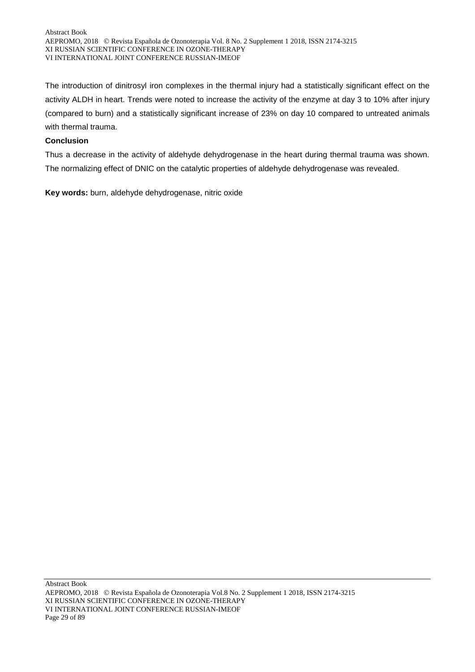The introduction of dinitrosyl iron complexes in the thermal injury had a statistically significant effect on the activity ALDH in heart. Trends were noted to increase the activity of the enzyme at day 3 to 10% after injury (compared to burn) and a statistically significant increase of 23% on day 10 compared to untreated animals with thermal trauma.

#### **Conclusion**

Thus a decrease in the activity of aldehyde dehydrogenase in the heart during thermal trauma was shown. The normalizing effect of DNIC on the catalytic properties of aldehyde dehydrogenase was revealed.

**Key words:** burn, aldehyde dehydrogenase, nitric oxide

Abstract Book AEPROMO, 2018 Revista Española de Ozonoterapia Vol.8 No. 2 Supplement 1 2018, ISSN 2174-3215 XI RUSSIAN SCIENTIFIC CONFERENCE IN OZONE-THERAPY VI INTERNATIONAL JOINT CONFERENCE RUSSIAN-IMEOF Page 29 of 89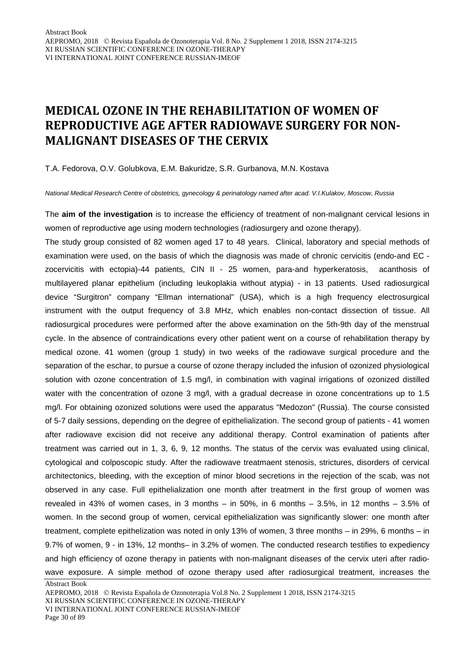### **MEDICAL OZONE IN THE REHABILITATION OF WOMEN OF REPRODUCTIVE AGE AFTER RADIOWAVE SURGERY FOR NON-MALIGNANT DISEASES OF THE CERVIX**

T.A. Fedorova, O.V. Golubkova, E.M. Bakuridze, S.R. Gurbanova, M.N. Kostava

*National Medical Research Centre of obstetrics, gynecology & perinatology named after acad. V.I.Kulakov, Moscow, Russia*

The **aim of the investigation** is to increase the efficiency of treatment of non-malignant cervical lesions in women of reproductive age using modern technologies (radiosurgery and ozone therapy).

The study group consisted of 82 women aged 17 to 48 years. Clinical, laboratory and special methods of examination were used, on the basis of which the diagnosis was made of chronic cervicitis (endo-and EC zocervicitis with ectopia)-44 patients, CIN II - 25 women, para-and hyperkeratosis, acanthosis of multilayered planar epithelium (including leukoplakia without atypia) - in 13 patients. Used radiosurgical device "Surgitron" company "Ellman international" (USA), which is a high frequency electrosurgical instrument with the output frequency of 3.8 MHz, which enables non-contact dissection of tissue. All radiosurgical procedures were performed after the above examination on the 5th-9th day of the menstrual cycle. In the absence of contraindications every other patient went on a course of rehabilitation therapy by medical ozone. 41 women (group 1 study) in two weeks of the radiowave surgical procedure and the separation of the eschar, to pursue a course of ozone therapy included the infusion of ozonized physiological solution with ozone concentration of 1.5 mg/l, in combination with vaginal irrigations of ozonized distilled water with the concentration of ozone 3 mg/l, with a gradual decrease in ozone concentrations up to 1.5 mg/l. For obtaining ozonized solutions were used the apparatus "Medozon" (Russia). The course consisted of 5-7 daily sessions, depending on the degree of epithelialization. The second group of patients - 41 women after radiowave excision did not receive any additional therapy. Control examination of patients after treatment was carried out in 1, 3, 6, 9, 12 months. The status of the cervix was evaluated using clinical, cytological and colposcopic study. After the radiowave treatmaent stenosis, strictures, disorders of cervical architectonics, bleeding, with the exception of minor blood secretions in the rejection of the scab, was not observed in any case. Full epithelialization one month after treatment in the first group of women was revealed in 43% of women cases, in 3 months – in 50%, in 6 months – 3.5%, in 12 months – 3.5% of women. In the second group of women, cervical epithelialization was significantly slower: one month after treatment, complete epithelization was noted in only 13% of women, 3 three months – in 29%, 6 months – in 9.7% of women, 9 - in 13%, 12 months– in 3.2% of women. The conducted research testifies to expediency and high efficiency of ozone therapy in patients with non-malignant diseases of the cervix uteri after radiowave exposure. A simple method of ozone therapy used after radiosurgical treatment, increases the

Abstract Book

VI INTERNATIONAL JOINT CONFERENCE RUSSIAN-IMEOF

Page 30 of 89

AEPROMO, 2018 Revista Española de Ozonoterapia Vol.8 No. 2 Supplement 1 2018, ISSN 2174-3215 XI RUSSIAN SCIENTIFIC CONFERENCE IN OZONE-THERAPY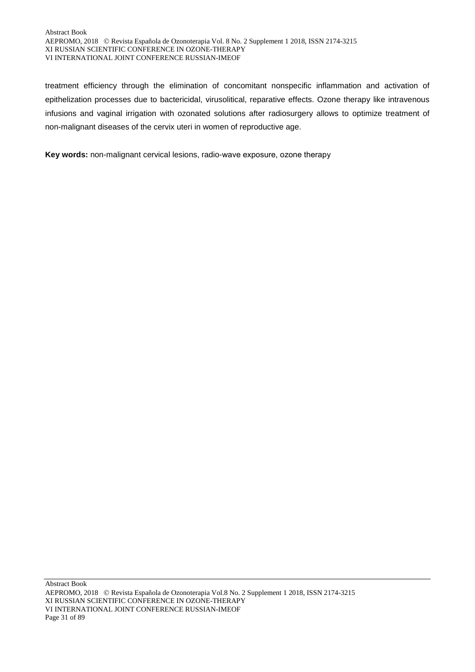#### Abstract Book AEPROMO, 2018 Revista Española de Ozonoterapia Vol. 8 No. 2 Supplement 1 2018, ISSN 2174-3215 XI RUSSIAN SCIENTIFIC CONFERENCE IN OZONE-THERAPY VI INTERNATIONAL JOINT CONFERENCE RUSSIAN-IMEOF

treatment efficiency through the elimination of concomitant nonspecific inflammation and activation of epithelization processes due to bactericidal, virusolitical, reparative effects. Ozone therapy like intravenous infusions and vaginal irrigation with ozonated solutions after radiosurgery allows to optimize treatment of non-malignant diseases of the cervix uteri in women of reproductive age.

**Key words:** non-malignant cervical lesions, radio-wave exposure, оzone therapy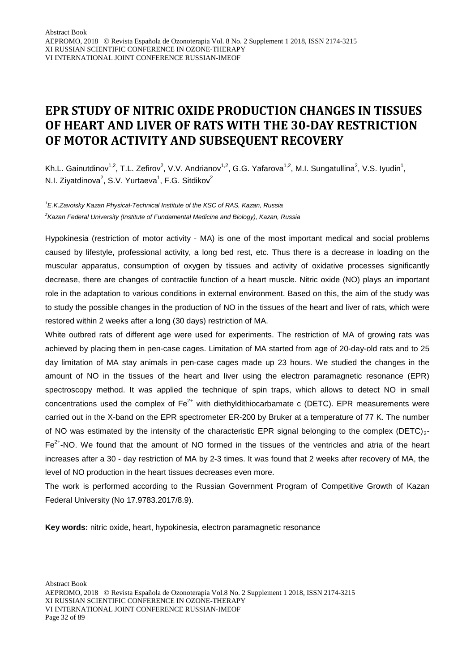### **EPR STUDY OF NITRIC OXIDE PRODUCTION CHANGES IN TISSUES OF HEART AND LIVER OF RATS WITH THE 30-DAY RESTRICTION OF MOTOR ACTIVITY AND SUBSEQUENT RECOVERY**

Kh.L. Gainutdinov<sup>1,2</sup>, T.L. Zefirov<sup>2</sup>, V.V. Andrianov<sup>1,2</sup>, G.G. Yafarova<sup>1,2</sup>, M.I. Sungatullina<sup>2</sup>, V.S. Iyudin<sup>1</sup>, N.I. Ziyatdinova<sup>2</sup>, S.V. Yurtaeva<sup>1</sup>, F.G. Sitdikov<sup>2</sup>

*1 E.K.Zavoisky Kazan Physical-Technical Institute of the KSC of RAS, Kazan, Russia 2 Kazan Federal University (Institute of Fundamental Medicine and Biology), Kazan, Russia*

Hypokinesia (restriction of motor activity - MA) is one of the most important medical and social problems caused by lifestyle, professional activity, a long bed rest, etc. Thus there is a decrease in loading on the muscular apparatus, consumption of oxygen by tissues and activity of oxidative processes significantly decrease, there are changes of contractile function of a heart muscle. Nitric oxide (NO) plays an important role in the adaptation to various conditions in external environment. Based on this, the aim of the study was to study the possible changes in the production of NO in the tissues of the heart and liver of rats, which were restored within 2 weeks after a long (30 days) restriction of MA.

White outbred rats of different age were used for experiments. The restriction of MA of growing rats was achieved by placing them in pen-case cages. Limitation of MA started from age of 20-day-old rats and to 25 day limitation of MA stay animals in pen-case cages made up 23 hours. We studied the changes in the amount of NO in the tissues of the heart and liver using the electron paramagnetic resonance (EPR) spectroscopy method. It was applied the technique of spin traps, which allows to detect NO in small concentrations used the complex of  $Fe^{2+}$  with diethyldithiocarbamate c (DETC). EPR measurements were carried out in the X-band on the EPR spectrometer ER-200 by Bruker at a temperature of 77 K. The number of NO was estimated by the intensity of the characteristic EPR signal belonging to the complex (DETC) $_2$ - $Fe<sup>2+</sup>$ -NO. We found that the amount of NO formed in the tissues of the ventricles and atria of the heart increases after a 30 - day restriction of MA by 2-3 times. It was found that 2 weeks after recovery of MA, the level of NO production in the heart tissues decreases even more.

The work is performed according to the Russian Government Program of Competitive Growth of Kazan Federal University (No 17.9783.2017/8.9).

**Key words:** nitric oxide, heart, hypokinesia, electron paramagnetic resonance

Abstract Book

AEPROMO, 2018 Revista Española de Ozonoterapia Vol.8 No. 2 Supplement 1 2018, ISSN 2174-3215 XI RUSSIAN SCIENTIFIC CONFERENCE IN OZONE-THERAPY VI INTERNATIONAL JOINT CONFERENCE RUSSIAN-IMEOF Page 32 of 89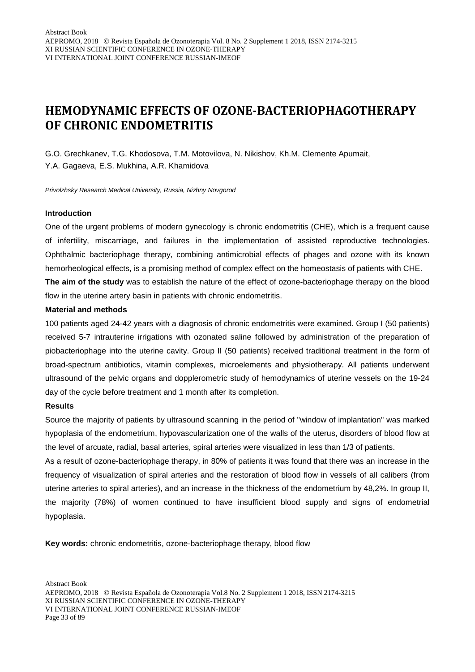### **HEMODYNAMIC EFFECTS OF OZONE-BACTERIOPHAGOTHERAPY OF CHRONIC ENDOMETRITIS**

G.O. Grechkanev, T.G. Khodosova, T.M. Motovilova, N. Nikishov, Kh.M. Clemente Apumait, Y.A. Gagaeva, E.S. Mukhina, A.R. Khamidova

*Privolzhsky Research Medical University, Russia, Nizhny Novgorod*

#### **Introduction**

One of the urgent problems of modern gynecology is chronic endometritis (CHE), which is a frequent cause of infertility, miscarriage, and failures in the implementation of assisted reproductive technologies. Ophthalmic bacteriophage therapy, combining antimicrobial effects of phages and ozone with its known hemorheological effects, is a promising method of complex effect on the homeostasis of patients with CHE. **The aim of the study** was to establish the nature of the effect of ozone-bacteriophage therapy on the blood flow in the uterine artery basin in patients with chronic endometritis.

#### **Material and methods**

100 patients aged 24-42 years with a diagnosis of chronic endometritis were examined. Group I (50 patients) received 5-7 intrauterine irrigations with ozonated saline followed by administration of the preparation of piobacteriophage into the uterine cavity. Group II (50 patients) received traditional treatment in the form of broad-spectrum antibiotics, vitamin complexes, microelements and physiotherapy. All patients underwent ultrasound of the pelvic organs and dopplerometric study of hemodynamics of uterine vessels on the 19-24 day of the cycle before treatment and 1 month after its completion.

#### **Results**

Source the majority of patients by ultrasound scanning in the period of "window of implantation" was marked hypoplasia of the endometrium, hypovascularization one of the walls of the uterus, disorders of blood flow at the level of arcuate, radial, basal arteries, spiral arteries were visualized in less than 1/3 of patients.

As a result of ozone-bacteriophage therapy, in 80% of patients it was found that there was an increase in the frequency of visualization of spiral arteries and the restoration of blood flow in vessels of all calibers (from uterine arteries to spiral arteries), and an increase in the thickness of the endometrium by 48,2%. In group II, the majority (78%) of women continued to have insufficient blood supply and signs of endometrial hypoplasia.

**Key words:** chronic endometritis, ozone-bacteriophage therapy, blood flow

AEPROMO, 2018 Revista Española de Ozonoterapia Vol.8 No. 2 Supplement 1 2018, ISSN 2174-3215 XI RUSSIAN SCIENTIFIC CONFERENCE IN OZONE-THERAPY VI INTERNATIONAL JOINT CONFERENCE RUSSIAN-IMEOF Page 33 of 89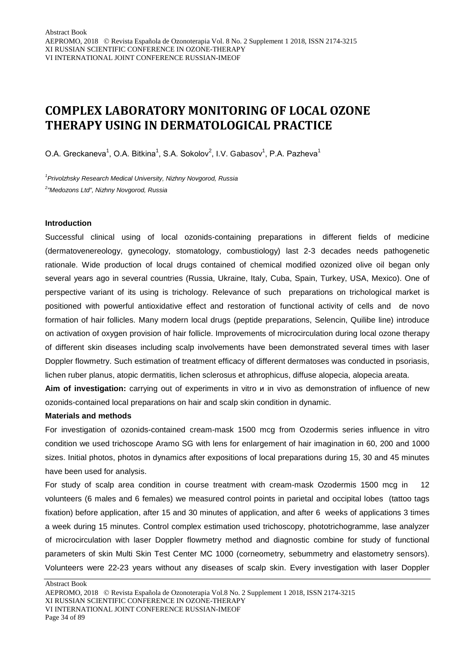### **COMPLEX LABORATORY MONITORING OF LOCAL OZONE THERAPY USING IN DERMATOLOGICAL PRACTICE**

O.A. Greckaneva<sup>1</sup>, O.A. Bitkina<sup>1</sup>, S.A. Sokolov<sup>2</sup>, I.V. Gabasov<sup>1</sup>, P.A. Pazheva<sup>1</sup>

*1 Privolzhsky Research Medical University, Nizhny Novgorod, Russia 2 "Medozons Ltd", Nizhny Novgorod, Russia*

#### **Introduction**

Successful clinical using of local ozonids-containing preparations in different fields of medicine (dermatovenereology, gynecology, stomatology, combustiology) last 2-3 decades needs pathogenetic rationale. Wide production of local drugs contained of chemical modified ozonized olive oil began only several years ago in several countries (Russia, Ukraine, Italy, Cuba, Spain, Turkey, USA, Mexico). One of perspective variant of its using is trichology. Relevance of such preparations on trichological market is positioned with powerful antioxidative effect and restoration of functional activity of cells and de novo formation of hair follicles. Many modern local drugs (peptide preparations, Selencin, Quilibe line) introduce on activation of oxygen provision of hair follicle. Improvements of microcirculation during local ozone therapy of different skin diseases including scalp involvements have been demonstrated several times with laser Doppler flowmetry. Such estimation of treatment efficacy of different dermatoses was conducted in psoriasis, lichen ruber planus, atopic dermatitis, lichen sclerosus et athrophicus, diffuse alopecia, alopecia areata.

**Aim of investigation:** carrying out of experiments in vitro и in vivo as demonstration of influence of new ozonids-contained local preparations on hair and scalp skin condition in dynamic.

#### **Materials and methods**

For investigation of ozonids-contained cream-mask 1500 mcg from Ozodermis series influence in vitro condition we used trichoscope Aramo SG with lens for enlargement of hair imagination in 60, 200 and 1000 sizes. Initial photos, photos in dynamics after expositions of local preparations during 15, 30 and 45 minutes have been used for analysis.

For study of scalp area condition in course treatment with cream-mask Ozodermis 1500 mcg in 12 volunteers (6 males and 6 females) we measured control points in parietal and occipital lobes (tattoo tags fixation) before application, after 15 and 30 minutes of application, and after 6 weeks of applications 3 times a week during 15 minutes. Control complex estimation used trichoscopy, phototrichogramme, lase analyzer of microcirculation with laser Doppler flowmetry method and diagnostic combine for study of functional parameters of skin Multi Skin Test Center MC 1000 (corneometry, sebummetry and elastometry sensors). Volunteers were 22-23 years without any diseases of scalp skin. Every investigation with laser Doppler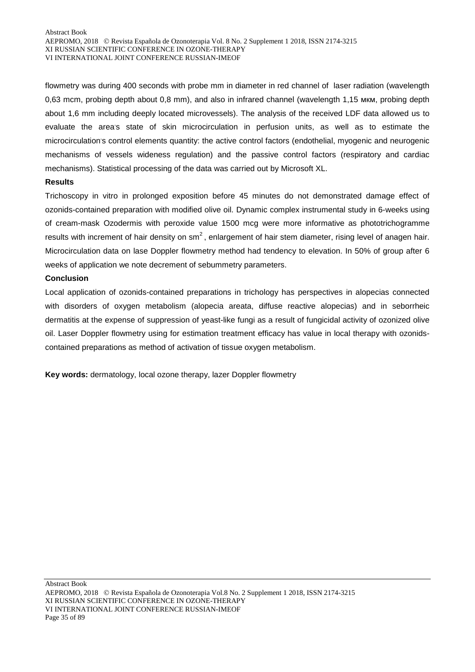flowmetry was during 400 seconds with probe mm in diameter in red channel of laser radiation (wavelength 0,63 mcm, probing depth about 0,8 mm), and also in infrared channel (wavelength 1,15 мкм, probing depth about 1,6 mm including deeply located microvessels). The analysis of the received LDF data allowed us to evaluate the area's state of skin microcirculation in perfusion units, as well as to estimate the microcirculation's control elements quantity: the active control factors (endothelial, myogenic and neurogenic mechanisms of vessels wideness regulation) and the passive control factors (respiratory and cardiac mechanisms). Statistical processing of the data was carried out by Microsoft XL.

#### **Results**

Trichoscopy in vitro in prolonged exposition before 45 minutes do not demonstrated damage effect of ozonids-contained preparation with modified olive oil. Dynamic complex instrumental study in 6-weeks using of cream-mask Ozodermis with peroxide value 1500 mcg were more informative as phototrichogramme results with increment of hair density on  $\text{sm}^2$ , enlargement of hair stem diameter, rising level of anagen hair. Microcirculation data on lase Doppler flowmetry method had tendency to elevation. In 50% of group after 6 weeks of application we note decrement of sebummetry parameters.

#### **Conclusion**

Local application of ozonids-contained preparations in trichology has perspectives in alopecias connected with disorders of oxygen metabolism (alopecia areata, diffuse reactive alopecias) and in seborrheic dermatitis at the expense of suppression of yeast-like fungi as a result of fungicidal activity of ozonized olive oil. Laser Doppler flowmetry using for estimation treatment efficacy has value in local therapy with ozonidscontained preparations as method of activation of tissue oxygen metabolism.

**Key words:** dermatology, local ozone therapy, lazer Doppler flowmetry

Abstract Book AEPROMO, 2018 Revista Española de Ozonoterapia Vol.8 No. 2 Supplement 1 2018, ISSN 2174-3215 XI RUSSIAN SCIENTIFIC CONFERENCE IN OZONE-THERAPY VI INTERNATIONAL JOINT CONFERENCE RUSSIAN-IMEOF Page 35 of 89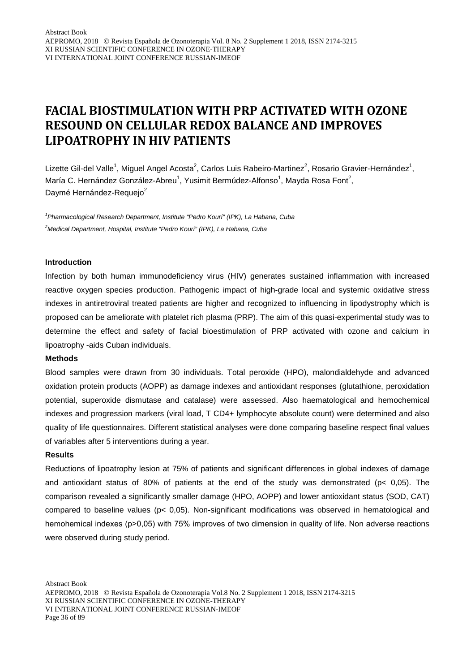### **FACIAL BIOSTIMULATION WITH PRP ACTIVATED WITH OZONE RESOUND ON CELLULAR REDOX BALANCE AND IMPROVES LIPOATROPHY IN HIV PATIENTS**

Lizette Gil-del Valle<sup>1</sup>, Miguel Angel Acosta<sup>2</sup>, Carlos Luis Rabeiro-Martinez<sup>2</sup>, Rosario Gravier-Hernández<sup>1</sup>, María C. Hernández González-Abreu<sup>1</sup>, Yusimit Bermúdez-Alfonso<sup>1</sup>, Mayda Rosa Font<sup>2</sup>, Daymé Hernández-Requejo<sup>2</sup>

*1 Pharmacological Research Department, Institute "Pedro Kourí" (IPK), La Habana, Cuba 2 Medical Department, Hospital, Institute "Pedro Kourí" (IPK), La Habana, Cuba*

#### **Introduction**

Infection by both human immunodeficiency virus (HIV) generates sustained inflammation with increased reactive oxygen species production. Pathogenic impact of high-grade local and systemic oxidative stress indexes in antiretroviral treated patients are higher and recognized to influencing in lipodystrophy which is proposed can be ameliorate with platelet rich plasma (PRP). The aim of this quasi-experimental study was to determine the effect and safety of facial bioestimulation of PRP activated with ozone and calcium in lipoatrophy -aids Cuban individuals.

#### **Methods**

Blood samples were drawn from 30 individuals. Total peroxide (HPO), malondialdehyde and advanced oxidation protein products (AOPP) as damage indexes and antioxidant responses (glutathione, peroxidation potential, superoxide dismutase and catalase) were assessed. Also haematological and hemochemical indexes and progression markers (viral load, T CD4+ lymphocyte absolute count) were determined and also quality of life questionnaires. Different statistical analyses were done comparing baseline respect final values of variables after 5 interventions during a year.

#### **Results**

Reductions of lipoatrophy lesion at 75% of patients and significant differences in global indexes of damage and antioxidant status of 80% of patients at the end of the study was demonstrated (p< 0,05). The comparison revealed a significantly smaller damage (HPO, AOPP) and lower antioxidant status (SOD, CAT) compared to baseline values (p< 0,05). Non-significant modifications was observed in hematological and hemohemical indexes (p>0,05) with 75% improves of two dimension in quality of life. Non adverse reactions were observed during study period.

AEPROMO, 2018 Revista Española de Ozonoterapia Vol.8 No. 2 Supplement 1 2018, ISSN 2174-3215 XI RUSSIAN SCIENTIFIC CONFERENCE IN OZONE-THERAPY VI INTERNATIONAL JOINT CONFERENCE RUSSIAN-IMEOF Page 36 of 89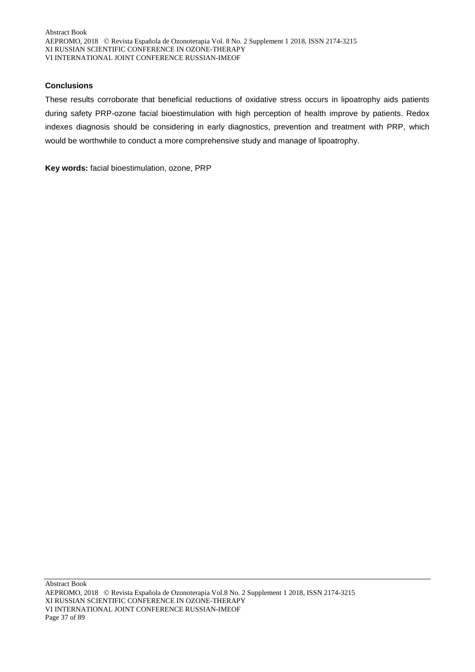# **Conclusions**

These results corroborate that beneficial reductions of oxidative stress occurs in lipoatrophy aids patients during safety PRP-ozone facial bioestimulation with high perception of health improve by patients. Redox indexes diagnosis should be considering in early diagnostics, prevention and treatment with PRP, which would be worthwhile to conduct a more comprehensive study and manage of lipoatrophy.

**Key words:** facial bioestimulation, ozone, PRP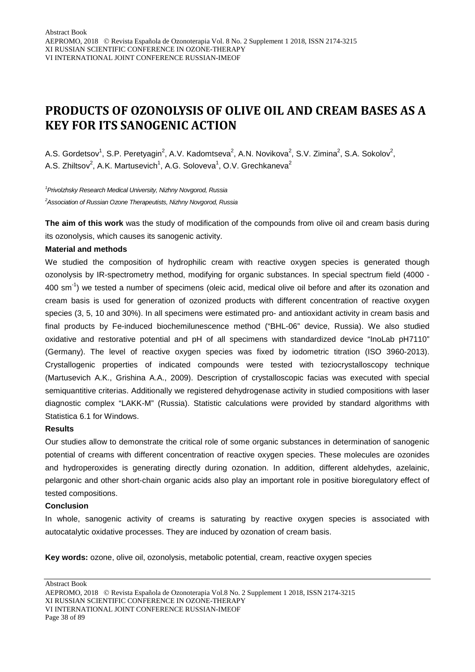# **PRODUCTS OF OZONOLYSIS OF OLIVE OIL AND CREAM BASES AS A KEY FOR ITS SANOGENIC ACTION**

A.S. Gordetsov<sup>1</sup>, S.P. Peretyagin<sup>2</sup>, A.V. Kadomtseva<sup>2</sup>, A.N. Novikova<sup>2</sup>, S.V. Zimina<sup>2</sup>, S.A. Sokolov<sup>2</sup>, A.S. Zhiltsov<sup>2</sup>, A.K. Martusevich<sup>1</sup>, A.G. Soloveva<sup>1</sup>, O.V. Grechkaneva<sup>2</sup>

*1 Privolzhsky Research Medical University, Nizhny Novgorod, Russia 2 Association of Russian Ozone Therapeutists, Nizhny Novgorod, Russia*

**The aim of this work** was the study of modification of the compounds from olive oil and cream basis during its ozonolysis, which causes its sanogenic activity.

### **Material and methods**

We studied the composition of hydrophilic cream with reactive oxygen species is generated though ozonolysis by IR-spectrometry method, modifying for organic substances. In special spectrum field (4000 - 400 sm<sup>-1</sup>) we tested a number of specimens (oleic acid, medical olive oil before and after its ozonation and cream basis is used for generation of ozonized products with different concentration of reactive oxygen species (3, 5, 10 and 30%). In all specimens were estimated pro- and antioxidant activity in cream basis and final products by Fe-induced biochemilunescence method ("BHL-06" device, Russia). We also studied oxidative and restorative potential and pH of all specimens with standardized device "InoLab pH7110" (Germany). The level of reactive oxygen species was fixed by iodometric titration (ISO 3960-2013). Crystallogenic properties of indicated compounds were tested with teziocrystalloscopy technique (Martusevich A.K., Grishina A.A., 2009). Description of crystalloscopic facias was executed with special semiquantitive criterias. Additionally we registered dehydrogenase activity in studied compositions with laser diagnostic complex "LAKK-M" (Russia). Statistic calculations were provided by standard algorithms with Statistica 6.1 for Windows.

#### **Results**

Our studies allow to demonstrate the critical role of some organic substances in determination of sanogenic potential of creams with different concentration of reactive oxygen species. These molecules are ozonides and hydroperoxides is generating directly during ozonation. In addition, different aldehydes, azelainic, pelargonic and other short-chain organic acids also play an important role in positive bioregulatory effect of tested compositions.

### **Conclusion**

In whole, sanogenic activity of creams is saturating by reactive oxygen species is associated with autocatalytic oxidative processes. They are induced by ozonation of cream basis.

**Key words:** ozone, olive oil, ozonolysis, metabolic potential, cream, reactive oxygen species

AEPROMO, 2018 Revista Española de Ozonoterapia Vol.8 No. 2 Supplement 1 2018, ISSN 2174-3215 XI RUSSIAN SCIENTIFIC CONFERENCE IN OZONE-THERAPY VI INTERNATIONAL JOINT CONFERENCE RUSSIAN-IMEOF Page 38 of 89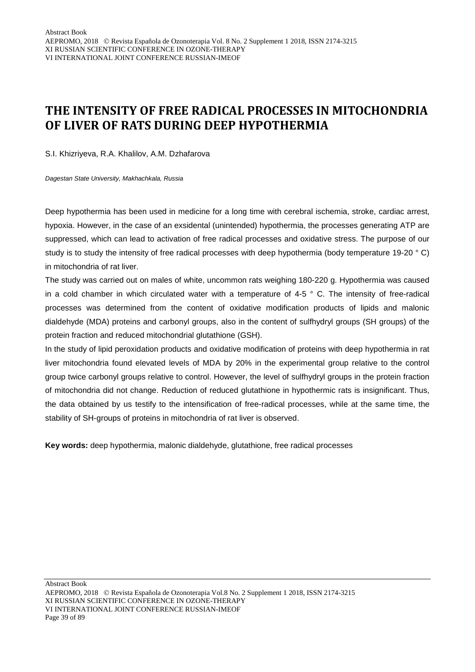# **THE INTENSITY OF FREE RADICAL PROCESSES IN MITOCHONDRIA OF LIVER OF RATS DURING DEEP HYPOTHERMIA**

S.I. Khizriyeva, R.A. Khalilov, A.M. Dzhafarova

*Dagestan State University, Makhachkala, Russia*

Deep hypothermia has been used in medicine for a long time with cerebral ischemia, stroke, cardiac arrest, hypoxia. However, in the case of an exsidental (unintended) hypothermia, the processes generating ATP are suppressed, which can lead to activation of free radical processes and oxidative stress. The purpose of our study is to study the intensity of free radical processes with deep hypothermia (body temperature 19-20 ° C) in mitochondria of rat liver.

The study was carried out on males of white, uncommon rats weighing 180-220 g. Hypothermia was caused in a cold chamber in which circulated water with a temperature of 4-5 ° C. The intensity of free-radical processes was determined from the content of oxidative modification products of lipids and malonic dialdehyde (MDA) proteins and carbonyl groups, also in the content of sulfhydryl groups (SH groups) of the protein fraction and reduced mitochondrial glutathione (GSH).

In the study of lipid peroxidation products and oxidative modification of proteins with deep hypothermia in rat liver mitochondria found elevated levels of MDA by 20% in the experimental group relative to the control group twice carbonyl groups relative to control. However, the level of sulfhydryl groups in the protein fraction of mitochondria did not change. Reduction of reduced glutathione in hypothermic rats is insignificant. Thus, the data obtained by us testify to the intensification of free-radical processes, while at the same time, the stability of SH-groups of proteins in mitochondria of rat liver is observed.

**Key words:** deep hypothermia, malonic dialdehyde, glutathione, free radical processes

AEPROMO, 2018 Revista Española de Ozonoterapia Vol.8 No. 2 Supplement 1 2018, ISSN 2174-3215 XI RUSSIAN SCIENTIFIC CONFERENCE IN OZONE-THERAPY VI INTERNATIONAL JOINT CONFERENCE RUSSIAN-IMEOF Page 39 of 89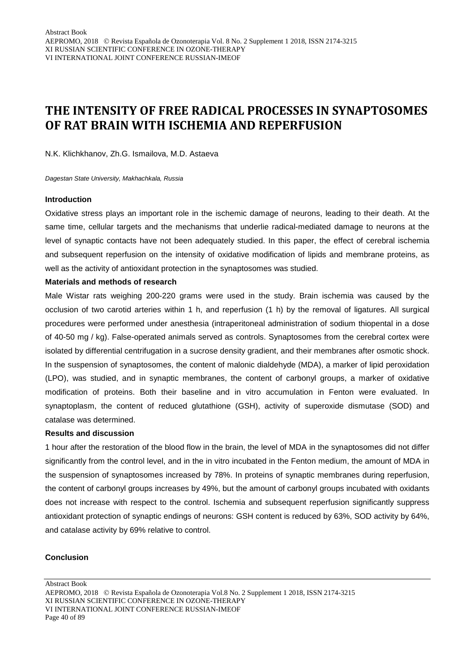# **THE INTENSITY OF FREE RADICAL PROCESSES IN SYNAPTOSOMES OF RAT BRAIN WITH ISCHEMIA AND REPERFUSION**

N.K. Klichkhanov, Zh.G. Ismailova, M.D. Astaeva

*Dagestan State University, Makhachkala, Russia*

#### **Introduction**

Oxidative stress plays an important role in the ischemic damage of neurons, leading to their death. At the same time, cellular targets and the mechanisms that underlie radical-mediated damage to neurons at the level of synaptic contacts have not been adequately studied. In this paper, the effect of cerebral ischemia and subsequent reperfusion on the intensity of oxidative modification of lipids and membrane proteins, as well as the activity of antioxidant protection in the synaptosomes was studied.

#### **Materials and methods of research**

Male Wistar rats weighing 200-220 grams were used in the study. Brain ischemia was caused by the occlusion of two carotid arteries within 1 h, and reperfusion (1 h) by the removal of ligatures. All surgical procedures were performed under anesthesia (intraperitoneal administration of sodium thiopental in a dose of 40-50 mg / kg). False-operated animals served as controls. Synaptosomes from the cerebral cortex were isolated by differential centrifugation in a sucrose density gradient, and their membranes after osmotic shock. In the suspension of synaptosomes, the content of malonic dialdehyde (MDA), a marker of lipid peroxidation (LPO), was studied, and in synaptic membranes, the content of carbonyl groups, a marker of oxidative modification of proteins. Both their baseline and in vitro accumulation in Fenton were evaluated. In synaptoplasm, the content of reduced glutathione (GSH), activity of superoxide dismutase (SOD) and catalase was determined.

# **Results and discussion**

1 hour after the restoration of the blood flow in the brain, the level of MDA in the synaptosomes did not differ significantly from the control level, and in the in vitro incubated in the Fenton medium, the amount of MDA in the suspension of synaptosomes increased by 78%. In proteins of synaptic membranes during reperfusion, the content of carbonyl groups increases by 49%, but the amount of carbonyl groups incubated with oxidants does not increase with respect to the control. Ischemia and subsequent reperfusion significantly suppress antioxidant protection of synaptic endings of neurons: GSH content is reduced by 63%, SOD activity by 64%, and catalase activity by 69% relative to control.

#### **Conclusion**

AEPROMO, 2018 Revista Española de Ozonoterapia Vol.8 No. 2 Supplement 1 2018, ISSN 2174-3215 XI RUSSIAN SCIENTIFIC CONFERENCE IN OZONE-THERAPY VI INTERNATIONAL JOINT CONFERENCE RUSSIAN-IMEOF Page 40 of 89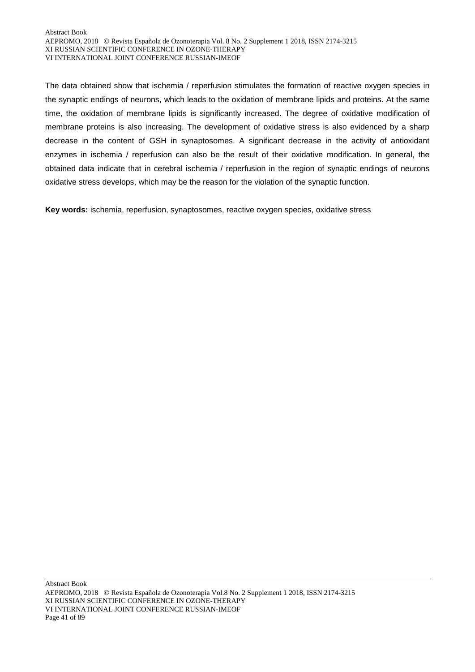The data obtained show that ischemia / reperfusion stimulates the formation of reactive oxygen species in the synaptic endings of neurons, which leads to the oxidation of membrane lipids and proteins. At the same time, the oxidation of membrane lipids is significantly increased. The degree of oxidative modification of membrane proteins is also increasing. The development of oxidative stress is also evidenced by a sharp decrease in the content of GSH in synaptosomes. A significant decrease in the activity of antioxidant enzymes in ischemia / reperfusion can also be the result of their oxidative modification. In general, the obtained data indicate that in cerebral ischemia / reperfusion in the region of synaptic endings of neurons oxidative stress develops, which may be the reason for the violation of the synaptic function.

**Key words:** ischemia, reperfusion, synaptosomes, reactive oxygen species, oxidative stress

Abstract Book AEPROMO, 2018 Revista Española de Ozonoterapia Vol.8 No. 2 Supplement 1 2018, ISSN 2174-3215 XI RUSSIAN SCIENTIFIC CONFERENCE IN OZONE-THERAPY VI INTERNATIONAL JOINT CONFERENCE RUSSIAN-IMEOF Page 41 of 89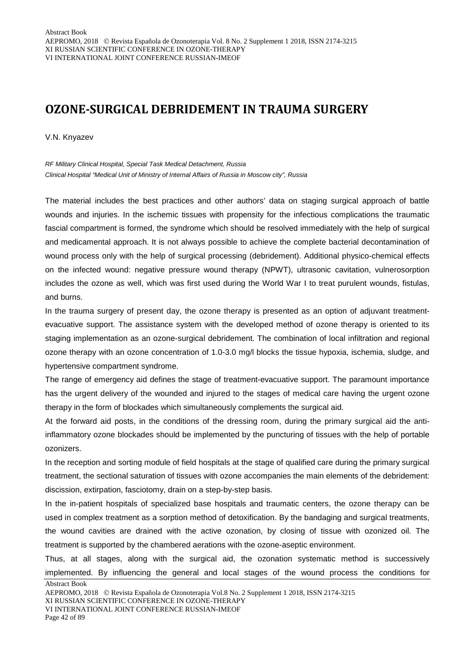# **OZONE-SURGICAL DEBRIDEMENT IN TRAUMA SURGERY**

V.N. Knyazev

*RF Military Clinical Hospital, Special Task Medical Detachment, Russia Clinical Hospital "Medical Unit of Ministry of Internal Affairs of Russia in Moscow city", Russia*

The material includes the best practices and other authors' data on staging surgical approach of battle wounds and injuries. In the ischemic tissues with propensity for the infectious complications the traumatic fascial compartment is formed, the syndrome which should be resolved immediately with the help of surgical and medicamental approach. It is not always possible to achieve the complete bacterial decontamination of wound process only with the help of surgical processing (debridement). Additional physico-chemical effects on the infected wound: negative pressure wound therapy (NPWT), ultrasonic cavitation, vulnerosorption includes the ozone as well, which was first used during the World War I to treat purulent wounds, fistulas, and burns.

In the trauma surgery of present day, the ozone therapy is presented as an option of adjuvant treatmentevacuative support. The assistance system with the developed method of ozone therapy is oriented to its staging implementation as an ozone-surgical debridement. The combination of local infiltration and regional ozone therapy with an ozone concentration of 1.0-3.0 mg/l blocks the tissue hypoxia, ischemia, sludge, and hypertensive compartment syndrome.

The range of emergency aid defines the stage of treatment-evacuative support. The paramount importance has the urgent delivery of the wounded and injured to the stages of medical care having the urgent ozone therapy in the form of blockades which simultaneously complements the surgical aid.

At the forward aid posts, in the conditions of the dressing room, during the primary surgical aid the antiinflammatory ozone blockades should be implemented by the puncturing of tissues with the help of portable ozonizers.

In the reception and sorting module of field hospitals at the stage of qualified care during the primary surgical treatment, the sectional saturation of tissues with ozone accompanies the main elements of the debridement: discission, extirpation, fasciotomy, drain on a step-by-step basis.

In the in-patient hospitals of specialized base hospitals and traumatic centers, the ozone therapy can be used in complex treatment as a sorption method of detoxification. By the bandaging and surgical treatments, the wound cavities are drained with the active ozonation, by closing of tissue with ozonized oil. The treatment is supported by the chambered aerations with the ozone-aseptic environment.

Thus, at all stages, along with the surgical aid, the ozonation systematic method is successively implemented. By influencing the general and local stages of the wound process the conditions for

Abstract Book

XI RUSSIAN SCIENTIFIC CONFERENCE IN OZONE-THERAPY

VI INTERNATIONAL JOINT CONFERENCE RUSSIAN-IMEOF

Page 42 of 89

AEPROMO, 2018 Revista Española de Ozonoterapia Vol.8 No. 2 Supplement 1 2018, ISSN 2174-3215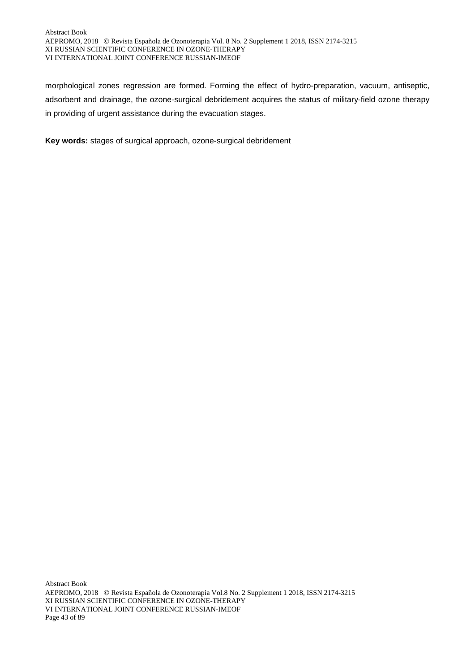morphological zones regression are formed. Forming the effect of hydro-preparation, vacuum, antiseptic, adsorbent and drainage, the ozone-surgical debridement acquires the status of military-field ozone therapy in providing of urgent assistance during the evacuation stages.

**Key words:** stages of surgical approach, ozone-surgical debridement

Abstract Book AEPROMO, 2018 Revista Española de Ozonoterapia Vol.8 No. 2 Supplement 1 2018, ISSN 2174-3215 XI RUSSIAN SCIENTIFIC CONFERENCE IN OZONE-THERAPY VI INTERNATIONAL JOINT CONFERENCE RUSSIAN-IMEOF Page 43 of 89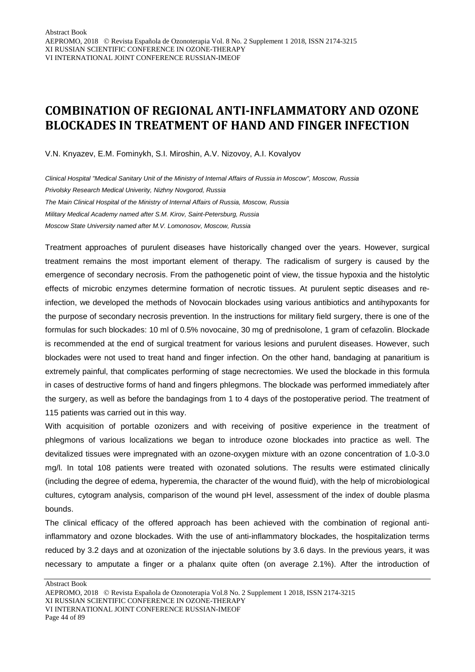# **COMBINATION OF REGIONAL ANTI-INFLAMMATORY AND OZONE BLOCKADES IN TREATMENT OF HAND AND FINGER INFECTION**

V.N. Knyazev, E.M. Fominykh, S.I. Miroshin, A.V. Nizovoy, A.I. Kovalyov

*Clinical Hospital "Medical Sanitary Unit of the Ministry of Internal Affairs of Russia in Moscow", Moscow, Russia Privolsky Research Medical Univerity, Nizhny Novgorod, Russia The Main Clinical Hospital of the Ministry of Internal Affairs of Russia, Moscow, Russia Military Medical Academy named after S.M. Kirov, Saint-Petersburg, Russia Moscow State University named after M.V. Lomonosov, Moscow, Russia*

Treatment approaches of purulent diseases have historically changed over the years. However, surgical treatment remains the most important element of therapy. The radicalism of surgery is caused by the emergence of secondary necrosis. From the pathogenetic point of view, the tissue hypoxia and the histolytic effects of microbic enzymes determine formation of necrotic tissues. At purulent septic diseases and reinfection, we developed the methods of Novocain blockades using various antibiotics and antihypoxants for the purpose of secondary necrosis prevention. In the instructions for military field surgery, there is one of the formulas for such blockades: 10 ml of 0.5% novocaine, 30 mg of prednisolone, 1 gram of cefazolin. Blockade is recommended at the end of surgical treatment for various lesions and purulent diseases. However, such blockades were not used to treat hand and finger infection. On the other hand, bandaging at panaritium is extremely painful, that complicates performing of stage necrectomies. We used the blockade in this formula in cases of destructive forms of hand and fingers phlegmons. The blockade was performed immediately after the surgery, as well as before the bandagings from 1 to 4 days of the postoperative period. The treatment of 115 patients was carried out in this way.

With acquisition of portable ozonizers and with receiving of positive experience in the treatment of phlegmons of various localizations we began to introduce ozone blockades into practice as well. The devitalized tissues were impregnated with an ozone-oxygen mixture with an ozone concentration of 1.0-3.0 mg/l. In total 108 patients were treated with ozonated solutions. The results were estimated clinically (including the degree of edema, hyperemia, the character of the wound fluid), with the help of microbiological cultures, cytogram analysis, comparison of the wound pH level, assessment of the index of double plasma bounds.

The clinical efficacy of the offered approach has been achieved with the combination of regional antiinflammatory and ozone blockades. With the use of anti-inflammatory blockades, the hospitalization terms reduced by 3.2 days and at ozonization of the injectable solutions by 3.6 days. In the previous years, it was necessary to amputate a finger or a phalanx quite often (on average 2.1%). After the introduction of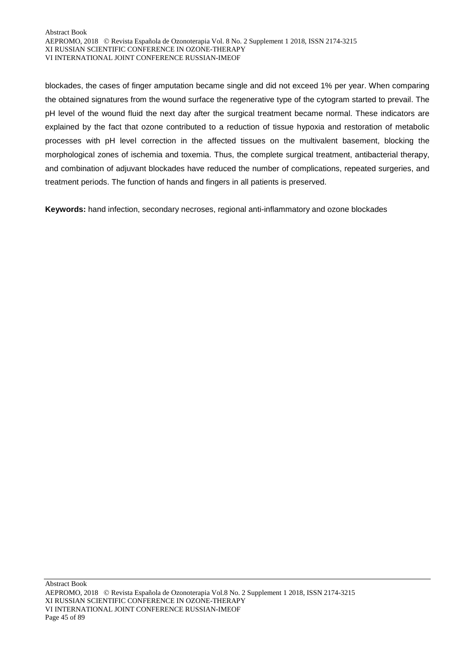blockades, the cases of finger amputation became single and did not exceed 1% per year. When comparing the obtained signatures from the wound surface the regenerative type of the cytogram started to prevail. The pH level of the wound fluid the next day after the surgical treatment became normal. These indicators are explained by the fact that ozone contributed to a reduction of tissue hypoxia and restoration of metabolic processes with pH level correction in the affected tissues on the multivalent basement, blocking the morphological zones of ischemia and toxemia. Thus, the complete surgical treatment, antibacterial therapy, and combination of adjuvant blockades have reduced the number of complications, repeated surgeries, and treatment periods. The function of hands and fingers in all patients is preserved.

**Keywords:** hand infection, secondary necroses, regional anti-inflammatory and ozone blockades

Abstract Book AEPROMO, 2018 Revista Española de Ozonoterapia Vol.8 No. 2 Supplement 1 2018, ISSN 2174-3215 XI RUSSIAN SCIENTIFIC CONFERENCE IN OZONE-THERAPY VI INTERNATIONAL JOINT CONFERENCE RUSSIAN-IMEOF Page 45 of 89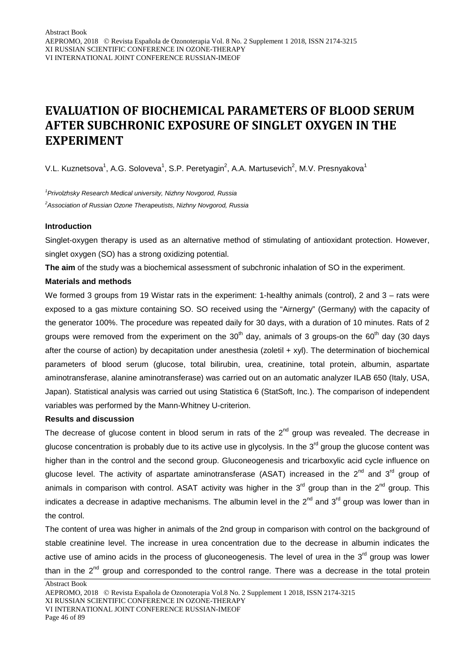# **EVALUATION OF BIOCHEMICAL PARAMETERS OF BLOOD SERUM AFTER SUBCHRONIC EXPOSURE OF SINGLET OXYGEN IN THE EXPERIMENT**

V.L. Kuznetsova<sup>1</sup>, A.G. Soloveva<sup>1</sup>, S.P. Peretyagin<sup>2</sup>, A.A. Martusevich<sup>2</sup>, M.V. Presnyakova<sup>1</sup>

*1 Privolzhsky Research Medical university, Nizhny Novgorod, Russia 2 Association of Russian Ozone Therapeutists, Nizhny Novgorod, Russia*

### **Introduction**

Singlet-oxygen therapy is used as an alternative method of stimulating of antioxidant protection. However, singlet oxygen (SO) has a strong oxidizing potential.

**The aim** of the study was a biochemical assessment of subchronic inhalation of SO in the experiment.

### **Materials and methods**

We formed 3 groups from 19 Wistar rats in the experiment: 1-healthy animals (control), 2 and 3 – rats were exposed to a gas mixture containing SO. SO received using the "Airnergy" (Germany) with the capacity of the generator 100%. The procedure was repeated daily for 30 days, with a duration of 10 minutes. Rats of 2 groups were removed from the experiment on the  $30<sup>th</sup>$  day, animals of 3 groups-on the 60<sup>th</sup> day (30 days after the course of action) by decapitation under anesthesia (zoletil + xyl). The determination of biochemical parameters of blood serum (glucose, total bilirubin, urea, creatinine, total protein, albumin, aspartate aminotransferase, alanine aminotransferase) was carried out on an automatic analyzer ILAB 650 (Italy, USA, Japan). Statistical analysis was carried out using Statistica 6 (StatSoft, Inc.). The comparison of independent variables was performed by the Mann-Whitney U-criterion.

### **Results and discussion**

The decrease of glucose content in blood serum in rats of the  $2<sup>nd</sup>$  group was revealed. The decrease in glucose concentration is probably due to its active use in glycolysis. In the  $3<sup>rd</sup>$  group the glucose content was higher than in the control and the second group. Gluconeogenesis and tricarboxylic acid cycle influence on glucose level. The activity of aspartate aminotransferase (ASAT) increased in the  $2^{nd}$  and  $3^{rd}$  group of animals in comparison with control. ASAT activity was higher in the  $3<sup>rd</sup>$  group than in the  $2<sup>nd</sup>$  group. This indicates a decrease in adaptive mechanisms. The albumin level in the  $2^{nd}$  and  $3^{rd}$  group was lower than in the control.

The content of urea was higher in animals of the 2nd group in comparison with control on the background of stable creatinine level. The increase in urea concentration due to the decrease in albumin indicates the active use of amino acids in the process of gluconeogenesis. The level of urea in the  $3<sup>rd</sup>$  group was lower than in the  $2<sup>nd</sup>$  group and corresponded to the control range. There was a decrease in the total protein

AEPROMO, 2018 Revista Española de Ozonoterapia Vol.8 No. 2 Supplement 1 2018, ISSN 2174-3215 XI RUSSIAN SCIENTIFIC CONFERENCE IN OZONE-THERAPY VI INTERNATIONAL JOINT CONFERENCE RUSSIAN-IMEOF Page 46 of 89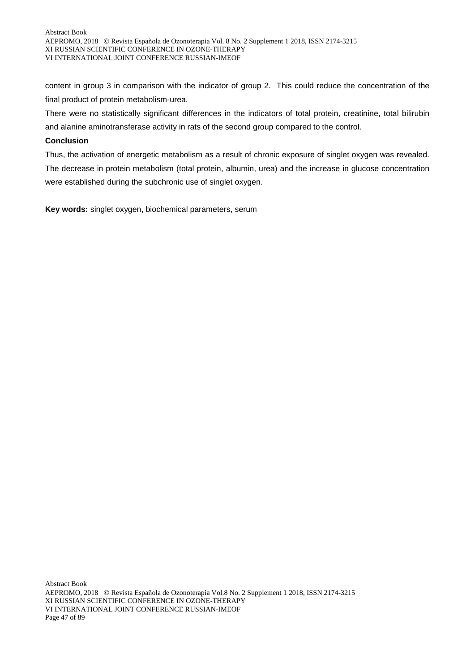content in group 3 in comparison with the indicator of group 2. This could reduce the concentration of the final product of protein metabolism-urea.

There were no statistically significant differences in the indicators of total protein, creatinine, total bilirubin and alanine aminotransferase activity in rats of the second group compared to the control.

### **Conclusion**

Thus, the activation of energetic metabolism as a result of chronic exposure of singlet oxygen was revealed. The decrease in protein metabolism (total protein, albumin, urea) and the increase in glucose concentration were established during the subchronic use of singlet oxygen.

**Key words:** singlet oxygen, biochemical parameters, serum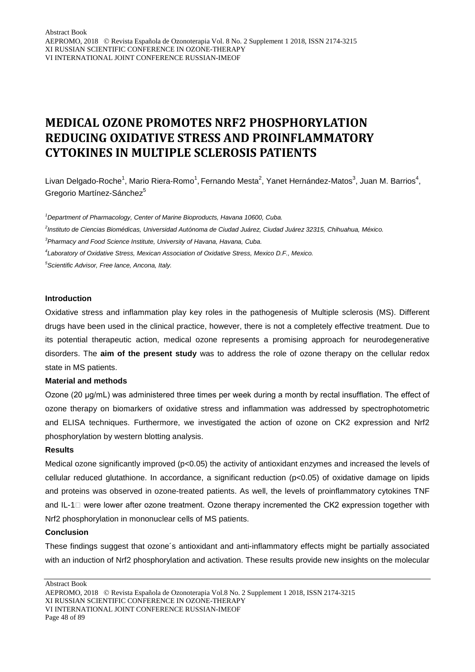# **MEDICAL OZONE PROMOTES NRF2 PHOSPHORYLATION REDUCING OXIDATIVE STRESS AND PROINFLAMMATORY CYTOKINES IN MULTIPLE SCLEROSIS PATIENTS**

Livan Delgado-Roche<sup>1</sup>, Mario Riera-Romo<sup>1</sup>, Fernando Mesta<sup>2</sup>, Yanet Hernández-Matos<sup>3</sup>, Juan M. Barrios<sup>4</sup>, Gregorio Martínez-Sánchez<sup>5</sup>

 *Department of Pharmacology, Center of Marine Bioproducts, Havana 10600, Cuba. Instituto de Ciencias Biomédicas, Universidad Autónoma de Ciudad Juárez, Ciudad Juárez 32315, Chihuahua, México. Pharmacy and Food Science Institute, University of Havana, Havana, Cuba. Laboratory of Oxidative Stress, Mexican Association of Oxidative Stress, Mexico D.F., Mexico. Scientific Advisor, Free lance, Ancona, Italy.*

#### **Introduction**

Oxidative stress and inflammation play key roles in the pathogenesis of Multiple sclerosis (MS). Different drugs have been used in the clinical practice, however, there is not a completely effective treatment. Due to its potential therapeutic action, medical ozone represents a promising approach for neurodegenerative disorders. The **aim of the present study** was to address the role of ozone therapy on the cellular redox state in MS patients.

### **Material and methods**

Ozone (20 μg/mL) was administered three times per week during a month by rectal insufflation. The effect of ozone therapy on biomarkers of oxidative stress and inflammation was addressed by spectrophotometric and ELISA techniques. Furthermore, we investigated the action of ozone on CK2 expression and Nrf2 phosphorylation by western blotting analysis.

#### **Results**

Medical ozone significantly improved (p<0.05) the activity of antioxidant enzymes and increased the levels of cellular reduced glutathione. In accordance, a significant reduction (p<0.05) of oxidative damage on lipids and proteins was observed in ozone-treated patients. As well, the levels of proinflammatory cytokines TNF and IL-1<sup> $\Box$ </sup> were lower after ozone treatment. Ozone therapy incremented the CK2 expression together with Nrf2 phosphorylation in mononuclear cells of MS patients.

#### **Conclusion**

These findings suggest that ozone´s antioxidant and anti-inflammatory effects might be partially associated with an induction of Nrf2 phosphorylation and activation. These results provide new insights on the molecular

Abstract Book

VI INTERNATIONAL JOINT CONFERENCE RUSSIAN-IMEOF

Page 48 of 89

AEPROMO, 2018 Revista Española de Ozonoterapia Vol.8 No. 2 Supplement 1 2018, ISSN 2174-3215 XI RUSSIAN SCIENTIFIC CONFERENCE IN OZONE-THERAPY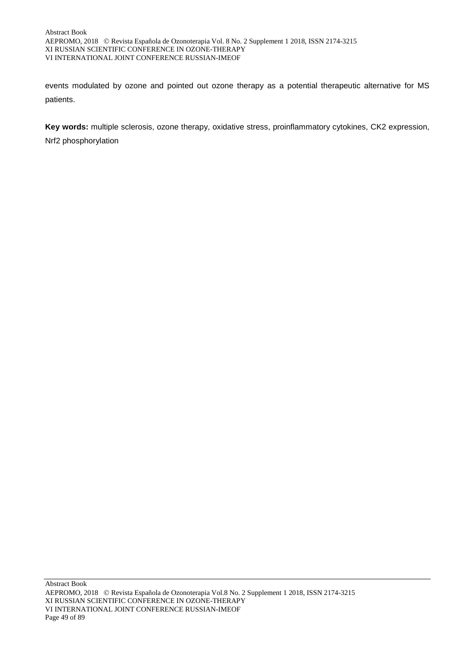events modulated by ozone and pointed out ozone therapy as a potential therapeutic alternative for MS patients.

**Key words:** multiple sclerosis, ozone therapy, oxidative stress, proinflammatory cytokines, CK2 expression, Nrf2 phosphorylation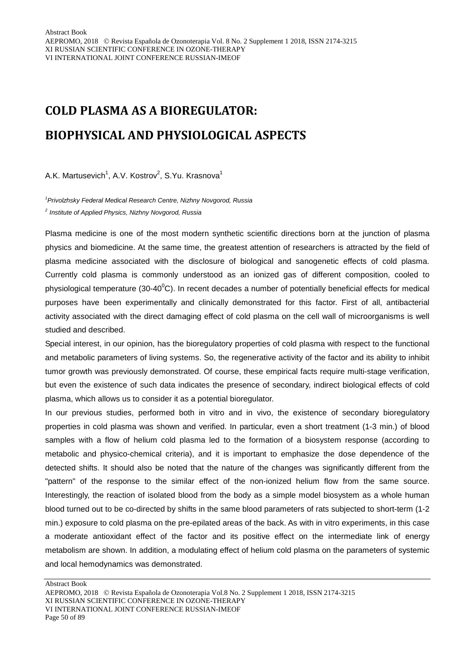# **COLD PLASMA AS A BIOREGULATOR: BIOPHYSICAL AND PHYSIOLOGICAL ASPECTS**

A.K. Martusevich<sup>1</sup>, A.V. Kostrov<sup>2</sup>, S.Yu. Krasnova<sup>1</sup>

*1 Privolzhsky Federal Medical Research Centre, Nizhny Novgorod, Russia <sup>2</sup> Institute of Applied Physics, Nizhny Novgorod, Russia*

Plasma medicine is one of the most modern synthetic scientific directions born at the junction of plasma physics and biomedicine. At the same time, the greatest attention of researchers is attracted by the field of plasma medicine associated with the disclosure of biological and sanogenetic effects of cold plasma. Currently cold plasma is commonly understood as an ionized gas of different composition, cooled to physiological temperature (30-40 $\rm ^{0}C$ ). In recent decades a number of potentially beneficial effects for medical purposes have been experimentally and clinically demonstrated for this factor. First of all, antibacterial activity associated with the direct damaging effect of cold plasma on the cell wall of microorganisms is well studied and described.

Special interest, in our opinion, has the bioregulatory properties of cold plasma with respect to the functional and metabolic parameters of living systems. So, the regenerative activity of the factor and its ability to inhibit tumor growth was previously demonstrated. Of course, these empirical facts require multi-stage verification, but even the existence of such data indicates the presence of secondary, indirect biological effects of cold plasma, which allows us to consider it as a potential bioregulator.

In our previous studies, performed both in vitro and in vivo, the existence of secondary bioregulatory properties in cold plasma was shown and verified. In particular, even a short treatment (1-3 min.) of blood samples with a flow of helium cold plasma led to the formation of a biosystem response (according to metabolic and physico-chemical criteria), and it is important to emphasize the dose dependence of the detected shifts. It should also be noted that the nature of the changes was significantly different from the "pattern" of the response to the similar effect of the non-ionized helium flow from the same source. Interestingly, the reaction of isolated blood from the body as a simple model biosystem as a whole human blood turned out to be co-directed by shifts in the same blood parameters of rats subjected to short-term (1-2 min.) exposure to cold plasma on the pre-epilated areas of the back. As with in vitro experiments, in this case a moderate antioxidant effect of the factor and its positive effect on the intermediate link of energy metabolism are shown. In addition, a modulating effect of helium cold plasma on the parameters of systemic and local hemodynamics was demonstrated.

AEPROMO, 2018 Revista Española de Ozonoterapia Vol.8 No. 2 Supplement 1 2018, ISSN 2174-3215 XI RUSSIAN SCIENTIFIC CONFERENCE IN OZONE-THERAPY VI INTERNATIONAL JOINT CONFERENCE RUSSIAN-IMEOF Page 50 of 89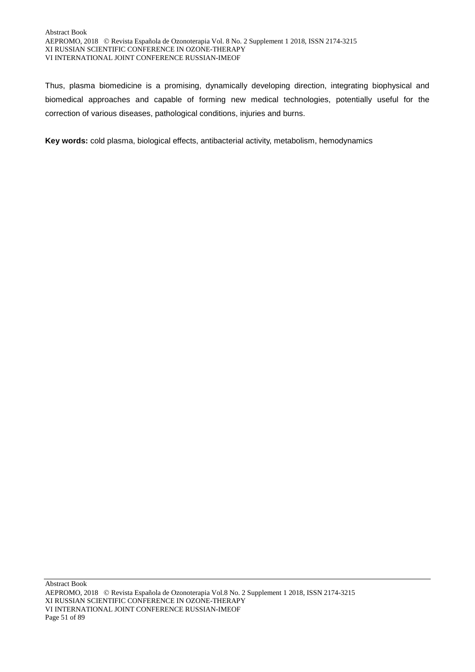Thus, plasma biomedicine is a promising, dynamically developing direction, integrating biophysical and biomedical approaches and capable of forming new medical technologies, potentially useful for the correction of various diseases, pathological conditions, injuries and burns.

**Key words:** cold plasma, biological effects, antibacterial activity, metabolism, hemodynamics

Abstract Book AEPROMO, 2018 Revista Española de Ozonoterapia Vol.8 No. 2 Supplement 1 2018, ISSN 2174-3215 XI RUSSIAN SCIENTIFIC CONFERENCE IN OZONE-THERAPY VI INTERNATIONAL JOINT CONFERENCE RUSSIAN-IMEOF Page 51 of 89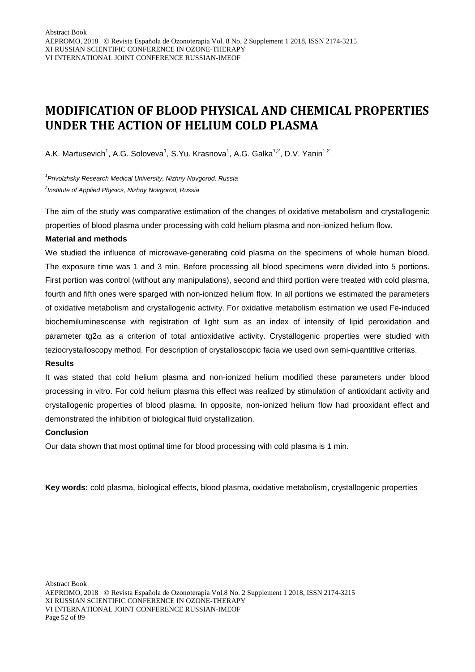# **MODIFICATION OF BLOOD PHYSICAL AND CHEMICAL PROPERTIES UNDER THE ACTION OF HELIUM COLD PLASMA**

A.K. Martusevich<sup>1</sup>, A.G. Soloveva<sup>1</sup>, S.Yu. Krasnova<sup>1</sup>, A.G. Galka<sup>1,2</sup>, D.V. Yanin<sup>1,2</sup>

*1 Privolzhsky Research Medical University, Nizhny Novgorod, Russia 2 Institute of Applied Physics, Nizhny Novgorod, Russia*

The aim of the study was comparative estimation of the changes of oxidative metabolism and crystallogenic properties of blood plasma under processing with cold helium plasma and non-ionized helium flow.

# **Material and methods**

We studied the influence of microwave-generating cold plasma on the specimens of whole human blood. The exposure time was 1 and 3 min. Before processing all blood specimens were divided into 5 portions. First portion was control (without any manipulations), second and third portion were treated with cold plasma, fourth and fifth ones were sparged with non-ionized helium flow. In all portions we estimated the parameters of oxidative metabolism and crystallogenic activity. For oxidative metabolism estimation we used Fe-induced biochemiluminescense with registration of light sum as an index of intensity of lipid peroxidation and parameter tg2 $\alpha$  as a criterion of total antioxidative activity. Crystallogenic properties were studied with teziocrystalloscopy method. For description of crystalloscopic facia we used own semi-quantitive criterias.

### **Results**

It was stated that cold helium plasma and non-ionized helium modified these parameters under blood processing in vitro. For cold helium plasma this effect was realized by stimulation of antioxidant activity and crystallogenic properties of blood plasma. In opposite, non-ionized helium flow had prooxidant effect and demonstrated the inhibition of biological fluid crystallization.

### **Conclusion**

Our data shown that most optimal time for blood processing with cold plasma is 1 min.

**Key words:** cold plasma, biological effects, blood plasma, oxidative metabolism, crystallogenic properties

AEPROMO, 2018 Revista Española de Ozonoterapia Vol.8 No. 2 Supplement 1 2018, ISSN 2174-3215 XI RUSSIAN SCIENTIFIC CONFERENCE IN OZONE-THERAPY VI INTERNATIONAL JOINT CONFERENCE RUSSIAN-IMEOF Page 52 of 89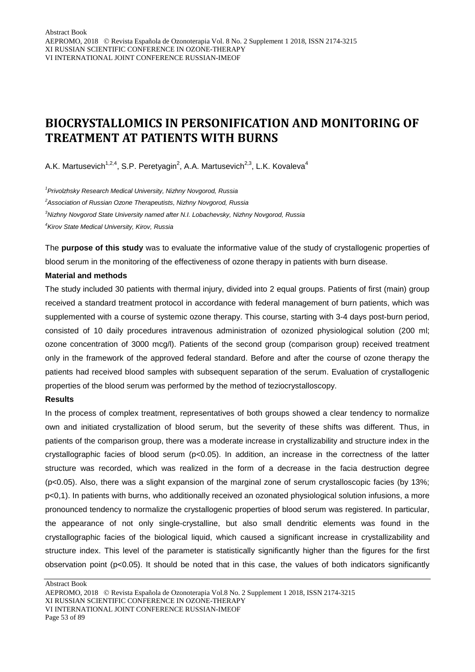# **BIOCRYSTALLOMICS IN PERSONIFICATION AND MONITORING OF TREATMENT AT PATIENTS WITH BURNS**

A.K. Martusevich<sup>1,2,4</sup>, S.P. Peretyagin<sup>2</sup>, A.A. Martusevich<sup>2,3</sup>, L.K. Kovaleva<sup>4</sup>

*1 Privolzhsky Research Medical University, Nizhny Novgorod, Russia*

*2 Association of Russian Ozone Therapeutists, Nizhny Novgorod, Russia*

*3 Nizhny Novgorod State University named after N.I. Lobachevsky, Nizhny Novgorod, Russia*

*4 Kirov State Medical University, Kirov, Russia*

The **purpose of this study** was to evaluate the informative value of the study of crystallogenic properties of blood serum in the monitoring of the effectiveness of ozone therapy in patients with burn disease.

### **Material and methods**

The study included 30 patients with thermal injury, divided into 2 equal groups. Patients of first (main) group received a standard treatment protocol in accordance with federal management of burn patients, which was supplemented with a course of systemic ozone therapy. This course, starting with 3-4 days post-burn period, consisted of 10 daily procedures intravenous administration of ozonized physiological solution (200 ml; ozone concentration of 3000 mcg/l). Patients of the second group (comparison group) received treatment only in the framework of the approved federal standard. Before and after the course of ozone therapy the patients had received blood samples with subsequent separation of the serum. Evaluation of crystallogenic properties of the blood serum was performed by the method of teziocrystalloscopy.

### **Results**

In the process of complex treatment, representatives of both groups showed a clear tendency to normalize own and initiated crystallization of blood serum, but the severity of these shifts was different. Thus, in patients of the comparison group, there was a moderate increase in crystallizability and structure index in the crystallographic facies of blood serum (p<0.05). In addition, an increase in the correctness of the latter structure was recorded, which was realized in the form of a decrease in the facia destruction degree (p<0.05). Also, there was a slight expansion of the marginal zone of serum crystalloscopic facies (by 13%; p<0,1). In patients with burns, who additionally received an ozonated physiological solution infusions, a more pronounced tendency to normalize the crystallogenic properties of blood serum was registered. In particular, the appearance of not only single-crystalline, but also small dendritic elements was found in the crystallographic facies of the biological liquid, which caused a significant increase in crystallizability and structure index. This level of the parameter is statistically significantly higher than the figures for the first observation point (p<0.05). It should be noted that in this case, the values of both indicators significantly

Abstract Book AEPROMO, 2018 Revista Española de Ozonoterapia Vol.8 No. 2 Supplement 1 2018, ISSN 2174-3215 XI RUSSIAN SCIENTIFIC CONFERENCE IN OZONE-THERAPY VI INTERNATIONAL JOINT CONFERENCE RUSSIAN-IMEOF Page 53 of 89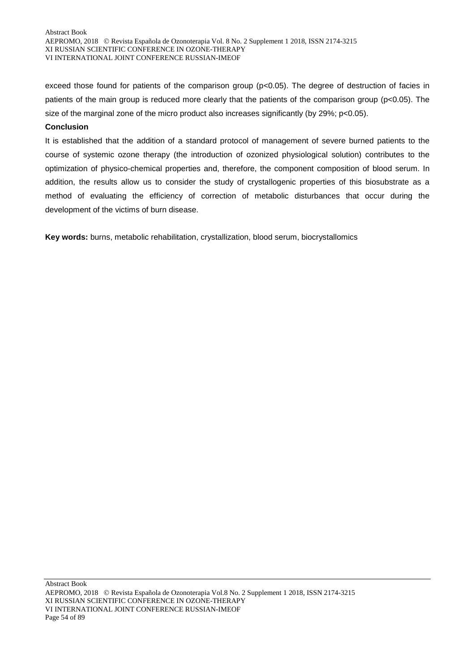exceed those found for patients of the comparison group (p<0.05). The degree of destruction of facies in patients of the main group is reduced more clearly that the patients of the comparison group (p<0.05). The size of the marginal zone of the micro product also increases significantly (by 29%; p<0.05).

### **Conclusion**

It is established that the addition of a standard protocol of management of severe burned patients to the course of systemic ozone therapy (the introduction of ozonized physiological solution) contributes to the optimization of physico-chemical properties and, therefore, the component composition of blood serum. In addition, the results allow us to consider the study of crystallogenic properties of this biosubstrate as a method of evaluating the efficiency of correction of metabolic disturbances that occur during the development of the victims of burn disease.

**Key words:** burns, metabolic rehabilitation, crystallization, blood serum, biocrystallomics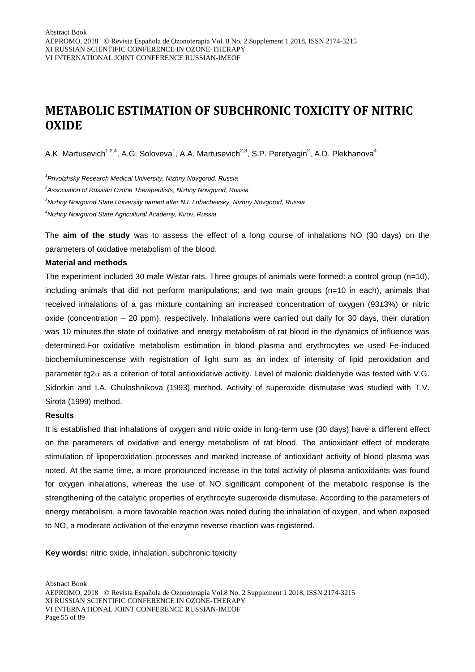# **METABOLIC ESTIMATION OF SUBCHRONIC TOXICITY OF NITRIC OXIDE**

A.K. Martusevich<sup>1,2,4</sup>, A.G. Soloveva<sup>1</sup>, A.A. Martusevich<sup>2,3</sup>, S.P. Peretyagin<sup>2</sup>, A.D. Plekhanova<sup>4</sup>

*1 Privolzhsky Research Medical University, Nizhny Novgorod, Russia*

*2 Association of Russian Ozone Therapeutists, Nizhny Novgorod, Russia*

*3 Nizhny Novgorod State University named after N.I. Lobachevsky, Nizhny Novgorod, Russia*

*4 Nizhny Novgorod State Agricultural Academy, Kirov, Russia*

The **aim of the study** was to assess the effect of a long course of inhalations NO (30 days) on the parameters of oxidative metabolism of the blood.

#### **Material and methods**

The experiment included 30 male Wistar rats. Three groups of animals were formed: a control group  $(n=10)$ , including animals that did not perform manipulations; and two main groups (n=10 in each), animals that received inhalations of a gas mixture containing an increased concentration of oxygen (93±3%) or nitric oxide (concentration – 20 ppm), respectively. Inhalations were carried out daily for 30 days, their duration was 10 minutes.the state of oxidative and energy metabolism of rat blood in the dynamics of influence was determined.For oxidative metabolism estimation in blood plasma and erythrocytes we used Fe-induced biochemiluminescense with registration of light sum as an index of intensity of lipid peroxidation and parameter tg2 $\alpha$  as a criterion of total antioxidative activity. Level of malonic dialdehyde was tested with V.G. Sidorkin and I.A. Chuloshnikova (1993) method. Activity of superoxide dismutase was studied with T.V. Sirota (1999) method.

#### **Results**

It is established that inhalations of oxygen and nitric oxide in long-term use (30 days) have a different effect on the parameters of oxidative and energy metabolism of rat blood. The antioxidant effect of moderate stimulation of lipoperoxidation processes and marked increase of antioxidant activity of blood plasma was noted. At the same time, a more pronounced increase in the total activity of plasma antioxidants was found for oxygen inhalations, whereas the use of NO significant component of the metabolic response is the strengthening of the catalytic properties of erythrocyte superoxide dismutase. According to the parameters of energy metabolism, a more favorable reaction was noted during the inhalation of oxygen, and when exposed to NO, a moderate activation of the enzyme reverse reaction was registered.

**Key words:** nitric oxide, inhalation, subchronic toxicity

AEPROMO, 2018 Revista Española de Ozonoterapia Vol.8 No. 2 Supplement 1 2018, ISSN 2174-3215 XI RUSSIAN SCIENTIFIC CONFERENCE IN OZONE-THERAPY VI INTERNATIONAL JOINT CONFERENCE RUSSIAN-IMEOF Page 55 of 89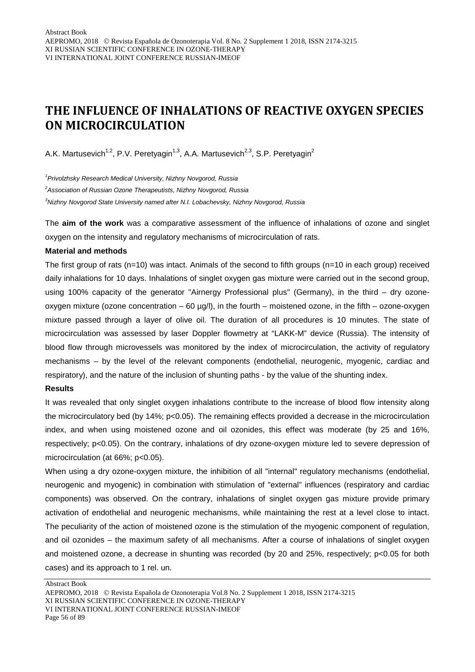# **THE INFLUENCE OF INHALATIONS OF REACTIVE OXYGEN SPECIES ON MICROCIRCULATION**

A.K. Martusevich<sup>1,2</sup>, P.V. Peretyagin<sup>1,3</sup>, A.A. Martusevich<sup>2,3</sup>, S.P. Peretyagin<sup>2</sup>

*1 Privolzhsky Research Medical University, Nizhny Novgorod, Russia*

*2 Association of Russian Ozone Therapeutists, Nizhny Novgorod, Russia*

*3 Nizhny Novgorod State University named after N.I. Lobachevsky, Nizhny Novgorod, Russia*

The **aim of the work** was a comparative assessment of the influence of inhalations of ozone and singlet oxygen on the intensity and regulatory mechanisms of microcirculation of rats.

#### **Material and methods**

The first group of rats (n=10) was intact. Animals of the second to fifth groups (n=10 in each group) received daily inhalations for 10 days. Inhalations of singlet oxygen gas mixture were carried out in the second group, using 100% capacity of the generator "Airnergy Professional plus" (Germany), in the third – dry ozoneoxygen mixture (ozone concentration  $-60 \mu g/l$ ), in the fourth – moistened ozone, in the fifth – ozone-oxygen mixture passed through a layer of olive oil. The duration of all procedures is 10 minutes. The state of microcirculation was assessed by laser Doppler flowmetry at "LAKK-M" device (Russia). The intensity of blood flow through microvessels was monitored by the index of microcirculation, the activity of regulatory mechanisms – by the level of the relevant components (endothelial, neurogenic, myogenic, cardiac and respiratory), and the nature of the inclusion of shunting paths - by the value of the shunting index.

#### **Results**

It was revealed that only singlet oxygen inhalations contribute to the increase of blood flow intensity along the microcirculatory bed (by 14%; p<0.05). The remaining effects provided a decrease in the microcirculation index, and when using moistened ozone and oil ozonides, this effect was moderate (by 25 and 16%, respectively; p<0.05). On the contrary, inhalations of dry ozone-oxygen mixture led to severe depression of microcirculation (at 66%; p<0.05).

When using a dry ozone-oxygen mixture, the inhibition of all "internal" regulatory mechanisms (endothelial, neurogenic and myogenic) in combination with stimulation of "external" influences (respiratory and cardiac components) was observed. On the contrary, inhalations of singlet oxygen gas mixture provide primary activation of endothelial and neurogenic mechanisms, while maintaining the rest at a level close to intact. The peculiarity of the action of moistened ozone is the stimulation of the myogenic component of regulation, and oil ozonides – the maximum safety of all mechanisms. After a course of inhalations of singlet oxygen and moistened ozone, a decrease in shunting was recorded (by 20 and 25%, respectively; p<0.05 for both cases) and its approach to 1 rel. un.

AEPROMO, 2018 Revista Española de Ozonoterapia Vol.8 No. 2 Supplement 1 2018, ISSN 2174-3215 XI RUSSIAN SCIENTIFIC CONFERENCE IN OZONE-THERAPY VI INTERNATIONAL JOINT CONFERENCE RUSSIAN-IMEOF Page 56 of 89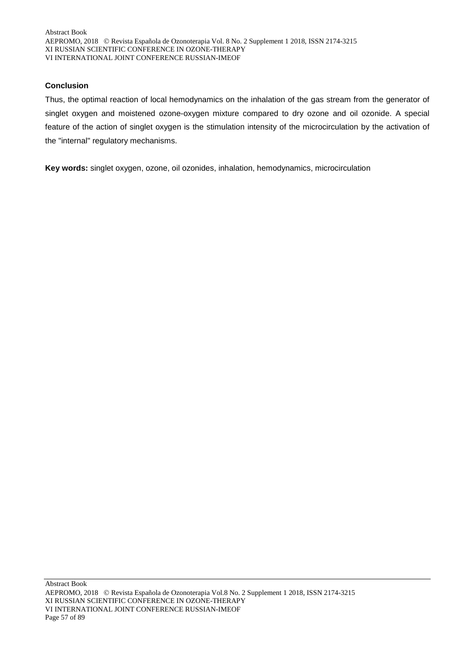# **Conclusion**

Thus, the optimal reaction of local hemodynamics on the inhalation of the gas stream from the generator of singlet oxygen and moistened ozone-oxygen mixture compared to dry ozone and oil ozonide. A special feature of the action of singlet oxygen is the stimulation intensity of the microcirculation by the activation of the "internal" regulatory mechanisms.

**Key words:** singlet oxygen, ozone, oil ozonides, inhalation, hemodynamics, microcirculation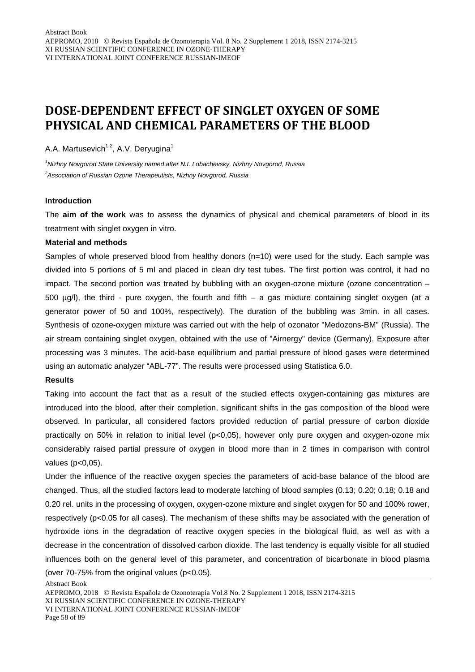# **DOSE-DEPENDENT EFFECT OF SINGLET OXYGEN OF SOME PHYSICAL AND CHEMICAL PARAMETERS OF THE BLOOD**

A.A. Martusevich<sup> $1,2$ </sup>, A.V. Deryugina<sup>1</sup>

*1 Nizhny Novgorod State University named after N.I. Lobachevsky, Nizhny Novgorod, Russia 2 Association of Russian Ozone Therapeutists, Nizhny Novgorod, Russia*

#### **Introduction**

The **aim of the work** was to assess the dynamics of physical and chemical parameters of blood in its treatment with singlet oxygen in vitro.

#### **Material and methods**

Samples of whole preserved blood from healthy donors (n=10) were used for the study. Each sample was divided into 5 portions of 5 ml and placed in clean dry test tubes. The first portion was control, it had no impact. The second portion was treated by bubbling with an oxygen-ozone mixture (ozone concentration – 500  $\mu$ g/l), the third - pure oxygen, the fourth and fifth – a gas mixture containing singlet oxygen (at a generator power of 50 and 100%, respectively). The duration of the bubbling was 3min. in all cases. Synthesis of ozone-oxygen mixture was carried out with the help of ozonator "Medozons-BM" (Russia). The air stream containing singlet oxygen, obtained with the use of "Airnergy" device (Germany). Exposure after processing was 3 minutes. The acid-base equilibrium and partial pressure of blood gases were determined using an automatic analyzer "ABL-77". The results were processed using Statistica 6.0.

### **Results**

Taking into account the fact that as a result of the studied effects oxygen-containing gas mixtures are introduced into the blood, after their completion, significant shifts in the gas composition of the blood were observed. In particular, all considered factors provided reduction of partial pressure of carbon dioxide practically on 50% in relation to initial level (p<0,05), however only pure oxygen and oxygen-ozone mix considerably raised partial pressure of oxygen in blood more than in 2 times in comparison with control values (p<0,05).

Under the influence of the reactive oxygen species the parameters of acid-base balance of the blood are changed. Thus, all the studied factors lead to moderate latching of blood samples (0.13; 0.20; 0.18; 0.18 and 0.20 rel. units in the processing of oxygen, oxygen-ozone mixture and singlet oxygen for 50 and 100% rower, respectively (p<0.05 for all cases). The mechanism of these shifts may be associated with the generation of hydroxide ions in the degradation of reactive oxygen species in the biological fluid, as well as with a decrease in the concentration of dissolved carbon dioxide. The last tendency is equally visible for all studied influences both on the general level of this parameter, and concentration of bicarbonate in blood plasma

(over 70-75% from the original values (p<0.05).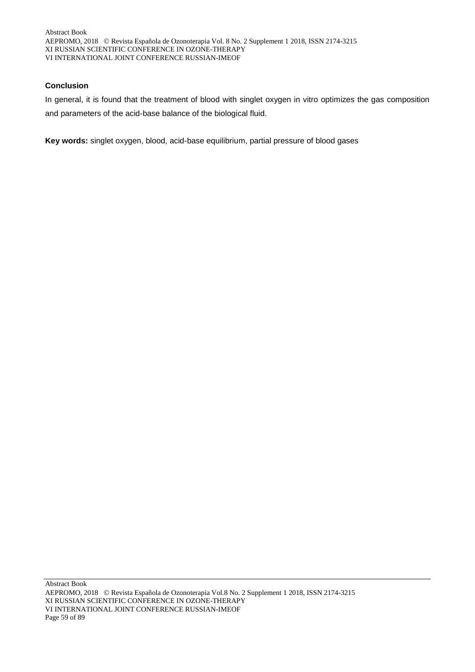# **Conclusion**

In general, it is found that the treatment of blood with singlet oxygen in vitro optimizes the gas composition and parameters of the acid-base balance of the biological fluid.

**Key words:** singlet oxygen, blood, acid-base equilibrium, partial pressure of blood gases

Abstract Book AEPROMO, 2018 Revista Española de Ozonoterapia Vol.8 No. 2 Supplement 1 2018, ISSN 2174-3215 XI RUSSIAN SCIENTIFIC CONFERENCE IN OZONE-THERAPY VI INTERNATIONAL JOINT CONFERENCE RUSSIAN-IMEOF Page 59 of 89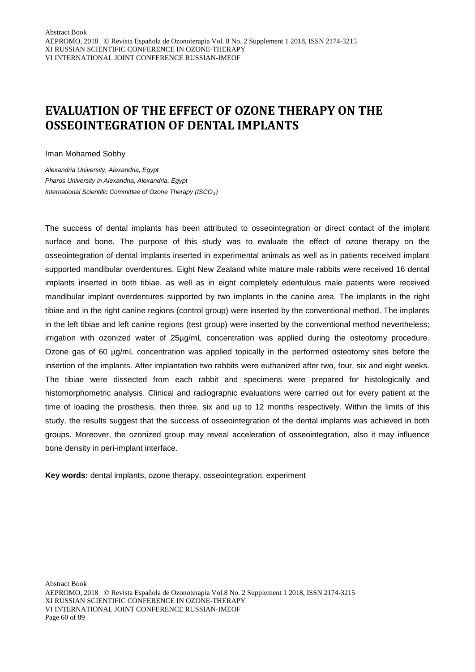# **EVALUATION OF THE EFFECT OF OZONE THERAPY ON THE OSSEOINTEGRATION OF DENTAL IMPLANTS**

Iman Mohamed Sobhy

*Alexandria University, Alexandria, Egypt Pharos University in Alexandria, Alexandria, Egypt International Scientific Committee of Ozone Therapy (ISCO3)*

The success of dental implants has been attributed to osseointegration or direct contact of the implant surface and bone. The purpose of this study was to evaluate the effect of ozone therapy on the osseointegration of dental implants inserted in experimental animals as well as in patients received implant supported mandibular overdentures. Eight New Zealand white mature male rabbits were received 16 dental implants inserted in both tibiae, as well as in eight completely edentulous male patients were received mandibular implant overdentures supported by two implants in the canine area. The implants in the right tibiae and in the right canine regions (control group) were inserted by the conventional method. The implants in the left tibiae and left canine regions (test group) were inserted by the conventional method nevertheless; irrigation with ozonized water of 25µg/mL concentration was applied during the osteotomy procedure. Ozone gas of 60 µg/mL concentration was applied topically in the performed osteotomy sites before the insertion of the implants. After implantation two rabbits were euthanized after two, four, six and eight weeks. The tibiae were dissected from each rabbit and specimens were prepared for histologically and histomorphometric analysis. Clinical and radiographic evaluations were carried out for every patient at the time of loading the prosthesis, then three, six and up to 12 months respectively. Within the limits of this study, the results suggest that the success of osseointegration of the dental implants was achieved in both groups. Moreover, the ozonized group may reveal acceleration of osseointegration, also it may influence bone density in peri-implant interface.

**Key words:** dental implants, ozone therapy, osseointegration, experiment

AEPROMO, 2018 Revista Española de Ozonoterapia Vol.8 No. 2 Supplement 1 2018, ISSN 2174-3215 XI RUSSIAN SCIENTIFIC CONFERENCE IN OZONE-THERAPY VI INTERNATIONAL JOINT CONFERENCE RUSSIAN-IMEOF Page 60 of 89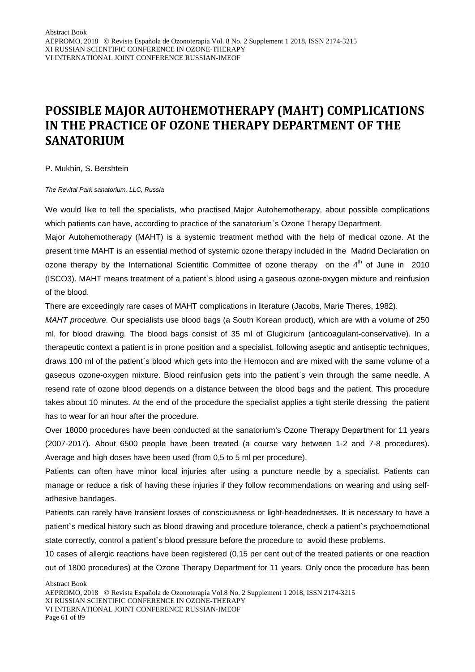# **POSSIBLE MAJOR AUTOHEMOTHERAPY (MAHT) COMPLICATIONS IN THE PRACTICE OF OZONE THERAPY DEPARTMENT OF THE SANATORIUM**

P. Mukhin, S. Bershtein

*The Revital Park sanatorium, LLC, Russia*

We would like to tell the specialists, who practised Major Autohemotherapy, about possible complications which patients can have, according to practice of the sanatorium's Ozone Therapy Department.

Major Autohemotherapy (MAHT) is a systemic treatment method with the help of medical ozone. At the present time MAHT is an essential method of systemic ozone therapy included in the Madrid Declaration on ozone therapy by the International Scientific Committee of ozone therapy on the  $4<sup>th</sup>$  of June in 2010 (ISCO3). MAHT means treatment of a patient`s blood using a gaseous ozone-oxygen mixture and reinfusion of the blood.

There are exceedingly rare cases of MAHT complications in literature (Jacobs, Marie Theres, 1982).

*MAHT procedure.* Our specialists use blood bags (a South Korean product), which are with a volume of 250 ml, for blood drawing. The blood bags consist of 35 ml of Glugicirum (anticoagulant-conservative). In a therapeutic context a patient is in prone position and a specialist, following aseptic and antiseptic techniques, draws 100 ml of the patient`s blood which gets into the Hemocon and are mixed with the same volume of a gaseous ozone-oxygen mixture. Blood reinfusion gets into the patient`s vein through the same needle. A resend rate of ozone blood depends on a distance between the blood bags and the patient. This procedure takes about 10 minutes. At the end of the procedure the specialist applies a tight sterile dressing the patient has to wear for an hour after the procedure.

Over 18000 procedures have been conducted at the sanatorium's Ozone Therapy Department for 11 years (2007-2017). About 6500 people have been treated (a course vary between 1-2 and 7-8 procedures). Average and high doses have been used (from 0,5 to 5 ml per procedure).

Patients can often have minor local injuries after using a puncture needle by a specialist. Patients can manage or reduce a risk of having these injuries if they follow recommendations on wearing and using selfadhesive bandages.

Patients can rarely have transient losses of consciousness or light-headednesses. It is necessary to have a patient`s medical history such as blood drawing and procedure tolerance, check a patient`s psychoemotional state correctly, control a patient`s blood pressure before the procedure to avoid these problems.

10 cases of allergic reactions have been registered (0,15 per cent out of the treated patients or one reaction out of 1800 procedures) at the Ozone Therapy Department for 11 years. Only once the procedure has been

AEPROMO, 2018 Revista Española de Ozonoterapia Vol.8 No. 2 Supplement 1 2018, ISSN 2174-3215 XI RUSSIAN SCIENTIFIC CONFERENCE IN OZONE-THERAPY VI INTERNATIONAL JOINT CONFERENCE RUSSIAN-IMEOF Page 61 of 89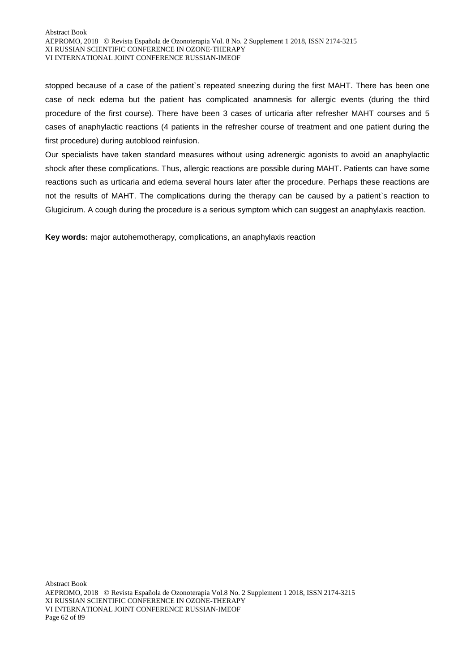stopped because of a case of the patient`s repeated sneezing during the first MAHT. There has been one case of neck edema but the patient has complicated anamnesis for allergic events (during the third procedure of the first course). There have been 3 cases of urticaria after refresher MAHT courses and 5 cases of anaphylactic reactions (4 patients in the refresher course of treatment and one patient during the first procedure) during autoblood reinfusion.

Our specialists have taken standard measures without using adrenergic agonists to avoid an anaphylactic shock after these complications. Thus, allergic reactions are possible during MAHT. Patients can have some reactions such as urticaria and edema several hours later after the procedure. Perhaps these reactions are not the results of MAHT. The complications during the therapy can be caused by a patient`s reaction to Glugicirum. A cough during the procedure is a serious symptom which can suggest an anaphylaxis reaction.

**Key words:** major autohemotherapy, complications, an anaphylaxis reaction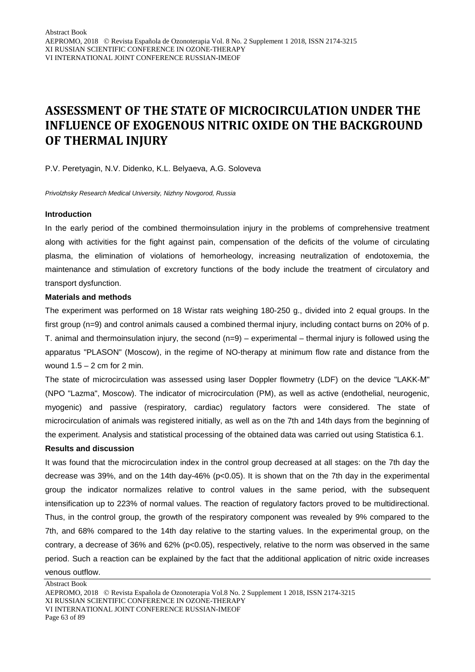# **ASSESSMENT OF THE STATE OF MICROCIRCULATION UNDER THE INFLUENCE OF EXOGENOUS NITRIC OXIDE ON THE BACKGROUND OF THERMAL INJURY**

P.V. Peretyagin, N.V. Didenko, K.L. Belyaeva, A.G. Soloveva

*Privolzhsky Research Medical University, Nizhny Novgorod, Russia*

#### **Introduction**

In the early period of the combined thermoinsulation injury in the problems of comprehensive treatment along with activities for the fight against pain, compensation of the deficits of the volume of circulating plasma, the elimination of violations of hemorheology, increasing neutralization of endotoxemia, the maintenance and stimulation of excretory functions of the body include the treatment of circulatory and transport dysfunction.

#### **Materials and methods**

The experiment was performed on 18 Wistar rats weighing 180-250 g., divided into 2 equal groups. In the first group (n=9) and control animals caused a combined thermal injury, including contact burns on 20% of p. T. animal and thermoinsulation injury, the second  $(n=9)$  – experimental – thermal injury is followed using the apparatus "PLASON" (Moscow), in the regime of NO-therapy at minimum flow rate and distance from the wound  $1.5 - 2$  cm for 2 min.

The state of microcirculation was assessed using laser Doppler flowmetry (LDF) on the device "LAKK-M" (NPO "Lazma", Moscow). The indicator of microcirculation (PM), as well as active (endothelial, neurogenic, myogenic) and passive (respiratory, cardiac) regulatory factors were considered. The state of microcirculation of animals was registered initially, as well as on the 7th and 14th days from the beginning of the experiment. Analysis and statistical processing of the obtained data was carried out using Statistica 6.1.

#### **Results and discussion**

It was found that the microcirculation index in the control group decreased at all stages: on the 7th day the decrease was 39%, and on the 14th day-46% (p<0.05). It is shown that on the 7th day in the experimental group the indicator normalizes relative to control values in the same period, with the subsequent intensification up to 223% of normal values. The reaction of regulatory factors proved to be multidirectional. Thus, in the control group, the growth of the respiratory component was revealed by 9% compared to the 7th, and 68% compared to the 14th day relative to the starting values. In the experimental group, on the contrary, a decrease of 36% and 62% (p<0.05), respectively, relative to the norm was observed in the same period. Such a reaction can be explained by the fact that the additional application of nitric oxide increases venous outflow.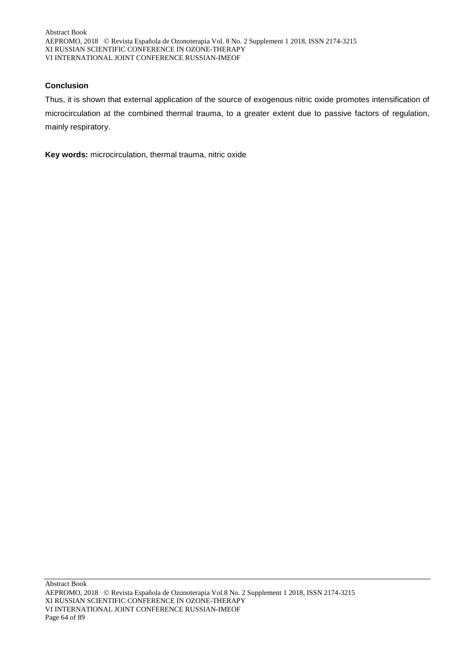# **Conclusion**

Thus, it is shown that external application of the source of exogenous nitric oxide promotes intensification of microcirculation at the combined thermal trauma, to a greater extent due to passive factors of regulation, mainly respiratory.

**Key words:** microcirculation, thermal trauma, nitric oxide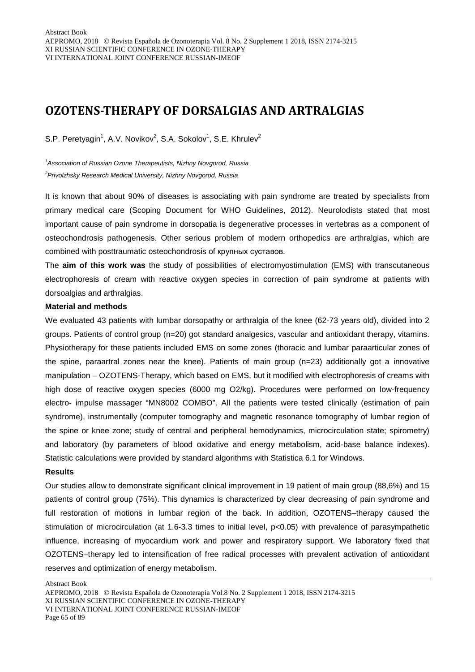# **OZOTENS-THERAPY OF DORSALGIAS AND ARTRALGIAS**

S.P. Peretyagin<sup>1</sup>, A.V. Novikov<sup>2</sup>, S.A. Sokolov<sup>1</sup>, S.E. Khrulev<sup>2</sup>

*1 Association of Russian Ozone Therapeutists, Nizhny Novgorod, Russia 2 Privolzhsky Research Medical University, Nizhny Novgorod, Russia*

It is known that about 90% of diseases is associating with pain syndrome are treated by specialists from primary medical care (Scoping Document for WHO Guidelines, 2012). Neurolodists stated that most important cause of pain syndrome in dorsopatia is degenerative processes in vertebras as a component of osteochondrosis pathogenesis. Other serious problem of modern orthopedics are arthralgias, which are combined with posttraumatic osteochondrosis of крупных суставов.

The **aim of this work was** the study of possibilities of electromyostimulation (EMS) with transcutaneous electrophoresis of cream with reactive oxygen species in correction of pain syndrome at patients with dorsoalgias and arthralgias.

#### **Material and methods**

We evaluated 43 patients with lumbar dorsopathy or arthralgia of the knee (62-73 years old), divided into 2 groups. Patients of control group (n=20) got standard analgesics, vascular and antioxidant therapy, vitamins. Physiotherapy for these patients included EMS on some zones (thoracic and lumbar paraarticular zones of the spine, paraartral zones near the knee). Patients of main group (n=23) additionally got a innovative manipulation – OZOTENS-Therapy, which based on EMS, but it modified with electrophoresis of creams with high dose of reactive oxygen species (6000 mg O2/kg). Procedures were performed on low-frequency electro- impulse massager "MN8002 COMBO". All the patients were tested clinically (estimation of pain syndrome), instrumentally (computer tomography and magnetic resonance tomography of lumbar region of the spine or knee zone; study of central and peripheral hemodynamics, microcirculation state; spirometry) and laboratory (by parameters of blood oxidative and energy metabolism, acid-base balance indexes). Statistic calculations were provided by standard algorithms with Statistica 6.1 for Windows.

#### **Results**

Our studies allow to demonstrate significant clinical improvement in 19 patient of main group (88,6%) and 15 patients of control group (75%). This dynamics is characterized by clear decreasing of pain syndrome and full restoration of motions in lumbar region of the back. In addition, OZOTENS–therapy caused the stimulation of microcirculation (at 1.6-3.3 times to initial level, p<0.05) with prevalence of parasympathetic influence, increasing of myocardium work and power and respiratory support. We laboratory fixed that OZOTENS–therapy led to intensification of free radical processes with prevalent activation of antioxidant reserves and optimization of energy metabolism.

AEPROMO, 2018 Revista Española de Ozonoterapia Vol.8 No. 2 Supplement 1 2018, ISSN 2174-3215 XI RUSSIAN SCIENTIFIC CONFERENCE IN OZONE-THERAPY VI INTERNATIONAL JOINT CONFERENCE RUSSIAN-IMEOF Page 65 of 89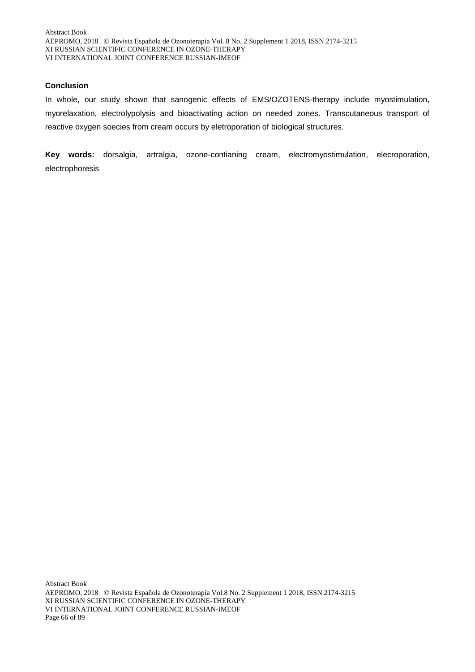### **Conclusion**

In whole, our study shown that sanogenic effects of EMS/OZOTENS-therapy include myostimulation, myorelaxation, electrolypolysis and bioactivating action on needed zones. Transcutaneous transport of reactive oxygen soecies from cream occurs by eletroporation of biological structures.

**Key words:** dorsalgia, artralgia, ozone-contianing cream, electromyostimulation, elecroporation, electrophoresis

Abstract Book AEPROMO, 2018 Revista Española de Ozonoterapia Vol.8 No. 2 Supplement 1 2018, ISSN 2174-3215 XI RUSSIAN SCIENTIFIC CONFERENCE IN OZONE-THERAPY VI INTERNATIONAL JOINT CONFERENCE RUSSIAN-IMEOF Page 66 of 89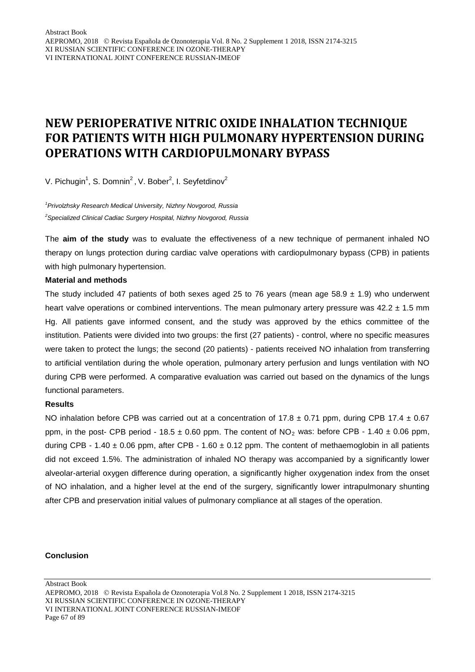# **NEW PERIOPERATIVE NITRIC OXIDE INHALATION TECHNIQUE FOR PATIENTS WITH HIGH PULMONARY HYPERTENSION DURING OPERATIONS WITH CARDIOPULMONARY BYPASS**

V. Pichugin<sup>1</sup>, S. Domnin<sup>2</sup>, V. Bober<sup>2</sup>, I. Seyfetdinov<sup>2</sup>

*1 Privolzhsky Research Medical University, Nizhny Novgorod, Russia 2 Specialized Clinical Cadiac Surgery Hospital, Nizhny Novgorod, Russia*

The **aim of the study** was to evaluate the effectiveness of a new technique of permanent inhaled NO therapy on lungs protection during cardiac valve operations with cardiopulmonary bypass (CPB) in patients with high pulmonary hypertension.

### **Material and methods**

The study included 47 patients of both sexes aged 25 to 76 years (mean age 58.9  $\pm$  1.9) who underwent heart valve operations or combined interventions. The mean pulmonary artery pressure was  $42.2 \pm 1.5$  mm Hg. All patients gave informed consent, and the study was approved by the ethics committee of the institution. Patients were divided into two groups: the first (27 patients) - control, where no specific measures were taken to protect the lungs; the second (20 patients) - patients received NO inhalation from transferring to artificial ventilation during the whole operation, pulmonary artery perfusion and lungs ventilation with NO during CPB were performed. A comparative evaluation was carried out based on the dynamics of the lungs functional parameters.

### **Results**

NO inhalation before CPB was carried out at a concentration of 17.8  $\pm$  0.71 ppm, during CPB 17.4  $\pm$  0.67 ppm, in the post- CPB period - 18.5  $\pm$  0.60 ppm. The content of NO<sub>2</sub> was: before CPB - 1.40  $\pm$  0.06 ppm, during CPB - 1.40  $\pm$  0.06 ppm, after CPB - 1.60  $\pm$  0.12 ppm. The content of methaemoglobin in all patients did not exceed 1.5%. The administration of inhaled NO therapy was accompanied by a significantly lower alveolar-arterial oxygen difference during operation, a significantly higher oxygenation index from the onset of NO inhalation, and a higher level at the end of the surgery, significantly lower intrapulmonary shunting after CPB and preservation initial values of pulmonary compliance at all stages of the operation.

#### **Conclusion**

Abstract Book

AEPROMO, 2018 Revista Española de Ozonoterapia Vol.8 No. 2 Supplement 1 2018, ISSN 2174-3215 XI RUSSIAN SCIENTIFIC CONFERENCE IN OZONE-THERAPY VI INTERNATIONAL JOINT CONFERENCE RUSSIAN-IMEOF Page 67 of 89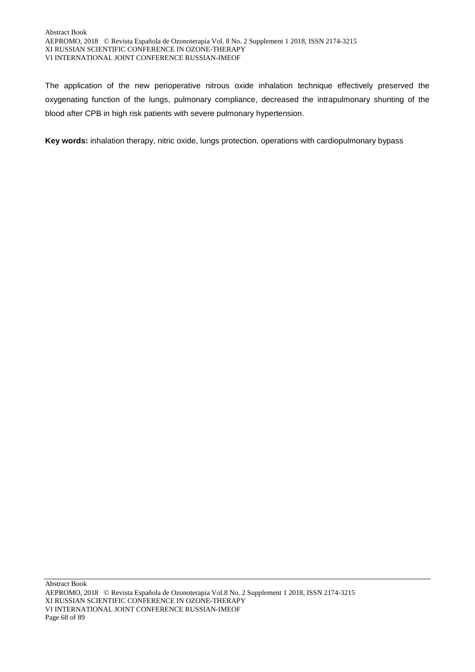The application of the new perioperative nitrous oxide inhalation technique effectively preserved the oxygenating function of the lungs, pulmonary compliance, decreased the intrapulmonary shunting of the blood after CPB in high risk patients with severe pulmonary hypertension.

**Key words:** inhalation therapy, nitric oxide, lungs protection, operations with cardiopulmonary bypass

Abstract Book AEPROMO, 2018 Revista Española de Ozonoterapia Vol.8 No. 2 Supplement 1 2018, ISSN 2174-3215 XI RUSSIAN SCIENTIFIC CONFERENCE IN OZONE-THERAPY VI INTERNATIONAL JOINT CONFERENCE RUSSIAN-IMEOF Page 68 of 89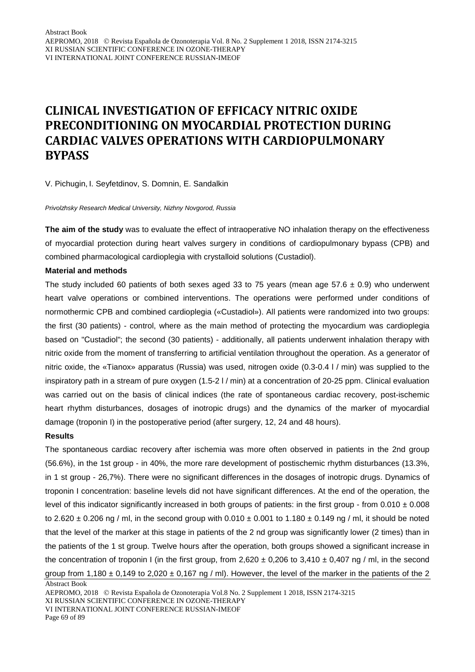# **CLINICAL INVESTIGATION OF EFFICACY NITRIC OXIDE PRECONDITIONING ON MYOCARDIAL PROTECTION DURING CARDIAC VALVES OPERATIONS WITH CARDIOPULMONARY BYPASS**

V. Pichugin, I. Seyfetdinov, S. Domnin, E. Sandalkin

#### *Privolzhsky Research Medical University, Nizhny Novgorod, Russia*

**The aim of the study** was to evaluate the effect of intraoperative NO inhalation therapy on the effectiveness of myocardial protection during heart valves surgery in conditions of cardiopulmonary bypass (CPB) and combined pharmacological cardioplegia with crystalloid solutions (Custadiol).

### **Material and methods**

The study included 60 patients of both sexes aged 33 to 75 years (mean age 57.6  $\pm$  0.9) who underwent heart valve operations or combined interventions. The operations were performed under conditions of normothermic CPB and combined cardioplegia («Custadiol»). All patients were randomized into two groups: the first (30 patients) - control, where as the main method of protecting the myocardium was cardioplegia based on "Сustadiol"; the second (30 patients) - additionally, all patients underwent inhalation therapy with nitric oxide from the moment of transferring to artificial ventilation throughout the operation. As a generator of nitric oxide, the «Tianox» apparatus (Russia) was used, nitrogen oxide (0.3-0.4 l / min) was supplied to the inspiratory path in a stream of pure oxygen (1.5-2 l / min) at a concentration of 20-25 ppm. Clinical evaluation was carried out on the basis of clinical indices (the rate of spontaneous cardiac recovery, post-ischemic heart rhythm disturbances, dosages of inotropic drugs) and the dynamics of the marker of myocardial damage (troponin I) in the postoperative period (after surgery, 12, 24 and 48 hours).

#### **Results**

The spontaneous cardiac recovery after ischemia was more often observed in patients in the 2nd group (56.6%), in the 1st group - in 40%, the more rare development of postischemic rhythm disturbances (13.3%, in 1 st group - 26,7%). There were no significant differences in the dosages of inotropic drugs. Dynamics of troponin I concentration: baseline levels did not have significant differences. At the end of the operation, the level of this indicator significantly increased in both groups of patients: in the first group - from  $0.010 \pm 0.008$ to 2.620  $\pm$  0.206 ng / ml, in the second group with 0.010  $\pm$  0.001 to 1.180  $\pm$  0.149 ng / ml, it should be noted that the level of the marker at this stage in patients of the 2 nd group was significantly lower (2 times) than in the patients of the 1 st group. Twelve hours after the operation, both groups showed a significant increase in the concentration of troponin I (in the first group, from  $2,620 \pm 0,206$  to  $3,410 \pm 0,407$  ng / ml, in the second group from 1,180  $\pm$  0,149 to 2,020  $\pm$  0,167 ng / ml). However, the level of the marker in the patients of the 2

Abstract Book

XI RUSSIAN SCIENTIFIC CONFERENCE IN OZONE-THERAPY

VI INTERNATIONAL JOINT CONFERENCE RUSSIAN-IMEOF

Page 69 of 89

AEPROMO, 2018 Revista Española de Ozonoterapia Vol.8 No. 2 Supplement 1 2018, ISSN 2174-3215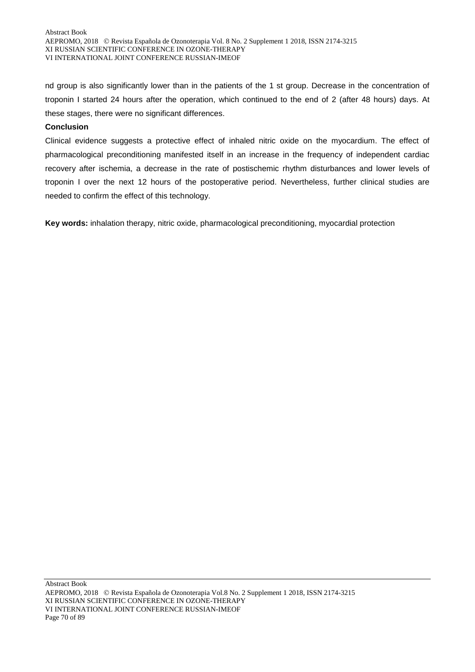nd group is also significantly lower than in the patients of the 1 st group. Decrease in the concentration of troponin I started 24 hours after the operation, which continued to the end of 2 (after 48 hours) days. At these stages, there were no significant differences.

# **Conclusion**

Clinical evidence suggests a protective effect of inhaled nitric oxide on the myocardium. The effect of pharmacological preconditioning manifested itself in an increase in the frequency of independent cardiac recovery after ischemia, a decrease in the rate of postischemic rhythm disturbances and lower levels of troponin I over the next 12 hours of the postoperative period. Nevertheless, further clinical studies are needed to confirm the effect of this technology.

**Key words:** inhalation therapy, nitric oxide, pharmacological preconditioning, myocardial protection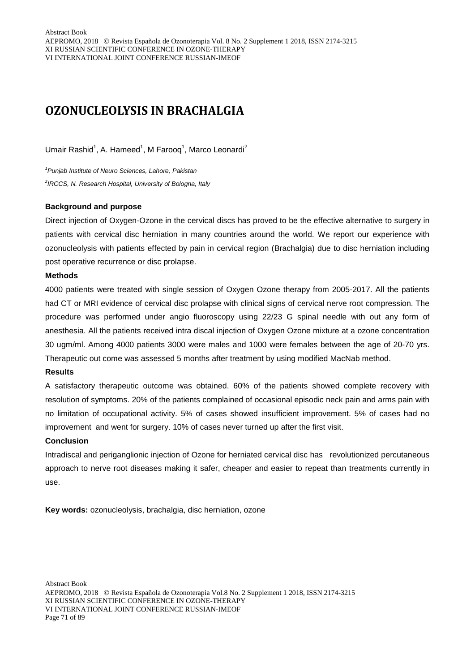# **OZONUCLEOLYSIS IN BRACHALGIA**

Umair Rashid<sup>1</sup>, A. Hameed<sup>1</sup>, M Farooq<sup>1</sup>, Marco Leonardi<sup>2</sup>

*1 Punjab Institute of Neuro Sciences, Lahore, Pakistan 2 IRCCS, N. Research Hospital, University of Bologna, Italy*

# **Background and purpose**

Direct injection of Oxygen-Ozone in the cervical discs has proved to be the effective alternative to surgery in patients with cervical disc herniation in many countries around the world. We report our experience with ozonucleolysis with patients effected by pain in cervical region (Brachalgia) due to disc herniation including post operative recurrence or disc prolapse.

# **Methods**

4000 patients were treated with single session of Oxygen Ozone therapy from 2005-2017. All the patients had CT or MRI evidence of cervical disc prolapse with clinical signs of cervical nerve root compression. The procedure was performed under angio fluoroscopy using 22/23 G spinal needle with out any form of anesthesia. All the patients received intra discal injection of Oxygen Ozone mixture at a ozone concentration 30 ugm/ml. Among 4000 patients 3000 were males and 1000 were females between the age of 20-70 yrs. Therapeutic out come was assessed 5 months after treatment by using modified MacNab method.

### **Results**

A satisfactory therapeutic outcome was obtained. 60% of the patients showed complete recovery with resolution of symptoms. 20% of the patients complained of occasional episodic neck pain and arms pain with no limitation of occupational activity. 5% of cases showed insufficient improvement. 5% of cases had no improvement and went for surgery. 10% of cases never turned up after the first visit.

### **Conclusion**

Intradiscal and periganglionic injection of Ozone for herniated cervical disc has revolutionized percutaneous approach to nerve root diseases making it safer, cheaper and easier to repeat than treatments currently in use.

**Key words:** ozonucleolysis, brachalgia, disc herniation, ozone

AEPROMO, 2018 Revista Española de Ozonoterapia Vol.8 No. 2 Supplement 1 2018, ISSN 2174-3215 XI RUSSIAN SCIENTIFIC CONFERENCE IN OZONE-THERAPY VI INTERNATIONAL JOINT CONFERENCE RUSSIAN-IMEOF Page 71 of 89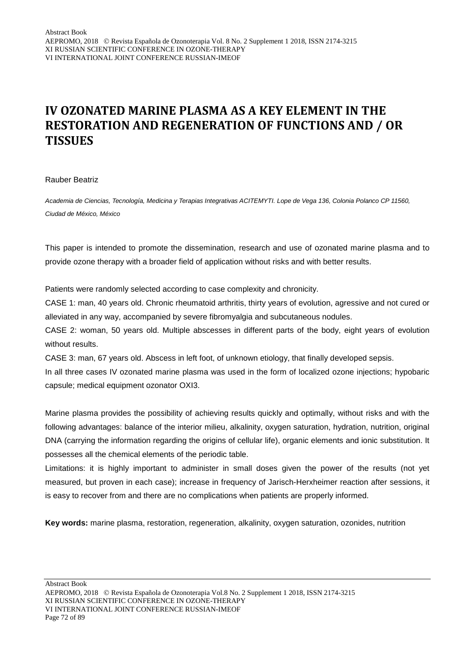# **IV OZONATED MARINE PLASMA AS A KEY ELEMENT IN THE RESTORATION AND REGENERATION OF FUNCTIONS AND / OR TISSUES**

### Rauber Beatriz

*Academia de Ciencias, Tecnología, Medicina y Terapias Integrativas ACITEMYTI. Lope de Vega 136, Colonia Polanco CP 11560, Ciudad de México, México*

This paper is intended to promote the dissemination, research and use of ozonated marine plasma and to provide ozone therapy with a broader field of application without risks and with better results.

Patients were randomly selected according to case complexity and chronicity.

CASE 1: man, 40 years old. Chronic rheumatoid arthritis, thirty years of evolution, agressive and not cured or alleviated in any way, accompanied by severe fibromyalgia and subcutaneous nodules.

CASE 2: woman, 50 years old. Multiple abscesses in different parts of the body, eight years of evolution without results.

CASE 3: man, 67 years old. Abscess in left foot, of unknown etiology, that finally developed sepsis.

In all three cases IV ozonated marine plasma was used in the form of localized ozone injections; hypobaric capsule; medical equipment ozonator OXI3.

Marine plasma provides the possibility of achieving results quickly and optimally, without risks and with the following advantages: balance of the interior milieu, alkalinity, oxygen saturation, hydration, nutrition, original DNA (carrying the information regarding the origins of cellular life), organic elements and ionic substitution. It possesses all the chemical elements of the periodic table.

Limitations: it is highly important to administer in small doses given the power of the results (not yet measured, but proven in each case); increase in frequency of Jarisch-Herxheimer reaction after sessions, it is easy to recover from and there are no complications when patients are properly informed.

**Key words:** marine plasma, restoration, regeneration, alkalinity, oxygen saturation, ozonides, nutrition

AEPROMO, 2018 Revista Española de Ozonoterapia Vol.8 No. 2 Supplement 1 2018, ISSN 2174-3215 XI RUSSIAN SCIENTIFIC CONFERENCE IN OZONE-THERAPY VI INTERNATIONAL JOINT CONFERENCE RUSSIAN-IMEOF Page 72 of 89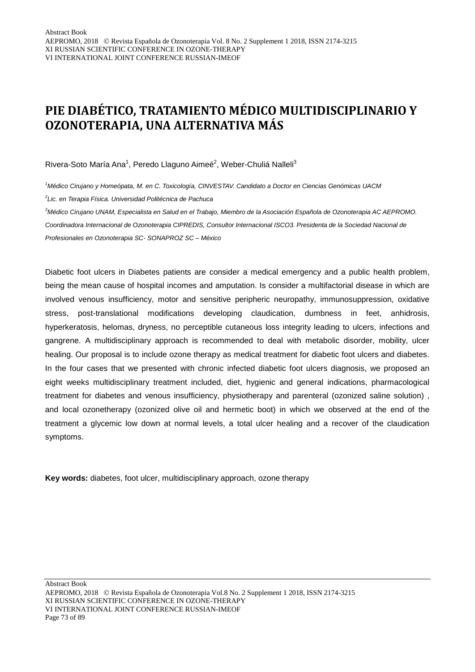# **PIE DIABÉTICO, TRATAMIENTO MÉDICO MULTIDISCIPLINARIO Y OZONOTERAPIA, UNA ALTERNATIVA MÁS**

Rivera-Soto María Ana<sup>1</sup>, Peredo Llaguno Aimeé<sup>2</sup>, Weber-Chuliá Nalleli<sup>3</sup>

*1 Médico Cirujano y Homeópata, M. en C. Toxicología, CINVESTAV. Candidato a Doctor en Ciencias Genómicas UACM 2 Lic. en Terapia Física. Universidad Politécnica de Pachuca*

*3 Médico Cirujano UNAM, Especialista en Salud en el Trabajo, Miembro de la Asociación Española de Ozonoterapia AC AEPROMO. Coordinadora Internacional de Ozonoterapia CIPREDIS, Consultor Internacional ISCO3. Presidenta de la Sociedad Nacional de Profesionales en Ozonoterapia SC- SONAPROZ SC – México*

Diabetic foot ulcers in Diabetes patients are consider a medical emergency and a public health problem, being the mean cause of hospital incomes and amputation. Is consider a multifactorial disease in which are involved venous insufficiency, motor and sensitive peripheric neuropathy, immunosuppression, oxidative stress, post-translational modifications developing claudication, dumbness in feet, anhidrosis, hyperkeratosis, helomas, dryness, no perceptible cutaneous loss integrity leading to ulcers, infections and gangrene. A multidisciplinary approach is recommended to deal with metabolic disorder, mobility, ulcer healing. Our proposal is to include ozone therapy as medical treatment for diabetic foot ulcers and diabetes. In the four cases that we presented with chronic infected diabetic foot ulcers diagnosis, we proposed an eight weeks multidisciplinary treatment included, diet, hygienic and general indications, pharmacological treatment for diabetes and venous insufficiency, physiotherapy and parenteral (ozonized saline solution) , and local ozonetherapy (ozonized olive oil and hermetic boot) in which we observed at the end of the treatment a glycemic low down at normal levels, a total ulcer healing and a recover of the claudication symptoms.

**Key words:** diabetes, foot ulcer, multidisciplinary approach, ozone therapy

AEPROMO, 2018 Revista Española de Ozonoterapia Vol.8 No. 2 Supplement 1 2018, ISSN 2174-3215 XI RUSSIAN SCIENTIFIC CONFERENCE IN OZONE-THERAPY VI INTERNATIONAL JOINT CONFERENCE RUSSIAN-IMEOF Page 73 of 89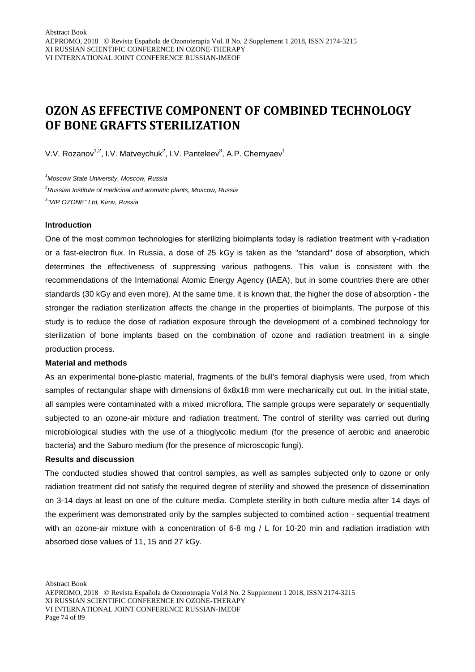## **OZON AS EFFECTIVE COMPONENT OF COMBINED TECHNOLOGY OF BONE GRAFTS STERILIZATION**

V.V. Rozanov<sup>1,2</sup>, I.V. Matveychuk<sup>2</sup>, I.V. Panteleev<sup>3</sup>, A.P. Chernyaev<sup>1</sup>

*1 Moscow State University, Moscow, Russia 2 Russian Institute of medicinal and aromatic plants, Moscow, Russia 3 "VIP OZONE" Ltd, Kirov, Russia*

#### **Introduction**

One of the most common technologies for sterilizing bioimplants today is radiation treatment with γ-radiation or a fast-electron flux. In Russia, a dose of 25 kGy is taken as the "standard" dose of absorption, which determines the effectiveness of suppressing various pathogens. This value is consistent with the recommendations of the International Atomic Energy Agency (IAEA), but in some countries there are other standards (30 kGy and even more). At the same time, it is known that, the higher the dose of absorption - the stronger the radiation sterilization affects the change in the properties of bioimplants. The purpose of this study is to reduce the dose of radiation exposure through the development of a combined technology for sterilization of bone implants based on the combination of ozone and radiation treatment in a single production process.

#### **Material and methods**

As an experimental bone-plastic material, fragments of the bull's femoral diaphysis were used, from which samples of rectangular shape with dimensions of 6x8x18 mm were mechanically cut out. In the initial state, all samples were contaminated with a mixed microflora. The sample groups were separately or sequentially subjected to an ozone-air mixture and radiation treatment. The control of sterility was carried out during microbiological studies with the use of a thioglycolic medium (for the presence of aerobic and anaerobic bacteria) and the Saburo medium (for the presence of microscopic fungi).

#### **Results and discussion**

The conducted studies showed that control samples, as well as samples subjected only to ozone or only radiation treatment did not satisfy the required degree of sterility and showed the presence of dissemination on 3-14 days at least on one of the culture media. Complete sterility in both culture media after 14 days of the experiment was demonstrated only by the samples subjected to combined action - sequential treatment with an ozone-air mixture with a concentration of 6-8 mg / L for 10-20 min and radiation irradiation with absorbed dose values of 11, 15 and 27 kGy.

AEPROMO, 2018 Revista Española de Ozonoterapia Vol.8 No. 2 Supplement 1 2018, ISSN 2174-3215 XI RUSSIAN SCIENTIFIC CONFERENCE IN OZONE-THERAPY VI INTERNATIONAL JOINT CONFERENCE RUSSIAN-IMEOF Page 74 of 89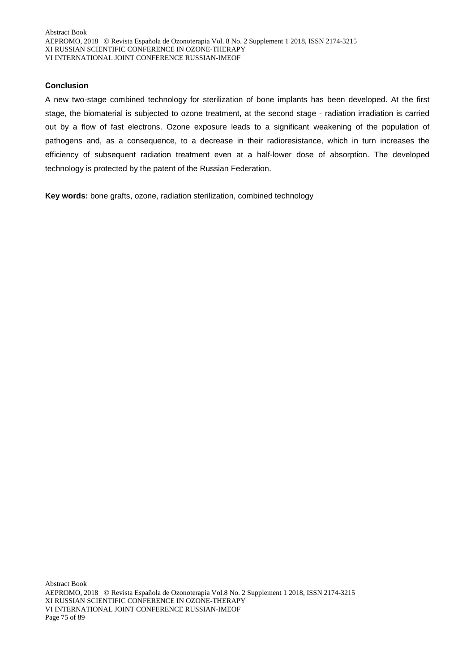#### **Сonclusion**

A new two-stage combined technology for sterilization of bone implants has been developed. At the first stage, the biomaterial is subjected to ozone treatment, at the second stage - radiation irradiation is carried out by a flow of fast electrons. Ozone exposure leads to a significant weakening of the population of pathogens and, as a consequence, to a decrease in their radioresistance, which in turn increases the efficiency of subsequent radiation treatment even at a half-lower dose of absorption. The developed technology is protected by the patent of the Russian Federation.

**Key words:** bone grafts, ozone, radiation sterilization, combined technology

Abstract Book AEPROMO, 2018 Revista Española de Ozonoterapia Vol.8 No. 2 Supplement 1 2018, ISSN 2174-3215 XI RUSSIAN SCIENTIFIC CONFERENCE IN OZONE-THERAPY VI INTERNATIONAL JOINT CONFERENCE RUSSIAN-IMEOF Page 75 of 89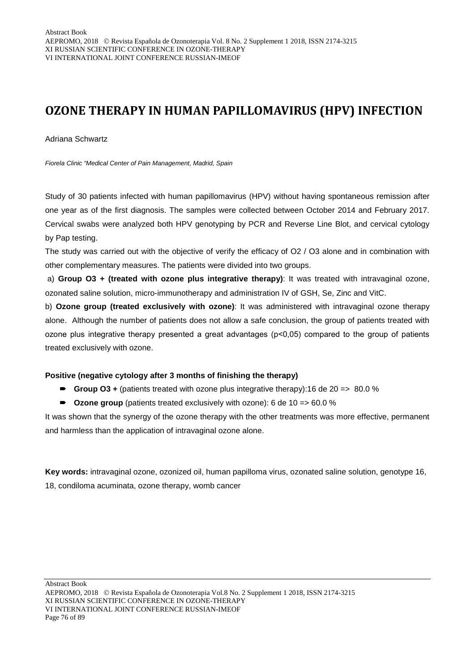# **OZONE THERAPY IN HUMAN PAPILLOMAVIRUS (HPV) INFECTION**

Adriana Schwartz

*Fiorela Clinic "Medical Center of Pain Management, Madrid, Spain*

Study of 30 patients infected with human papillomavirus (HPV) without having spontaneous remission after one year as of the first diagnosis. The samples were collected between October 2014 and February 2017. Cervical swabs were analyzed both HPV genotyping by PCR and Reverse Line Blot, and cervical cytology by Pap testing.

The study was carried out with the objective of verify the efficacy of O2 / O3 alone and in combination with other complementary measures. The patients were divided into two groups.

a) **Group O3 + (treated with ozone plus integrative therapy)**: It was treated with intravaginal ozone, ozonated saline solution, micro-immunotherapy and administration IV of GSH, Se, Zinc and VitC.

b) **Ozone group (treated exclusively with ozone)**: It was administered with intravaginal ozone therapy alone. Although the number of patients does not allow a safe conclusion, the group of patients treated with ozone plus integrative therapy presented a great advantages (p˂0,05) compared to the group of patients treated exclusively with ozone.

#### **Positive (negative cytology after 3 months of finishing the therapy)**

- **Group O3 +** (patients treated with ozone plus integrative therapy):16 de 20 =  $> 80.0\%$
- Ozone group (patients treated exclusively with ozone): 6 de 10 => 60.0 %

It was shown that the synergy of the ozone therapy with the other treatments was more effective, permanent and harmless than the application of intravaginal ozone alone.

**Key words:** intravaginal ozone, ozonized oil, human papilloma virus, ozonated saline solution, genotype 16, 18, condiloma acuminata, ozone therapy, womb cancer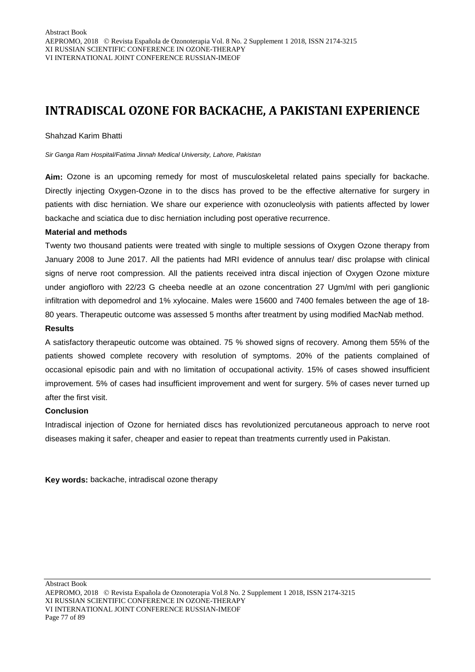# **INTRADISCAL OZONE FOR BACKACHE, A PAKISTANI EXPERIENCE**

#### Shahzad Karim Bhatti

*Sir Ganga Ram Hospital/Fatima Jinnah Medical University, Lahore, Pakistan*

**Aim:** Ozone is an upcoming remedy for most of musculoskeletal related pains specially for backache. Directly injecting Oxygen-Ozone in to the discs has proved to be the effective alternative for surgery in patients with disc herniation. We share our experience with ozonucleolysis with patients affected by lower backache and sciatica due to disc herniation including post operative recurrence.

#### **Material and methods**

Twenty two thousand patients were treated with single to multiple sessions of Oxygen Ozone therapy from January 2008 to June 2017. All the patients had MRI evidence of annulus tear/ disc prolapse with clinical signs of nerve root compression. All the patients received intra discal injection of Oxygen Ozone mixture under angiofloro with 22/23 G cheeba needle at an ozone concentration 27 Ugm/ml with peri ganglionic infiltration with depomedrol and 1% xylocaine. Males were 15600 and 7400 females between the age of 18- 80 years. Therapeutic outcome was assessed 5 months after treatment by using modified MacNab method.

## **Results**

A satisfactory therapeutic outcome was obtained. 75 % showed signs of recovery. Among them 55% of the patients showed complete recovery with resolution of symptoms. 20% of the patients complained of occasional episodic pain and with no limitation of occupational activity. 15% of cases showed insufficient improvement. 5% of cases had insufficient improvement and went for surgery. 5% of cases never turned up after the first visit.

#### **Conclusion**

Intradiscal injection of Ozone for herniated discs has revolutionized percutaneous approach to nerve root diseases making it safer, cheaper and easier to repeat than treatments currently used in Pakistan.

**Key words:** backache, intradiscal ozone therapy

AEPROMO, 2018 Revista Española de Ozonoterapia Vol.8 No. 2 Supplement 1 2018, ISSN 2174-3215 XI RUSSIAN SCIENTIFIC CONFERENCE IN OZONE-THERAPY VI INTERNATIONAL JOINT CONFERENCE RUSSIAN-IMEOF Page 77 of 89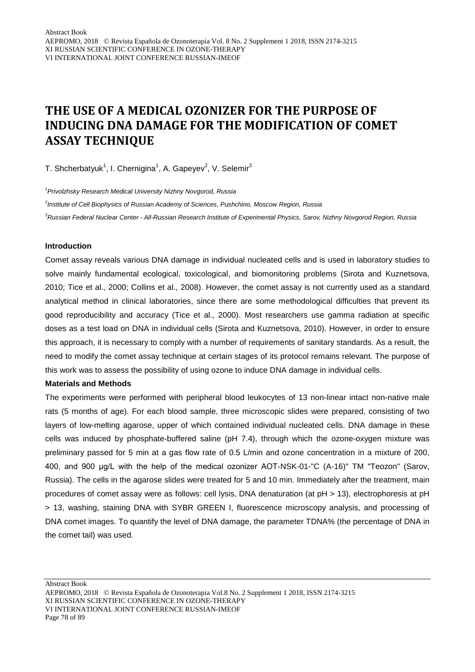# **THE USE OF A MEDICAL OZONIZER FOR THE PURPOSE OF INDUCING DNA DAMAGE FOR THE MODIFICATION OF COMET ASSAY TECHNIQUE**

T. Shcherbatyuk<sup>1</sup>, I. Chernigina<sup>1</sup>, A. Gapeyev<sup>2</sup>, V. Selemir<sup>3</sup>

*1 Privolzhsky Research Medical University Nizhny Novgorod, Russia*

*2 Institute of Cell Biophysics of Russian Academy of Sciences, Pushchino, Moscow Region, Russia 3 Russian Federal Nuclear Center - All-Russian Research Institute of Experimental Physics, Sarov, Nizhny Novgorod Region, Russia*

#### **Introduction**

Comet assay reveals various DNA damage in individual nucleated cells and is used in laboratory studies to solve mainly fundamental ecological, toxicological, and biomonitoring problems (Sirota and Kuznetsova, 2010; Tice et al., 2000; Collins et al., 2008). However, the comet assay is not currently used as a standard analytical method in clinical laboratories, since there are some methodological difficulties that prevent its good reproducibility and accuracy (Tice et al., 2000). Most researchers use gamma radiation at specific doses as a test load on DNA in individual cells (Sirota and Kuznetsova, 2010). However, in order to ensure this approach, it is necessary to comply with a number of requirements of sanitary standards. As a result, the need to modify the comet assay technique at certain stages of its protocol remains relevant. The purpose of this work was to assess the possibility of using ozone to induce DNA damage in individual cells.

#### **Materials and Methods**

The experiments were performed with peripheral blood leukocytes of 13 non-linear intact non-native male rats (5 months of age). For each blood sample, three microscopic slides were prepared, consisting of two layers of low-melting agarose, upper of which contained individual nucleated cells. DNA damage in these cells was induced by phosphate-buffered saline (pH 7.4), through which the ozone-oxygen mixture was preliminary passed for 5 min at a gas flow rate of 0.5 L/min and ozone concentration in a mixture of 200, 400, and 900 μg/L with the help of the medical ozonizer AOT-NSK-01-"C (A-16)" TM "Teozon" (Sarov, Russia). The cells in the agarose slides were treated for 5 and 10 min. Immediately after the treatment, main procedures of comet assay were as follows: cell lysis, DNA denaturation (at pH > 13), electrophoresis at pH > 13, washing, staining DNA with SYBR GREEN I, fluorescence microscopy analysis, and processing of DNA comet images. To quantify the level of DNA damage, the parameter TDNA% (the percentage of DNA in the comet tail) was used.

AEPROMO, 2018 Revista Española de Ozonoterapia Vol.8 No. 2 Supplement 1 2018, ISSN 2174-3215 XI RUSSIAN SCIENTIFIC CONFERENCE IN OZONE-THERAPY VI INTERNATIONAL JOINT CONFERENCE RUSSIAN-IMEOF Page 78 of 89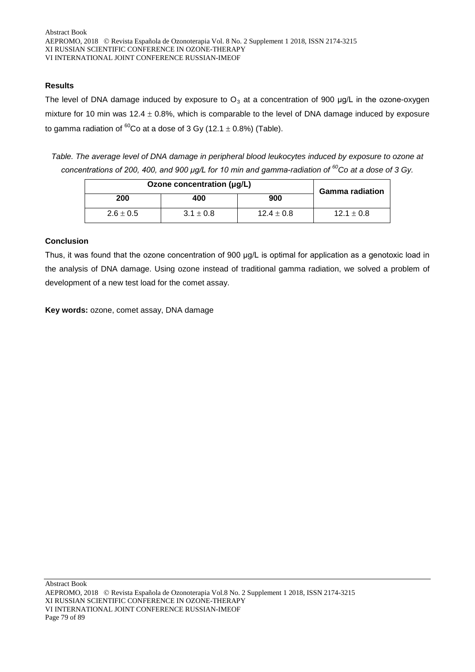## **Results**

The level of DNA damage induced by exposure to  $O_3$  at a concentration of 900 µg/L in the ozone-oxygen mixture for 10 min was  $12.4 \pm 0.8$ %, which is comparable to the level of DNA damage induced by exposure to gamma radiation of  ${}^{60}$ Co at a dose of 3 Gy (12.1  $\pm$  0.8%) (Table).

*Table. The average level of DNA damage in peripheral blood leukocytes induced by exposure to ozone at concentrations of 200, 400, and 900 μg/L for 10 min and gamma-radiation of 60Co at a dose of 3 Gy.*

| Ozone concentration (µg/L) |               |                | <b>Gamma radiation</b> |
|----------------------------|---------------|----------------|------------------------|
| 200                        | 400           | 900            |                        |
| $2.6 \pm 0.5$              | $3.1 \pm 0.8$ | $12.4 \pm 0.8$ | $12.1 \pm 0.8$         |

## **Conclusion**

Thus, it was found that the ozone concentration of 900 μg/L is optimal for application as a genotoxic load in the analysis of DNA damage. Using ozone instead of traditional gamma radiation, we solved a problem of development of a new test load for the comet assay.

**Key words:** ozone, comet assay, DNA damage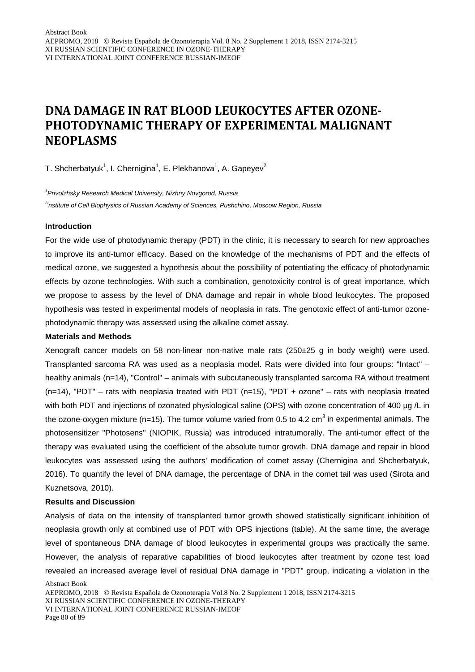# **DNA DAMAGE IN RAT BLOOD LEUKOCYTES AFTER OZONE-PHOTODYNAMIC THERAPY OF EXPERIMENTAL MALIGNANT NEOPLASMS**

T. Shcherbatyuk<sup>1</sup>, I. Chernigina<sup>1</sup>, E. Plekhanova<sup>1</sup>, A. Gapeyev<sup>2</sup>

*1 Privolzhsky Research Medical University, Nizhny Novgorod, Russia*

*2Institute of Cell Biophysics of Russian Academy of Sciences, Pushchino, Moscow Region, Russia*

#### **Introduction**

For the wide use of photodynamic therapy (PDT) in the clinic, it is necessary to search for new approaches to improve its anti-tumor efficacy. Based on the knowledge of the mechanisms of PDT and the effects of medical ozone, we suggested a hypothesis about the possibility of potentiating the efficacy of photodynamic effects by ozone technologies. With such a combination, genotoxicity control is of great importance, which we propose to assess by the level of DNA damage and repair in whole blood leukocytes. The proposed hypothesis was tested in experimental models of neoplasia in rats. The genotoxic effect of anti-tumor ozonephotodynamic therapy was assessed using the alkaline comet assay.

#### **Materials and Methods**

Xenograft cancer models on 58 non-linear non-native male rats (250±25 g in body weight) were used. Transplanted sarcoma RA was used as a neoplasia model. Rats were divided into four groups: "Intact" – healthy animals (n=14), "Control" – animals with subcutaneously transplanted sarcoma RA without treatment  $(n=14)$ , "PDT" – rats with neoplasia treated with PDT  $(n=15)$ , "PDT + ozone" – rats with neoplasia treated with both PDT and injections of ozonated physiological saline (OPS) with ozone concentration of 400 μg /L in the ozone-oxygen mixture (n=15). The tumor volume varied from 0.5 to 4.2 cm<sup>3</sup> in experimental animals. The photosensitizer "Photosens" (NIOPIK, Russia) was introduced intratumorally. The anti-tumor effect of the therapy was evaluated using the coefficient of the absolute tumor growth. DNA damage and repair in blood leukocytes was assessed using the authors' modification of comet assay (Chernigina and Shcherbatyuk, 2016). To quantify the level of DNA damage, the percentage of DNA in the comet tail was used (Sirota and Kuznetsova, 2010).

#### **Results and Discussion**

Analysis of data on the intensity of transplanted tumor growth showed statistically significant inhibition of neoplasia growth only at combined use of PDT with OPS injections (table). At the same time, the average level of spontaneous DNA damage of blood leukocytes in experimental groups was practically the same. However, the analysis of reparative capabilities of blood leukocytes after treatment by ozone test load revealed an increased average level of residual DNA damage in "PDT" group, indicating a violation in the

AEPROMO, 2018 Revista Española de Ozonoterapia Vol.8 No. 2 Supplement 1 2018, ISSN 2174-3215 XI RUSSIAN SCIENTIFIC CONFERENCE IN OZONE-THERAPY VI INTERNATIONAL JOINT CONFERENCE RUSSIAN-IMEOF Page 80 of 89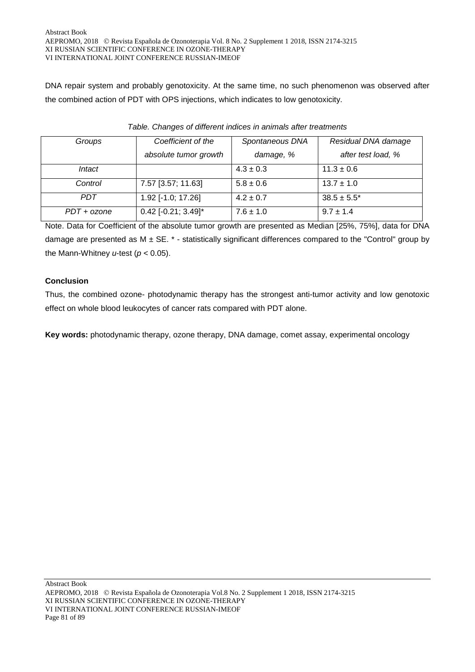DNA repair system and probably genotoxicity. At the same time, no such phenomenon was observed after the combined action of PDT with OPS injections, which indicates to low genotoxicity.

| Groups        | Coefficient of the    | Spontaneous DNA | Residual DNA damage |
|---------------|-----------------------|-----------------|---------------------|
|               | absolute tumor growth | damage, %       | after test load, %  |
| Intact        |                       | $4.3 \pm 0.3$   | $11.3 \pm 0.6$      |
| Control       | 7.57 [3.57; 11.63]    | $5.8 \pm 0.6$   | $13.7 \pm 1.0$      |
| PDT           | 1.92 [-1.0; 17.26]    | $4.2 \pm 0.7$   | $38.5 \pm 5.5^*$    |
| $PDT + ozone$ | $0.42$ [-0.21; 3.49]* | $7.6 \pm 1.0$   | $9.7 \pm 1.4$       |

| Table. Changes of different indices in animals after treatments |  |  |  |
|-----------------------------------------------------------------|--|--|--|
|-----------------------------------------------------------------|--|--|--|

Note. Data for Coefficient of the absolute tumor growth are presented as Median [25%, 75%], data for DNA damage are presented as  $M \pm SE$ .  $*$  - statistically significant differences compared to the "Control" group by the Mann-Whitney *u*-test (*p* < 0.05).

## **Conclusion**

Thus, the combined ozone- photodynamic therapy has the strongest anti-tumor activity and low genotoxic effect on whole blood leukocytes of cancer rats compared with PDT alone.

**Key words:** photodynamic therapy, ozone therapy, DNA damage, comet assay, experimental oncology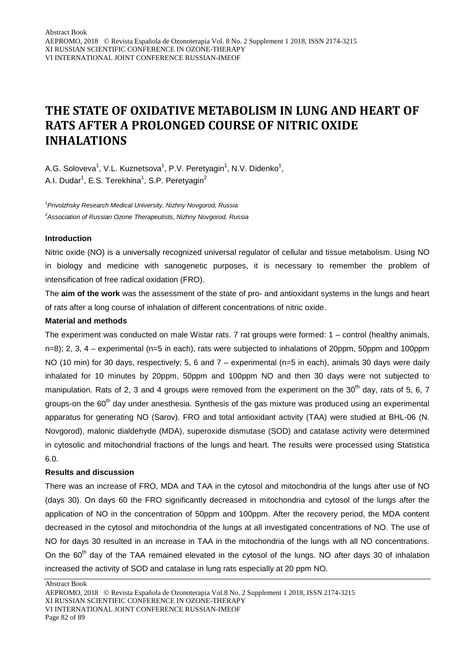## **THE STATE OF OXIDATIVE METABOLISM IN LUNG AND HEART OF RATS AFTER A PROLONGED COURSE OF NITRIC OXIDE INHALATIONS**

A.G. Soloveva<sup>1</sup>, V.L. Kuznetsova<sup>1</sup>, P.V. Peretyagin<sup>1</sup>, N.V. Didenko<sup>1</sup>, A.I. Dudar<sup>1</sup>, E.S. Terekhina<sup>1</sup>, S.P. Peretyagin<sup>2</sup>

*1 Privolzhsky Research Medical University, Nizhny Novgorod, Russia 2 Association of Russian Ozone Therapeutists, Nizhny Novgorod, Russia*

#### **Introduction**

Nitric oxide (NO) is a universally recognized universal regulator of cellular and tissue metabolism. Using NO in biology and medicine with sanogenetic purposes, it is necessary to remember the problem of intensification of free radical oxidation (FRO).

The **aim of the work** was the assessment of the state of pro- and antioxidant systems in the lungs and heart of rats after a long course of inhalation of different concentrations of nitric oxide.

#### **Material and methods**

The experiment was conducted on male Wistar rats. 7 rat groups were formed: 1 – control (healthy animals, n=8); 2, 3, 4 – experimental (n=5 in each), rats were subjected to inhalations of 20ppm, 50ppm and 100ppm NO (10 min) for 30 days, respectively; 5, 6 and 7 – experimental (n=5 in each), animals 30 days were daily inhalated for 10 minutes by 20ppm, 50ppm and 100ppm NO and then 30 days were not subjected to manipulation. Rats of 2, 3 and 4 groups were removed from the experiment on the  $30<sup>th</sup>$  day, rats of 5, 6, 7 groups-on the  $60<sup>th</sup>$  day under anesthesia. Synthesis of the gas mixture was produced using an experimental apparatus for generating NO (Sarov). FRO and total antioxidant activity (TAA) were studied at BHL-06 (N. Novgorod), malonic dialdehyde (MDA), superoxide dismutase (SOD) and catalase activity were determined in cytosolic and mitochondrial fractions of the lungs and heart. The results were processed using Statistica 6.0.

#### **Results and discussion**

There was an increase of FRO, MDA and TAA in the cytosol and mitochondria of the lungs after use of NO (days 30). On days 60 the FRO significantly decreased in mitochondria and cytosol of the lungs after the application of NO in the concentration of 50ppm and 100ppm. After the recovery period, the MDA content decreased in the cytosol and mitochondria of the lungs at all investigated concentrations of NO. The use of NO for days 30 resulted in an increase in TAA in the mitochondria of the lungs with all NO concentrations. On the 60<sup>th</sup> day of the TAA remained elevated in the cytosol of the lungs. NO after days 30 of inhalation increased the activity of SOD and catalase in lung rats especially at 20 ppm NO.

AEPROMO, 2018 Revista Española de Ozonoterapia Vol.8 No. 2 Supplement 1 2018, ISSN 2174-3215 XI RUSSIAN SCIENTIFIC CONFERENCE IN OZONE-THERAPY VI INTERNATIONAL JOINT CONFERENCE RUSSIAN-IMEOF Page 82 of 89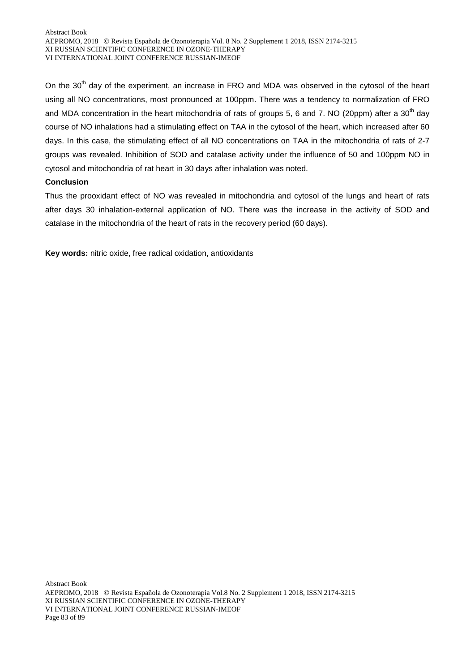On the 30<sup>th</sup> day of the experiment, an increase in FRO and MDA was observed in the cytosol of the heart using all NO concentrations, most pronounced at 100ppm. There was a tendency to normalization of FRO and MDA concentration in the heart mitochondria of rats of groups 5, 6 and 7. NO (20ppm) after a 30<sup>th</sup> day course of NO inhalations had a stimulating effect on TAA in the cytosol of the heart, which increased after 60 days. In this case, the stimulating effect of all NO concentrations on TAA in the mitochondria of rats of 2-7 groups was revealed. Inhibition of SOD and catalase activity under the influence of 50 and 100ppm NO in cytosol and mitochondria of rat heart in 30 days after inhalation was noted.

## **Conclusion**

Thus the prooxidant effect of NO was revealed in mitochondria and cytosol of the lungs and heart of rats after days 30 inhalation-external application of NO. There was the increase in the activity of SOD and catalase in the mitochondria of the heart of rats in the recovery period (60 days).

**Key words:** nitric oxide, free radical oxidation, antioxidants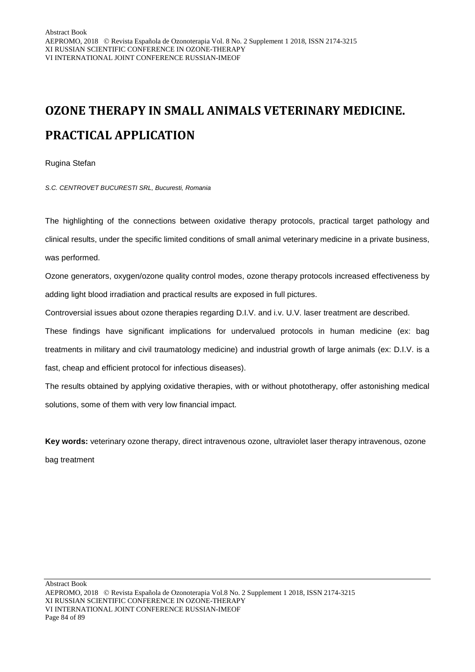# **OZONE THERAPY IN SMALL ANIMALS VETERINARY MEDICINE. PRACTICAL APPLICATION**

Rugina Stefan

*S.C. CENTROVET BUCURESTI SRL, Bucuresti, Romania*

The highlighting of the connections between oxidative therapy protocols, practical target pathology and clinical results, under the specific limited conditions of small animal veterinary medicine in a private business, was performed.

Ozone generators, oxygen/ozone quality control modes, ozone therapy protocols increased effectiveness by adding light blood irradiation and practical results are exposed in full pictures.

Controversial issues about ozone therapies regarding D.I.V. and i.v. U.V. laser treatment are described.

These findings have significant implications for undervalued protocols in human medicine (ex: bag treatments in military and civil traumatology medicine) and industrial growth of large animals (ex: D.I.V. is a fast, cheap and efficient protocol for infectious diseases).

The results obtained by applying oxidative therapies, with or without phototherapy, offer astonishing medical solutions, some of them with very low financial impact.

**Key words:** veterinary ozone therapy, direct intravenous ozone, ultraviolet laser therapy intravenous, ozone bag treatment

AEPROMO, 2018 Revista Española de Ozonoterapia Vol.8 No. 2 Supplement 1 2018, ISSN 2174-3215 XI RUSSIAN SCIENTIFIC CONFERENCE IN OZONE-THERAPY VI INTERNATIONAL JOINT CONFERENCE RUSSIAN-IMEOF Page 84 of 89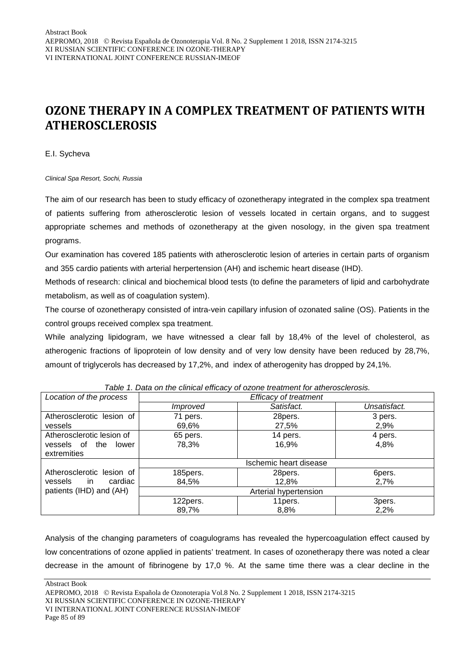## **OZONE THERAPY IN A COMPLEX TREATMENT OF PATIENTS WITH ATHEROSCLEROSIS**

E.I. Sycheva

*Clinical Spa Resort, Sochi, Russia*

The aim of our research has been to study efficacy of ozonetherapy integrated in the complex spa treatment of patients suffering from atherosclerotic lesion of vessels located in certain organs, and to suggest appropriate schemes and methods of ozonetherapy at the given nosology, in the given spa treatment programs.

Our examination has covered 185 patients with atherosclerotic lesion of arteries in certain parts of organism and 355 cardio patients with arterial herpertension (AH) and ischemic heart disease (IHD).

Methods of research: clinical and biochemical blood tests (to define the parameters of lipid and carbohydrate metabolism, as well as of coagulation system).

The course of ozonetherapy consisted of intra-vein capillary infusion of ozonated saline (OS). Patients in the control groups received complex spa treatment.

While analyzing lipidogram, we have witnessed a clear fall by 18,4% of the level of cholesterol, as atherogenic fractions of lipoprotein of low density and of very low density have been reduced by 28,7%, amount of triglycerols has decreased by 17,2%, and index of atherogenity has dropped by 24,1%.

| Location of the process     |                        | <b>Efficacy of treatment</b> |              |  |
|-----------------------------|------------------------|------------------------------|--------------|--|
|                             | <i>Improved</i>        | Satisfact.                   | Unsatisfact. |  |
| Atherosclerotic lesion of   | 71 pers.               | 28pers.                      | 3 pers.      |  |
| vessels                     | 69,6%                  | 27,5%                        | 2,9%         |  |
| Atherosclerotic lesion of   | 65 pers.               | 14 pers.                     | 4 pers.      |  |
| vessels of the lower        | 78,3%                  | 16,9%                        | 4,8%         |  |
| extremities                 |                        |                              |              |  |
|                             | Ischemic heart disease |                              |              |  |
| Atherosclerotic lesion of   | 185pers.               | 28pers.                      | 6pers.       |  |
| cardiac<br>vessels<br>in in | 84,5%                  | 12,8%                        | 2,7%         |  |
| patients (IHD) and (AH)     | Arterial hypertension  |                              |              |  |
|                             | 122pers.               | 11 pers.                     | 3pers.       |  |
|                             | 89,7%                  | 8,8%                         | 2,2%         |  |

Analysis of the changing parameters of coagulograms has revealed the hypercoagulation effect caused by low concentrations of ozone applied in patients' treatment. In cases of ozonetherapy there was noted a clear decrease in the amount of fibrinogene by 17,0 %. At the same time there was a clear decline in the

AEPROMO, 2018 Revista Española de Ozonoterapia Vol.8 No. 2 Supplement 1 2018, ISSN 2174-3215

XI RUSSIAN SCIENTIFIC CONFERENCE IN OZONE-THERAPY

VI INTERNATIONAL JOINT CONFERENCE RUSSIAN-IMEOF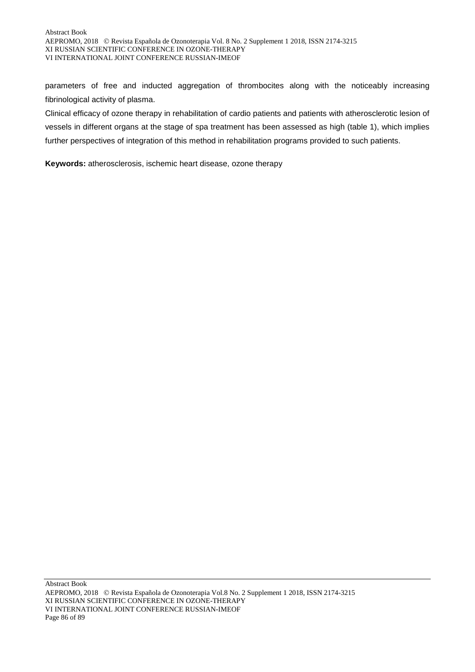parameters of free and inducted aggregation of thrombocites along with the noticeably increasing fibrinological activity of plasma.

Сlinical efficacy of ozone therapy in rehabilitation of cardio patients and patients with atherosclerotic lesion of vessels in different organs at the stage of spa treatment has been assessed as high (table 1), which implies further perspectives of integration of this method in rehabilitation programs provided to such patients.

**Keywords:** atherosclerosis, ischemic heart disease, ozone therapy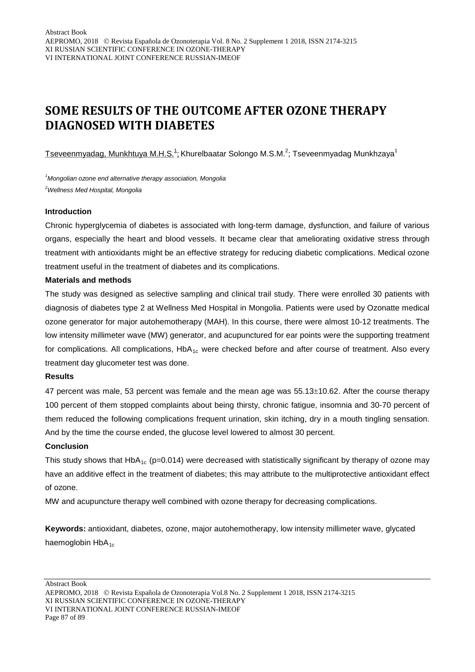# **SOME RESULTS OF THE OUTCOME AFTER OZONE THERAPY DIAGNOSED WITH DIABETES**

 ${\rm Tseveenmyadag.}$ Munkhtuya M.H.S. $^{1}$ : Khurelbaatar Solongo M.S.M. $^{2}$ ; Tseveenmyadag Munkhzaya $^{1}$ 

*1 Mongolian ozone end alternative therapy association, Mongolia 2 Wellness Med Hospital, Mongolia*

#### **Introduction**

Chronic hyperglycemia of diabetes is associated with long-term damage, dysfunction, and failure of various organs, especially the heart and blood vessels. It became clear that ameliorating oxidative stress through treatment with antioxidants might be an effective strategy for reducing diabetic complications. Medical ozone treatment useful in the treatment of diabetes and its complications.

#### **Materials and methods**

The study was designed as selective sampling and clinical trail study. There were enrolled 30 patients with diagnosis of diabetes type 2 at Wellness Med Hospital in Mongolia. Patients were used by Ozonatte medical ozone generator for major autohemotherapy (MAH). In this course, there were almost 10-12 treatments. The low intensity millimeter wave (MW) generator, and acupunctured for ear points were the supporting treatment for complications. All complications,  $HDA_{1c}$  were checked before and after course of treatment. Also every treatment day glucometer test was done.

#### **Results**

47 percent was male, 53 percent was female and the mean age was 55.13±10.62. After the course therapy 100 percent of them stopped complaints about being thirsty, chronic fatigue, insomnia and 30-70 percent of them reduced the following complications frequent urination, skin itching, dry in a mouth tingling sensation. And by the time the course ended, the glucose level lowered to almost 30 percent.

#### **Conclusion**

This study shows that HbA<sub>1c</sub> (p=0.014) were decreased with statistically significant by therapy of ozone may have an additive effect in the treatment of diabetes; this may attribute to the multiprotective antioxidant effect of ozone.

MW and acupuncture therapy well combined with ozone therapy for decreasing complications.

**Keywords:** antioxidant, diabetes, ozone, major autohemotherapy, low intensity millimeter wave, glycated haemoglobin  $HbA_{1c}$ 

AEPROMO, 2018 Revista Española de Ozonoterapia Vol.8 No. 2 Supplement 1 2018, ISSN 2174-3215 XI RUSSIAN SCIENTIFIC CONFERENCE IN OZONE-THERAPY VI INTERNATIONAL JOINT CONFERENCE RUSSIAN-IMEOF Page 87 of 89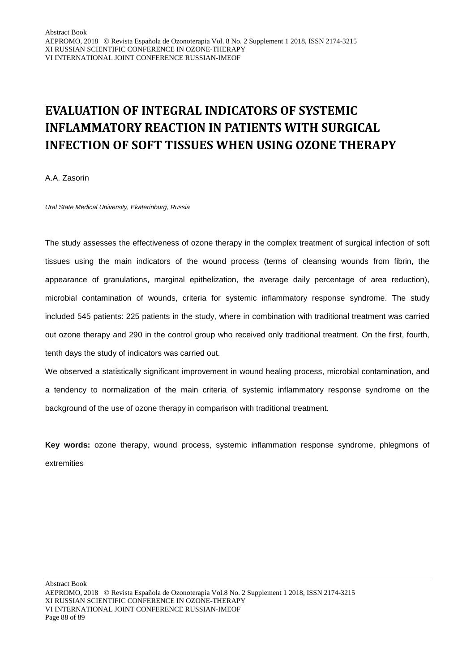# **EVALUATION OF INTEGRAL INDICATORS OF SYSTEMIC INFLAMMATORY REACTION IN PATIENTS WITH SURGICAL INFECTION OF SOFT TISSUES WHEN USING OZONE THERAPY**

A.A. Zasorin

*Ural State Medical University, Ekaterinburg, Russia*

The study assesses the effectiveness of ozone therapy in the complex treatment of surgical infection of soft tissues using the main indicators of the wound process (terms of cleansing wounds from fibrin, the appearance of granulations, marginal epithelization, the average daily percentage of area reduction), microbial contamination of wounds, criteria for systemic inflammatory response syndrome. The study included 545 patients: 225 patients in the study, where in combination with traditional treatment was carried out ozone therapy and 290 in the control group who received only traditional treatment. On the first, fourth, tenth days the study of indicators was carried out.

We observed a statistically significant improvement in wound healing process, microbial contamination, and a tendency to normalization of the main criteria of systemic inflammatory response syndrome on the background of the use of ozone therapy in comparison with traditional treatment.

**Key words:** ozone therapy, wound process, systemic inflammation response syndrome, phlegmons of extremities

AEPROMO, 2018 Revista Española de Ozonoterapia Vol.8 No. 2 Supplement 1 2018, ISSN 2174-3215 XI RUSSIAN SCIENTIFIC CONFERENCE IN OZONE-THERAPY VI INTERNATIONAL JOINT CONFERENCE RUSSIAN-IMEOF Page 88 of 89